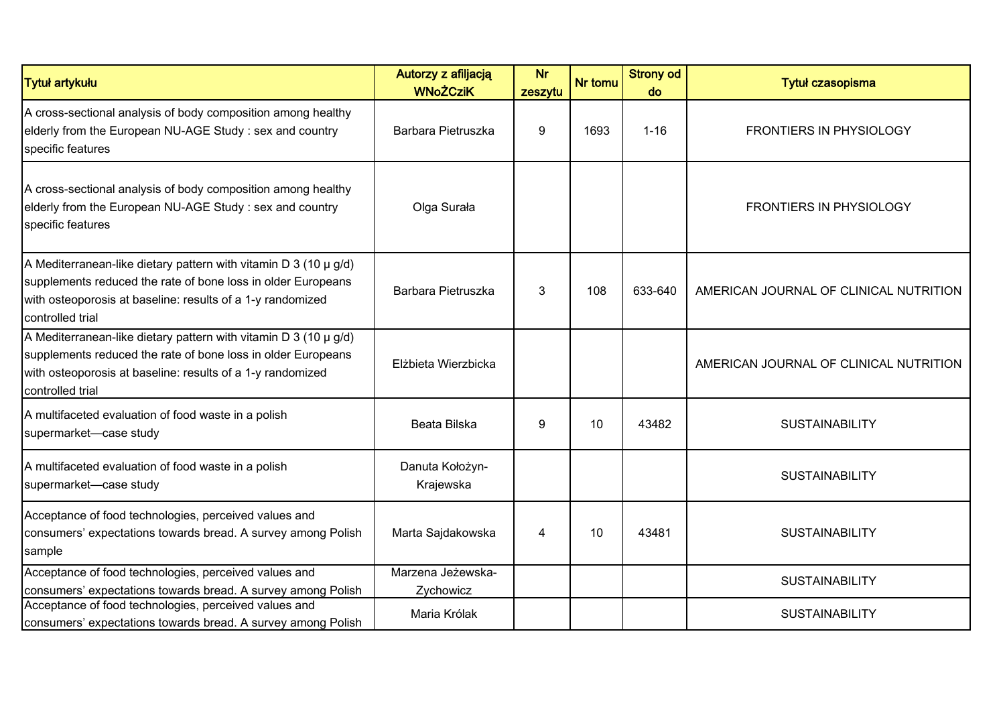| <b>Tytuł artykułu</b>                                                                                                                                                                                                  | Autorzy z afiljacją<br><b>WNoŻCziK</b> | <b>Nr</b><br>zeszytu | Nr tomu | <b>Strony od</b><br>do | <b>Tytuł czasopisma</b>                |
|------------------------------------------------------------------------------------------------------------------------------------------------------------------------------------------------------------------------|----------------------------------------|----------------------|---------|------------------------|----------------------------------------|
| A cross-sectional analysis of body composition among healthy<br>elderly from the European NU-AGE Study : sex and country<br>specific features                                                                          | Barbara Pietruszka                     | 9                    | 1693    | $1 - 16$               | <b>FRONTIERS IN PHYSIOLOGY</b>         |
| A cross-sectional analysis of body composition among healthy<br>elderly from the European NU-AGE Study: sex and country<br>specific features                                                                           | Olga Surała                            |                      |         |                        | <b>FRONTIERS IN PHYSIOLOGY</b>         |
| A Mediterranean-like dietary pattern with vitamin D 3 (10 $\mu$ g/d)<br>supplements reduced the rate of bone loss in older Europeans<br>with osteoporosis at baseline: results of a 1-y randomized<br>controlled trial | Barbara Pietruszka                     | 3                    | 108     | 633-640                | AMERICAN JOURNAL OF CLINICAL NUTRITION |
| A Mediterranean-like dietary pattern with vitamin D 3 (10 $\mu$ g/d)<br>supplements reduced the rate of bone loss in older Europeans<br>with osteoporosis at baseline: results of a 1-y randomized<br>controlled trial | Elżbieta Wierzbicka                    |                      |         |                        | AMERICAN JOURNAL OF CLINICAL NUTRITION |
| A multifaceted evaluation of food waste in a polish<br>supermarket-case study                                                                                                                                          | Beata Bilska                           | 9                    | 10      | 43482                  | <b>SUSTAINABILITY</b>                  |
| A multifaceted evaluation of food waste in a polish<br>supermarket-case study                                                                                                                                          | Danuta Kołożyn-<br>Krajewska           |                      |         |                        | <b>SUSTAINABILITY</b>                  |
| Acceptance of food technologies, perceived values and<br>consumers' expectations towards bread. A survey among Polish<br>sample                                                                                        | Marta Sajdakowska                      | 4                    | 10      | 43481                  | <b>SUSTAINABILITY</b>                  |
| Acceptance of food technologies, perceived values and<br>consumers' expectations towards bread. A survey among Polish                                                                                                  | Marzena Jeżewska-<br>Zychowicz         |                      |         |                        | <b>SUSTAINABILITY</b>                  |
| Acceptance of food technologies, perceived values and<br>consumers' expectations towards bread. A survey among Polish                                                                                                  | Maria Królak                           |                      |         |                        | <b>SUSTAINABILITY</b>                  |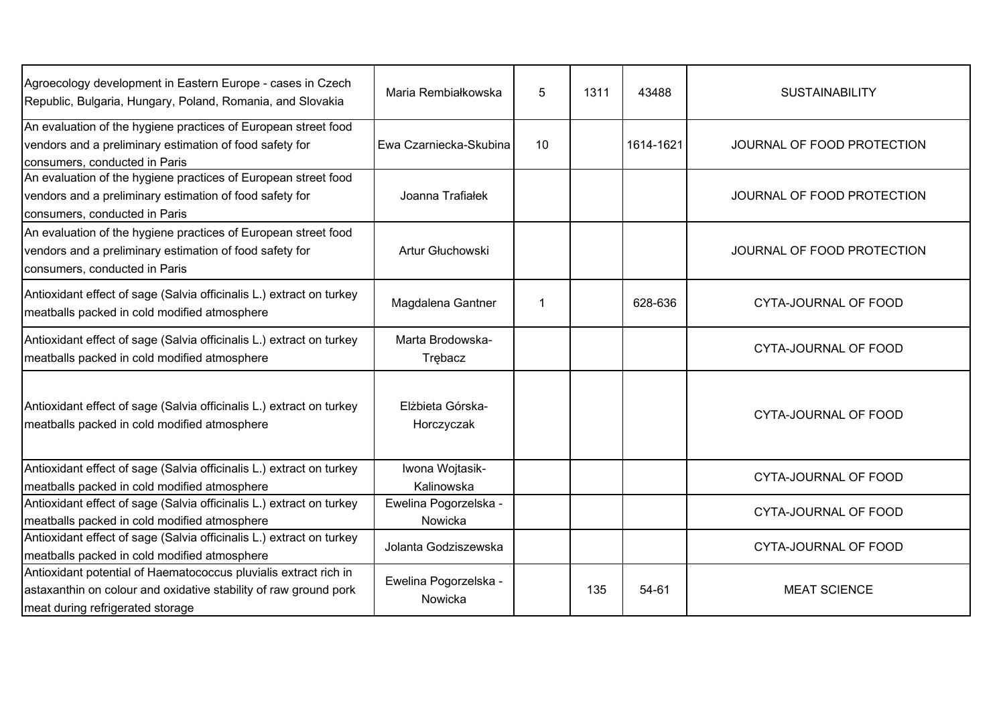| Agroecology development in Eastern Europe - cases in Czech<br>Republic, Bulgaria, Hungary, Poland, Romania, and Slovakia                                                 | Maria Rembiałkowska              | 5  | 1311 | 43488     | <b>SUSTAINABILITY</b>       |
|--------------------------------------------------------------------------------------------------------------------------------------------------------------------------|----------------------------------|----|------|-----------|-----------------------------|
| An evaluation of the hygiene practices of European street food<br>vendors and a preliminary estimation of food safety for<br>consumers, conducted in Paris               | Ewa Czarniecka-Skubina           | 10 |      | 1614-1621 | JOURNAL OF FOOD PROTECTION  |
| An evaluation of the hygiene practices of European street food<br>vendors and a preliminary estimation of food safety for<br>consumers, conducted in Paris               | Joanna Trafiałek                 |    |      |           | JOURNAL OF FOOD PROTECTION  |
| An evaluation of the hygiene practices of European street food<br>vendors and a preliminary estimation of food safety for<br>consumers, conducted in Paris               | Artur Głuchowski                 |    |      |           | JOURNAL OF FOOD PROTECTION  |
| Antioxidant effect of sage (Salvia officinalis L.) extract on turkey<br>meatballs packed in cold modified atmosphere                                                     | Magdalena Gantner                | -1 |      | 628-636   | CYTA-JOURNAL OF FOOD        |
| Antioxidant effect of sage (Salvia officinalis L.) extract on turkey<br>meatballs packed in cold modified atmosphere                                                     | Marta Brodowska-<br>Trębacz      |    |      |           | <b>CYTA-JOURNAL OF FOOD</b> |
| Antioxidant effect of sage (Salvia officinalis L.) extract on turkey<br>meatballs packed in cold modified atmosphere                                                     | Elżbieta Górska-<br>Horczyczak   |    |      |           | CYTA-JOURNAL OF FOOD        |
| Antioxidant effect of sage (Salvia officinalis L.) extract on turkey<br>meatballs packed in cold modified atmosphere                                                     | Iwona Wojtasik-<br>Kalinowska    |    |      |           | CYTA-JOURNAL OF FOOD        |
| Antioxidant effect of sage (Salvia officinalis L.) extract on turkey<br>meatballs packed in cold modified atmosphere                                                     | Ewelina Pogorzelska -<br>Nowicka |    |      |           | CYTA-JOURNAL OF FOOD        |
| Antioxidant effect of sage (Salvia officinalis L.) extract on turkey<br>meatballs packed in cold modified atmosphere                                                     | Jolanta Godziszewska             |    |      |           | CYTA-JOURNAL OF FOOD        |
| Antioxidant potential of Haematococcus pluvialis extract rich in<br>astaxanthin on colour and oxidative stability of raw ground pork<br>meat during refrigerated storage | Ewelina Pogorzelska -<br>Nowicka |    | 135  | 54-61     | <b>MEAT SCIENCE</b>         |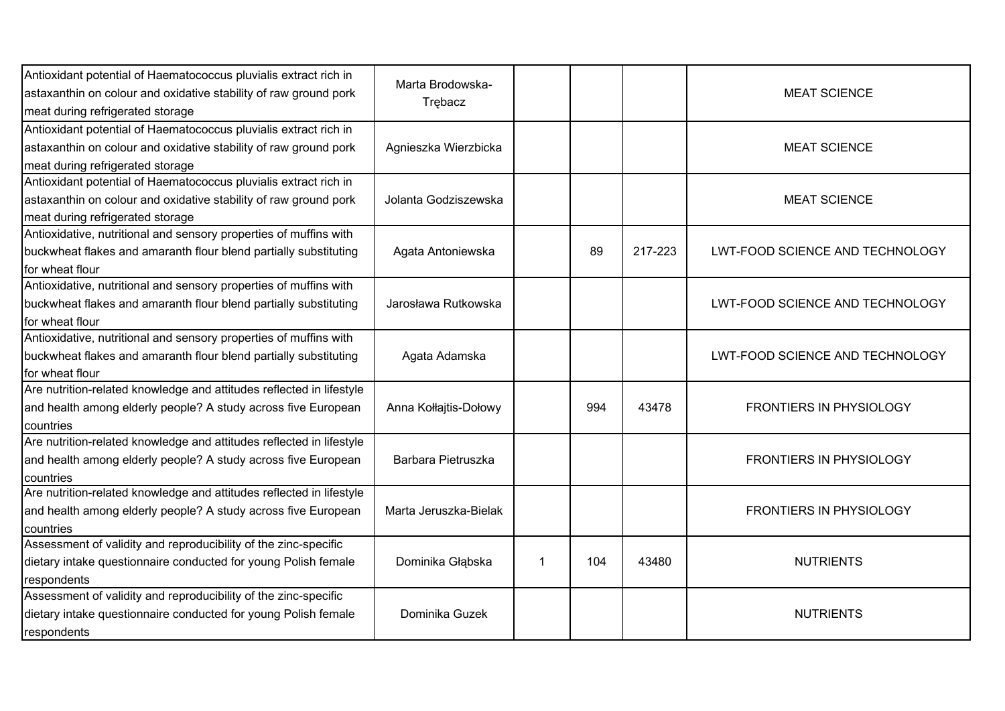| Antioxidant potential of Haematococcus pluvialis extract rich in<br>astaxanthin on colour and oxidative stability of raw ground pork<br>meat during refrigerated storage | Marta Brodowska-<br>Trebacz |   |     |         | <b>MEAT SCIENCE</b>             |
|--------------------------------------------------------------------------------------------------------------------------------------------------------------------------|-----------------------------|---|-----|---------|---------------------------------|
| Antioxidant potential of Haematococcus pluvialis extract rich in<br>astaxanthin on colour and oxidative stability of raw ground pork<br>meat during refrigerated storage | Agnieszka Wierzbicka        |   |     |         | <b>MEAT SCIENCE</b>             |
| Antioxidant potential of Haematococcus pluvialis extract rich in<br>astaxanthin on colour and oxidative stability of raw ground pork<br>meat during refrigerated storage | Jolanta Godziszewska        |   |     |         | <b>MEAT SCIENCE</b>             |
| Antioxidative, nutritional and sensory properties of muffins with<br>buckwheat flakes and amaranth flour blend partially substituting<br>for wheat flour                 | Agata Antoniewska           |   | 89  | 217-223 | LWT-FOOD SCIENCE AND TECHNOLOGY |
| Antioxidative, nutritional and sensory properties of muffins with<br>buckwheat flakes and amaranth flour blend partially substituting<br>for wheat flour                 | Jarosława Rutkowska         |   |     |         | LWT-FOOD SCIENCE AND TECHNOLOGY |
| Antioxidative, nutritional and sensory properties of muffins with<br>buckwheat flakes and amaranth flour blend partially substituting<br>for wheat flour                 | Agata Adamska               |   |     |         | LWT-FOOD SCIENCE AND TECHNOLOGY |
| Are nutrition-related knowledge and attitudes reflected in lifestyle<br>and health among elderly people? A study across five European<br>countries                       | Anna Kołłajtis-Dołowy       |   | 994 | 43478   | <b>FRONTIERS IN PHYSIOLOGY</b>  |
| Are nutrition-related knowledge and attitudes reflected in lifestyle<br>and health among elderly people? A study across five European<br>countries                       | Barbara Pietruszka          |   |     |         | FRONTIERS IN PHYSIOLOGY         |
| Are nutrition-related knowledge and attitudes reflected in lifestyle<br>and health among elderly people? A study across five European<br>countries                       | Marta Jeruszka-Bielak       |   |     |         | <b>FRONTIERS IN PHYSIOLOGY</b>  |
| Assessment of validity and reproducibility of the zinc-specific<br>dietary intake questionnaire conducted for young Polish female<br>respondents                         | Dominika Głąbska            | 1 | 104 | 43480   | <b>NUTRIENTS</b>                |
| Assessment of validity and reproducibility of the zinc-specific<br>dietary intake questionnaire conducted for young Polish female<br>respondents                         | Dominika Guzek              |   |     |         | <b>NUTRIENTS</b>                |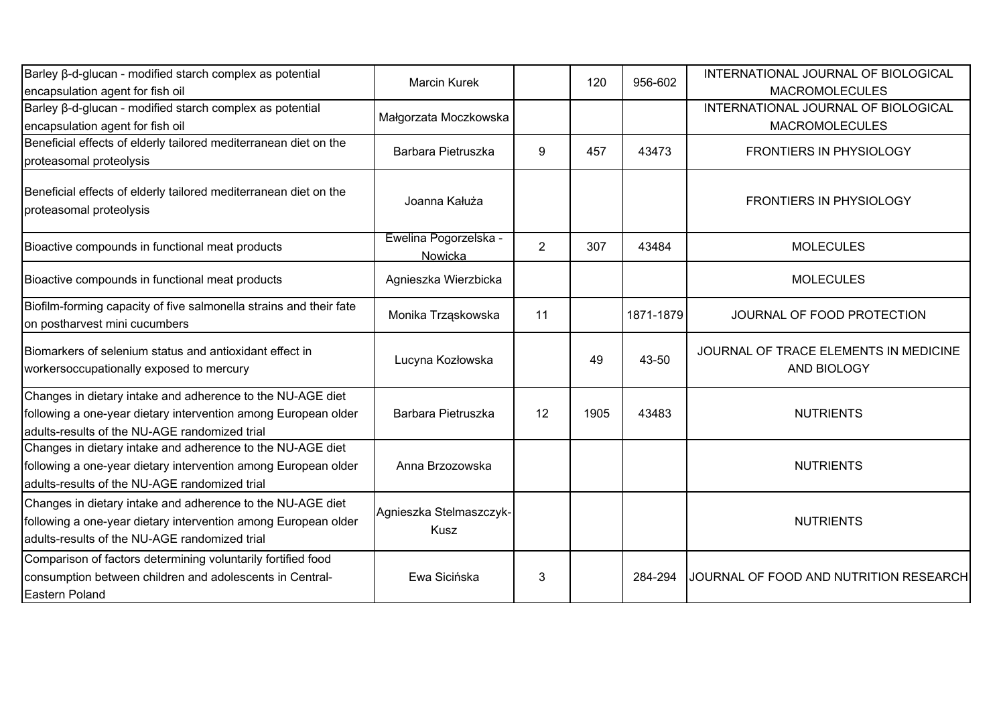| Barley β-d-glucan - modified starch complex as potential<br>encapsulation agent for fish oil                                                                                  | <b>Marcin Kurek</b>                    |                | 120  | 956-602   | INTERNATIONAL JOURNAL OF BIOLOGICAL<br><b>MACROMOLECULES</b> |
|-------------------------------------------------------------------------------------------------------------------------------------------------------------------------------|----------------------------------------|----------------|------|-----------|--------------------------------------------------------------|
| Barley ß-d-glucan - modified starch complex as potential<br>encapsulation agent for fish oil                                                                                  | Małgorzata Moczkowska                  |                |      |           | INTERNATIONAL JOURNAL OF BIOLOGICAL<br><b>MACROMOLECULES</b> |
| Beneficial effects of elderly tailored mediterranean diet on the<br>proteasomal proteolysis                                                                                   | Barbara Pietruszka                     | 9              | 457  | 43473     | FRONTIERS IN PHYSIOLOGY                                      |
| Beneficial effects of elderly tailored mediterranean diet on the<br>proteasomal proteolysis                                                                                   | Joanna Kałuża                          |                |      |           | <b>FRONTIERS IN PHYSIOLOGY</b>                               |
| Bioactive compounds in functional meat products                                                                                                                               | Ewelina Pogorzelska -<br>Nowicka       | $\overline{2}$ | 307  | 43484     | <b>MOLECULES</b>                                             |
| Bioactive compounds in functional meat products                                                                                                                               | Agnieszka Wierzbicka                   |                |      |           | <b>MOLECULES</b>                                             |
| Biofilm-forming capacity of five salmonella strains and their fate<br>on postharvest mini cucumbers                                                                           | Monika Trząskowska                     | 11             |      | 1871-1879 | JOURNAL OF FOOD PROTECTION                                   |
| Biomarkers of selenium status and antioxidant effect in<br>workersoccupationally exposed to mercury                                                                           | Lucyna Kozłowska                       |                | 49   | 43-50     | JOURNAL OF TRACE ELEMENTS IN MEDICINE<br>AND BIOLOGY         |
| Changes in dietary intake and adherence to the NU-AGE diet<br>following a one-year dietary intervention among European older<br>adults-results of the NU-AGE randomized trial | Barbara Pietruszka                     | 12             | 1905 | 43483     | <b>NUTRIENTS</b>                                             |
| Changes in dietary intake and adherence to the NU-AGE diet<br>following a one-year dietary intervention among European older<br>adults-results of the NU-AGE randomized trial | Anna Brzozowska                        |                |      |           | <b>NUTRIENTS</b>                                             |
| Changes in dietary intake and adherence to the NU-AGE diet<br>following a one-year dietary intervention among European older<br>adults-results of the NU-AGE randomized trial | Agnieszka Stelmaszczyk-<br><b>Kusz</b> |                |      |           | <b>NUTRIENTS</b>                                             |
| Comparison of factors determining voluntarily fortified food<br>consumption between children and adolescents in Central-<br>Eastern Poland                                    | Ewa Sicińska                           | 3              |      | 284-294   | JOURNAL OF FOOD AND NUTRITION RESEARCH                       |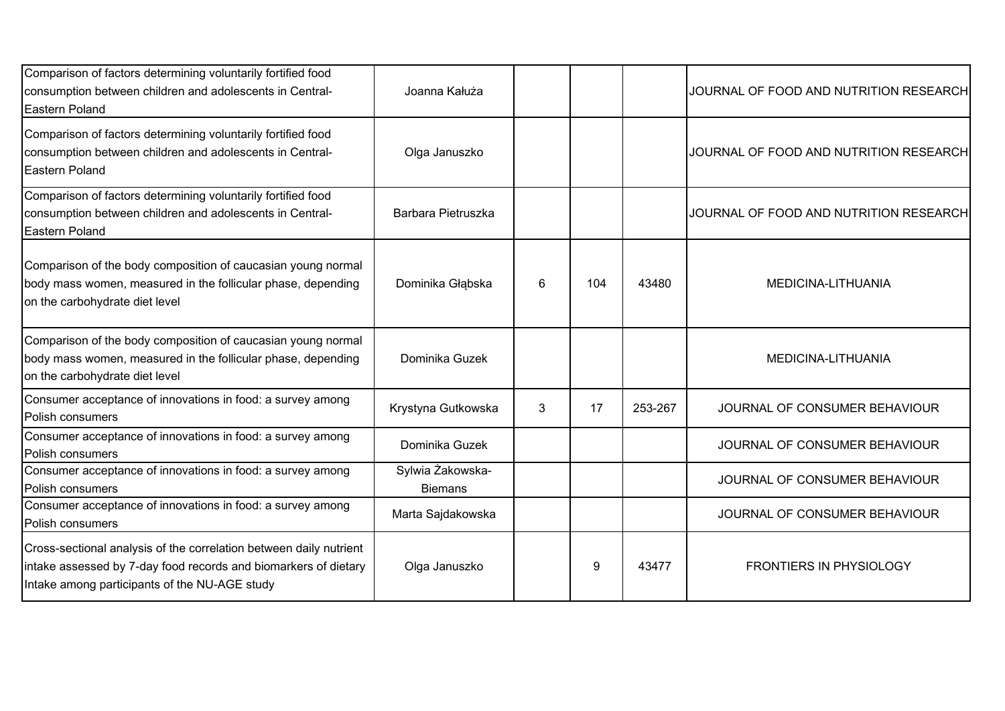| Comparison of factors determining voluntarily fortified food<br>consumption between children and adolescents in Central-<br>Eastern Poland                                             | Joanna Kałuża                      |   |     |         | JOURNAL OF FOOD AND NUTRITION RESEARCH |
|----------------------------------------------------------------------------------------------------------------------------------------------------------------------------------------|------------------------------------|---|-----|---------|----------------------------------------|
| Comparison of factors determining voluntarily fortified food<br>consumption between children and adolescents in Central-<br>Eastern Poland                                             | Olga Januszko                      |   |     |         | JOURNAL OF FOOD AND NUTRITION RESEARCH |
| Comparison of factors determining voluntarily fortified food<br>consumption between children and adolescents in Central-<br>Eastern Poland                                             | Barbara Pietruszka                 |   |     |         | JOURNAL OF FOOD AND NUTRITION RESEARCH |
| Comparison of the body composition of caucasian young normal<br>body mass women, measured in the follicular phase, depending<br>on the carbohydrate diet level                         | Dominika Głąbska                   | 6 | 104 | 43480   | MEDICINA-LITHUANIA                     |
| Comparison of the body composition of caucasian young normal<br>body mass women, measured in the follicular phase, depending<br>on the carbohydrate diet level                         | Dominika Guzek                     |   |     |         | MEDICINA-LITHUANIA                     |
| Consumer acceptance of innovations in food: a survey among<br>Polish consumers                                                                                                         | Krystyna Gutkowska                 | 3 | 17  | 253-267 | JOURNAL OF CONSUMER BEHAVIOUR          |
| Consumer acceptance of innovations in food: a survey among<br>Polish consumers                                                                                                         | Dominika Guzek                     |   |     |         | JOURNAL OF CONSUMER BEHAVIOUR          |
| Consumer acceptance of innovations in food: a survey among<br>Polish consumers                                                                                                         | Sylwia Żakowska-<br><b>Biemans</b> |   |     |         | JOURNAL OF CONSUMER BEHAVIOUR          |
| Consumer acceptance of innovations in food: a survey among<br>Polish consumers                                                                                                         | Marta Sajdakowska                  |   |     |         | JOURNAL OF CONSUMER BEHAVIOUR          |
| Cross-sectional analysis of the correlation between daily nutrient<br>intake assessed by 7-day food records and biomarkers of dietary<br>Intake among participants of the NU-AGE study | Olga Januszko                      |   | 9   | 43477   | <b>FRONTIERS IN PHYSIOLOGY</b>         |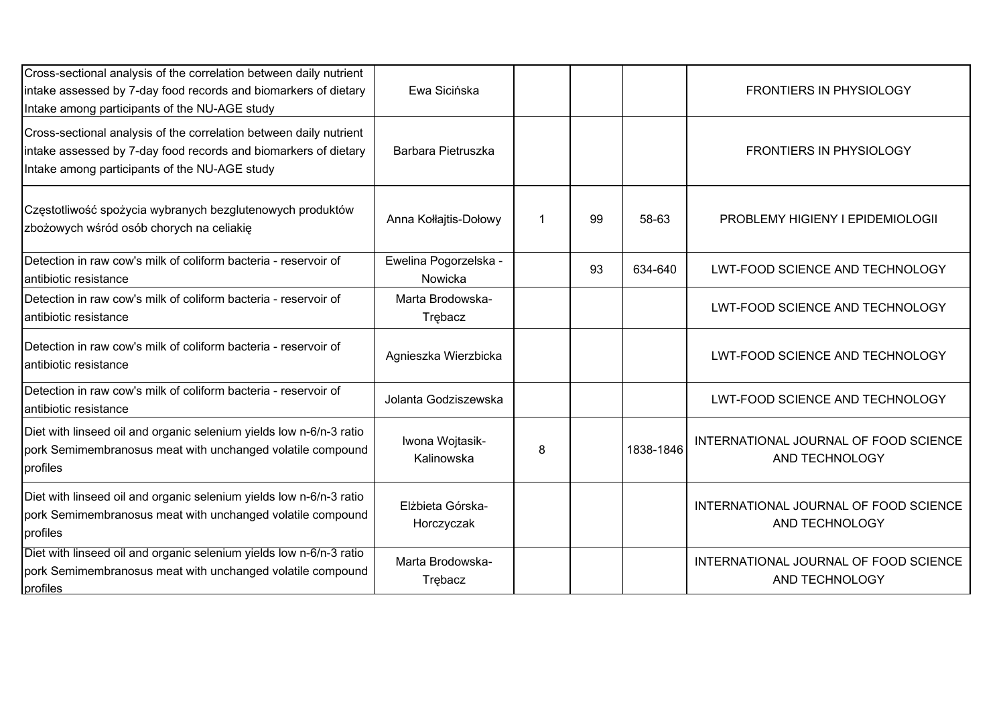| Cross-sectional analysis of the correlation between daily nutrient<br>intake assessed by 7-day food records and biomarkers of dietary<br>Intake among participants of the NU-AGE study | Ewa Sicińska                     |   |    |           | <b>FRONTIERS IN PHYSIOLOGY</b>                          |
|----------------------------------------------------------------------------------------------------------------------------------------------------------------------------------------|----------------------------------|---|----|-----------|---------------------------------------------------------|
| Cross-sectional analysis of the correlation between daily nutrient<br>intake assessed by 7-day food records and biomarkers of dietary<br>Intake among participants of the NU-AGE study | Barbara Pietruszka               |   |    |           | <b>FRONTIERS IN PHYSIOLOGY</b>                          |
| Częstotliwość spożycia wybranych bezglutenowych produktów<br>zbożowych wśród osób chorych na celiakię                                                                                  | Anna Kołłajtis-Dołowy            |   | 99 | 58-63     | PROBLEMY HIGIENY I EPIDEMIOLOGII                        |
| Detection in raw cow's milk of coliform bacteria - reservoir of<br>lantibiotic resistance                                                                                              | Ewelina Pogorzelska -<br>Nowicka |   | 93 | 634-640   | LWT-FOOD SCIENCE AND TECHNOLOGY                         |
| Detection in raw cow's milk of coliform bacteria - reservoir of<br>antibiotic resistance                                                                                               | Marta Brodowska-<br>Trębacz      |   |    |           | LWT-FOOD SCIENCE AND TECHNOLOGY                         |
| Detection in raw cow's milk of coliform bacteria - reservoir of<br>antibiotic resistance                                                                                               | Agnieszka Wierzbicka             |   |    |           | LWT-FOOD SCIENCE AND TECHNOLOGY                         |
| Detection in raw cow's milk of coliform bacteria - reservoir of<br>antibiotic resistance                                                                                               | Jolanta Godziszewska             |   |    |           | LWT-FOOD SCIENCE AND TECHNOLOGY                         |
| Diet with linseed oil and organic selenium yields low n-6/n-3 ratio<br>pork Semimembranosus meat with unchanged volatile compound<br>profiles                                          | Iwona Wojtasik-<br>Kalinowska    | 8 |    | 1838-1846 | INTERNATIONAL JOURNAL OF FOOD SCIENCE<br>AND TECHNOLOGY |
| Diet with linseed oil and organic selenium yields low n-6/n-3 ratio<br>pork Semimembranosus meat with unchanged volatile compound<br>profiles                                          | Elżbieta Górska-<br>Horczyczak   |   |    |           | INTERNATIONAL JOURNAL OF FOOD SCIENCE<br>AND TECHNOLOGY |
| Diet with linseed oil and organic selenium yields low n-6/n-3 ratio<br>pork Semimembranosus meat with unchanged volatile compound<br>profiles                                          | Marta Brodowska-<br>Trębacz      |   |    |           | INTERNATIONAL JOURNAL OF FOOD SCIENCE<br>AND TECHNOLOGY |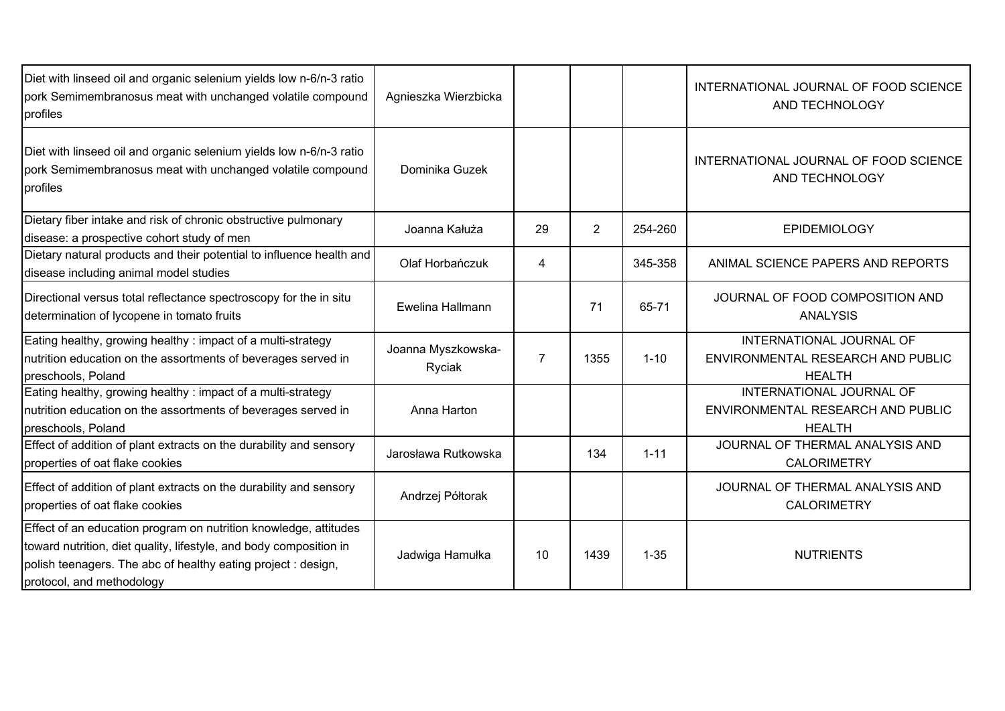| Diet with linseed oil and organic selenium yields low n-6/n-3 ratio<br>pork Semimembranosus meat with unchanged volatile compound<br>profiles                                                                                        | Agnieszka Wierzbicka         |                |                |          | INTERNATIONAL JOURNAL OF FOOD SCIENCE<br>AND TECHNOLOGY                        |
|--------------------------------------------------------------------------------------------------------------------------------------------------------------------------------------------------------------------------------------|------------------------------|----------------|----------------|----------|--------------------------------------------------------------------------------|
| Diet with linseed oil and organic selenium yields low n-6/n-3 ratio<br>pork Semimembranosus meat with unchanged volatile compound<br>profiles                                                                                        | Dominika Guzek               |                |                |          | INTERNATIONAL JOURNAL OF FOOD SCIENCE<br>AND TECHNOLOGY                        |
| Dietary fiber intake and risk of chronic obstructive pulmonary<br>disease: a prospective cohort study of men                                                                                                                         | Joanna Kałuża                | 29             | $\overline{2}$ | 254-260  | <b>EPIDEMIOLOGY</b>                                                            |
| Dietary natural products and their potential to influence health and<br>disease including animal model studies                                                                                                                       | Olaf Horbańczuk              | 4              |                | 345-358  | ANIMAL SCIENCE PAPERS AND REPORTS                                              |
| Directional versus total reflectance spectroscopy for the in situ<br>determination of lycopene in tomato fruits                                                                                                                      | Ewelina Hallmann             |                | 71             | 65-71    | JOURNAL OF FOOD COMPOSITION AND<br><b>ANALYSIS</b>                             |
| Eating healthy, growing healthy: impact of a multi-strategy<br>nutrition education on the assortments of beverages served in<br>preschools, Poland                                                                                   | Joanna Myszkowska-<br>Ryciak | $\overline{7}$ | 1355           | $1 - 10$ | INTERNATIONAL JOURNAL OF<br>ENVIRONMENTAL RESEARCH AND PUBLIC<br><b>HEALTH</b> |
| Eating healthy, growing healthy: impact of a multi-strategy<br>nutrition education on the assortments of beverages served in<br>preschools, Poland                                                                                   | Anna Harton                  |                |                |          | INTERNATIONAL JOURNAL OF<br>ENVIRONMENTAL RESEARCH AND PUBLIC<br><b>HEALTH</b> |
| Effect of addition of plant extracts on the durability and sensory<br>properties of oat flake cookies                                                                                                                                | Jarosława Rutkowska          |                | 134            | $1 - 11$ | JOURNAL OF THERMAL ANALYSIS AND<br><b>CALORIMETRY</b>                          |
| Effect of addition of plant extracts on the durability and sensory<br>properties of oat flake cookies                                                                                                                                | Andrzej Półtorak             |                |                |          | JOURNAL OF THERMAL ANALYSIS AND<br><b>CALORIMETRY</b>                          |
| Effect of an education program on nutrition knowledge, attitudes<br>toward nutrition, diet quality, lifestyle, and body composition in<br>polish teenagers. The abc of healthy eating project : design,<br>protocol, and methodology | Jadwiga Hamułka              | 10             | 1439           | $1 - 35$ | <b>NUTRIENTS</b>                                                               |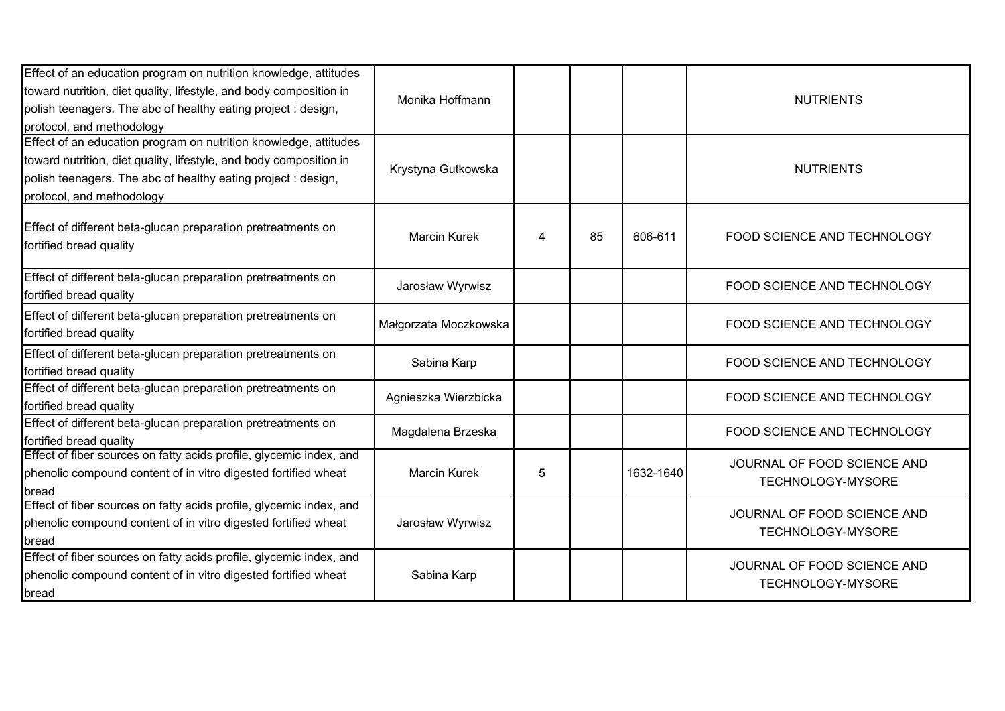| Effect of an education program on nutrition knowledge, attitudes<br>toward nutrition, diet quality, lifestyle, and body composition in<br>polish teenagers. The abc of healthy eating project: design,                               | Monika Hoffmann       |   |    |           | <b>NUTRIENTS</b>                                 |
|--------------------------------------------------------------------------------------------------------------------------------------------------------------------------------------------------------------------------------------|-----------------------|---|----|-----------|--------------------------------------------------|
| protocol, and methodology                                                                                                                                                                                                            |                       |   |    |           |                                                  |
| Effect of an education program on nutrition knowledge, attitudes<br>toward nutrition, diet quality, lifestyle, and body composition in<br>polish teenagers. The abc of healthy eating project : design,<br>protocol, and methodology | Krystyna Gutkowska    |   |    |           | <b>NUTRIENTS</b>                                 |
| Effect of different beta-glucan preparation pretreatments on<br>fortified bread quality                                                                                                                                              | <b>Marcin Kurek</b>   | 4 | 85 | 606-611   | FOOD SCIENCE AND TECHNOLOGY                      |
| Effect of different beta-glucan preparation pretreatments on<br>fortified bread quality                                                                                                                                              | Jarosław Wyrwisz      |   |    |           | FOOD SCIENCE AND TECHNOLOGY                      |
| Effect of different beta-glucan preparation pretreatments on<br>fortified bread quality                                                                                                                                              | Małgorzata Moczkowska |   |    |           | FOOD SCIENCE AND TECHNOLOGY                      |
| Effect of different beta-glucan preparation pretreatments on<br>fortified bread quality                                                                                                                                              | Sabina Karp           |   |    |           | FOOD SCIENCE AND TECHNOLOGY                      |
| Effect of different beta-glucan preparation pretreatments on<br>fortified bread quality                                                                                                                                              | Agnieszka Wierzbicka  |   |    |           | FOOD SCIENCE AND TECHNOLOGY                      |
| Effect of different beta-glucan preparation pretreatments on<br>fortified bread quality                                                                                                                                              | Magdalena Brzeska     |   |    |           | FOOD SCIENCE AND TECHNOLOGY                      |
| Effect of fiber sources on fatty acids profile, glycemic index, and<br>phenolic compound content of in vitro digested fortified wheat<br>bread                                                                                       | <b>Marcin Kurek</b>   | 5 |    | 1632-1640 | JOURNAL OF FOOD SCIENCE AND<br>TECHNOLOGY-MYSORE |
| Effect of fiber sources on fatty acids profile, glycemic index, and<br>phenolic compound content of in vitro digested fortified wheat<br>bread                                                                                       | Jarosław Wyrwisz      |   |    |           | JOURNAL OF FOOD SCIENCE AND<br>TECHNOLOGY-MYSORE |
| Effect of fiber sources on fatty acids profile, glycemic index, and<br>phenolic compound content of in vitro digested fortified wheat<br>bread                                                                                       | Sabina Karp           |   |    |           | JOURNAL OF FOOD SCIENCE AND<br>TECHNOLOGY-MYSORE |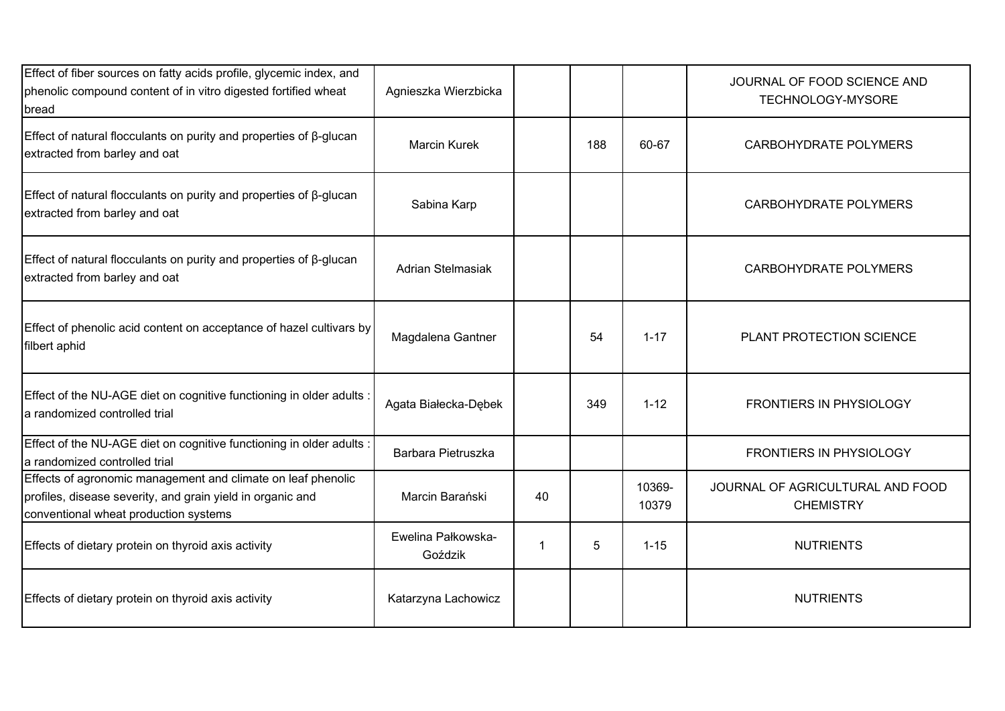| Effect of fiber sources on fatty acids profile, glycemic index, and<br>phenolic compound content of in vitro digested fortified wheat<br>bread                      | Agnieszka Wierzbicka          |    |     |                 | JOURNAL OF FOOD SCIENCE AND<br>TECHNOLOGY-MYSORE     |
|---------------------------------------------------------------------------------------------------------------------------------------------------------------------|-------------------------------|----|-----|-----------------|------------------------------------------------------|
| Effect of natural flocculants on purity and properties of $\beta$ -glucan<br>extracted from barley and oat                                                          | <b>Marcin Kurek</b>           |    | 188 | 60-67           | <b>CARBOHYDRATE POLYMERS</b>                         |
| Effect of natural flocculants on purity and properties of $\beta$ -glucan<br>extracted from barley and oat                                                          | Sabina Karp                   |    |     |                 | <b>CARBOHYDRATE POLYMERS</b>                         |
| Effect of natural flocculants on purity and properties of $\beta$ -glucan<br>extracted from barley and oat                                                          | Adrian Stelmasiak             |    |     |                 | <b>CARBOHYDRATE POLYMERS</b>                         |
| Effect of phenolic acid content on acceptance of hazel cultivars by<br>filbert aphid                                                                                | Magdalena Gantner             |    | 54  | $1 - 17$        | PLANT PROTECTION SCIENCE                             |
| Effect of the NU-AGE diet on cognitive functioning in older adults :<br>a randomized controlled trial                                                               | Agata Białecka-Dębek          |    | 349 | $1 - 12$        | <b>FRONTIERS IN PHYSIOLOGY</b>                       |
| Effect of the NU-AGE diet on cognitive functioning in older adults :<br>a randomized controlled trial                                                               | Barbara Pietruszka            |    |     |                 | <b>FRONTIERS IN PHYSIOLOGY</b>                       |
| Effects of agronomic management and climate on leaf phenolic<br>profiles, disease severity, and grain yield in organic and<br>conventional wheat production systems | Marcin Barański               | 40 |     | 10369-<br>10379 | JOURNAL OF AGRICULTURAL AND FOOD<br><b>CHEMISTRY</b> |
| Effects of dietary protein on thyroid axis activity                                                                                                                 | Ewelina Pałkowska-<br>Goździk | 1  | 5   | $1 - 15$        | <b>NUTRIENTS</b>                                     |
| Effects of dietary protein on thyroid axis activity                                                                                                                 | Katarzyna Lachowicz           |    |     |                 | <b>NUTRIENTS</b>                                     |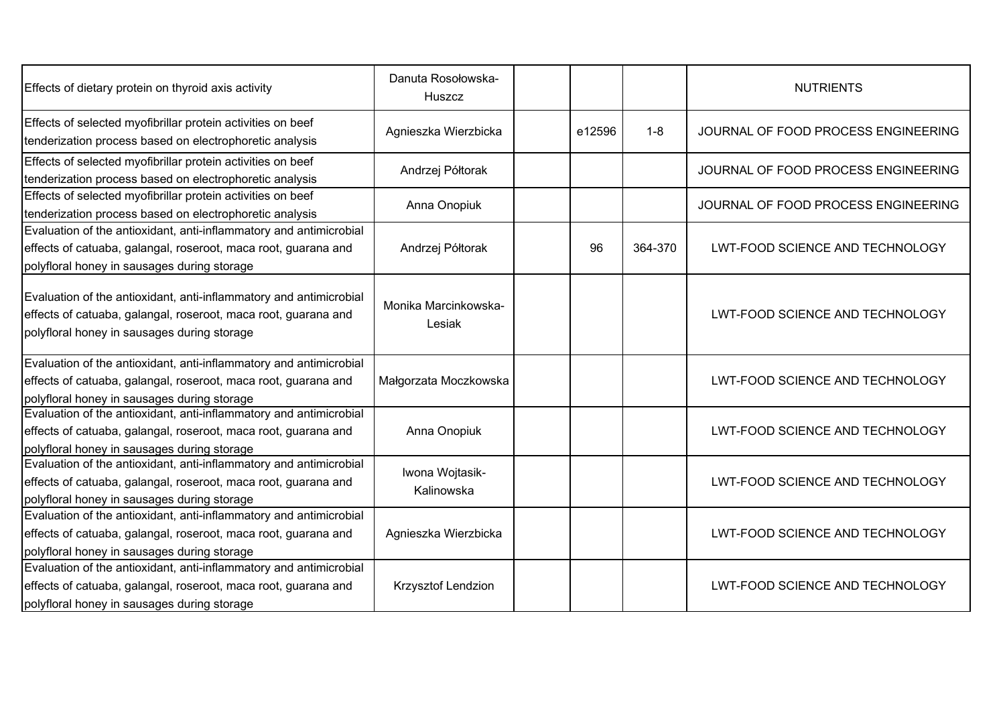| Effects of dietary protein on thyroid axis activity                                                                                                                                 | Danuta Rosołowska-<br>Huszcz   |        |         | <b>NUTRIENTS</b>                    |
|-------------------------------------------------------------------------------------------------------------------------------------------------------------------------------------|--------------------------------|--------|---------|-------------------------------------|
| Effects of selected myofibrillar protein activities on beef<br>tenderization process based on electrophoretic analysis                                                              | Agnieszka Wierzbicka           | e12596 | $1 - 8$ | JOURNAL OF FOOD PROCESS ENGINEERING |
| Effects of selected myofibrillar protein activities on beef<br>tenderization process based on electrophoretic analysis                                                              | Andrzej Półtorak               |        |         | JOURNAL OF FOOD PROCESS ENGINEERING |
| Effects of selected myofibrillar protein activities on beef<br>tenderization process based on electrophoretic analysis                                                              | Anna Onopiuk                   |        |         | JOURNAL OF FOOD PROCESS ENGINEERING |
| Evaluation of the antioxidant, anti-inflammatory and antimicrobial<br>effects of catuaba, galangal, roseroot, maca root, guarana and<br>polyfloral honey in sausages during storage | Andrzej Półtorak               | 96     | 364-370 | LWT-FOOD SCIENCE AND TECHNOLOGY     |
| Evaluation of the antioxidant, anti-inflammatory and antimicrobial<br>effects of catuaba, galangal, roseroot, maca root, guarana and<br>polyfloral honey in sausages during storage | Monika Marcinkowska-<br>Lesiak |        |         | LWT-FOOD SCIENCE AND TECHNOLOGY     |
| Evaluation of the antioxidant, anti-inflammatory and antimicrobial<br>effects of catuaba, galangal, roseroot, maca root, guarana and<br>polyfloral honey in sausages during storage | Małgorzata Moczkowska          |        |         | LWT-FOOD SCIENCE AND TECHNOLOGY     |
| Evaluation of the antioxidant, anti-inflammatory and antimicrobial<br>effects of catuaba, galangal, roseroot, maca root, guarana and<br>polyfloral honey in sausages during storage | Anna Onopiuk                   |        |         | LWT-FOOD SCIENCE AND TECHNOLOGY     |
| Evaluation of the antioxidant, anti-inflammatory and antimicrobial<br>effects of catuaba, galangal, roseroot, maca root, guarana and<br>polyfloral honey in sausages during storage | Iwona Wojtasik-<br>Kalinowska  |        |         | LWT-FOOD SCIENCE AND TECHNOLOGY     |
| Evaluation of the antioxidant, anti-inflammatory and antimicrobial<br>effects of catuaba, galangal, roseroot, maca root, guarana and<br>polyfloral honey in sausages during storage | Agnieszka Wierzbicka           |        |         | LWT-FOOD SCIENCE AND TECHNOLOGY     |
| Evaluation of the antioxidant, anti-inflammatory and antimicrobial<br>effects of catuaba, galangal, roseroot, maca root, guarana and<br>polyfloral honey in sausages during storage | Krzysztof Lendzion             |        |         | LWT-FOOD SCIENCE AND TECHNOLOGY     |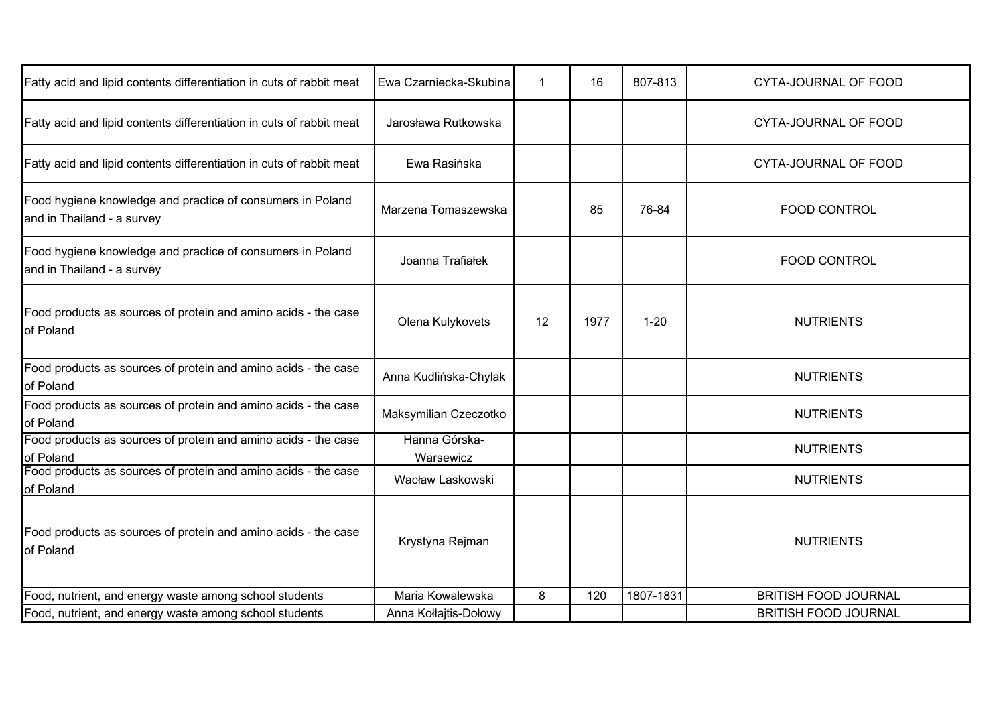| Fatty acid and lipid contents differentiation in cuts of rabbit meat                     | Ewa Czarniecka-Skubina     |    | 16   | 807-813   | CYTA-JOURNAL OF FOOD        |
|------------------------------------------------------------------------------------------|----------------------------|----|------|-----------|-----------------------------|
| Fatty acid and lipid contents differentiation in cuts of rabbit meat                     | Jarosława Rutkowska        |    |      |           | CYTA-JOURNAL OF FOOD        |
| Fatty acid and lipid contents differentiation in cuts of rabbit meat                     | Ewa Rasińska               |    |      |           | CYTA-JOURNAL OF FOOD        |
| Food hygiene knowledge and practice of consumers in Poland<br>and in Thailand - a survey | Marzena Tomaszewska        |    | 85   | 76-84     | FOOD CONTROL                |
| Food hygiene knowledge and practice of consumers in Poland<br>and in Thailand - a survey | Joanna Trafiałek           |    |      |           | <b>FOOD CONTROL</b>         |
| Food products as sources of protein and amino acids - the case<br>of Poland              | Olena Kulykovets           | 12 | 1977 | $1 - 20$  | <b>NUTRIENTS</b>            |
| Food products as sources of protein and amino acids - the case<br>of Poland              | Anna Kudlińska-Chylak      |    |      |           | <b>NUTRIENTS</b>            |
| Food products as sources of protein and amino acids - the case<br>of Poland              | Maksymilian Czeczotko      |    |      |           | <b>NUTRIENTS</b>            |
| Food products as sources of protein and amino acids - the case<br>of Poland              | Hanna Górska-<br>Warsewicz |    |      |           | <b>NUTRIENTS</b>            |
| Food products as sources of protein and amino acids - the case<br>of Poland              | Wacław Laskowski           |    |      |           | <b>NUTRIENTS</b>            |
| Food products as sources of protein and amino acids - the case<br>of Poland              | Krystyna Rejman            |    |      |           | <b>NUTRIENTS</b>            |
| Food, nutrient, and energy waste among school students                                   | Maria Kowalewska           | 8  | 120  | 1807-1831 | <b>BRITISH FOOD JOURNAL</b> |
| Food, nutrient, and energy waste among school students                                   | Anna Kołłajtis-Dołowy      |    |      |           | <b>BRITISH FOOD JOURNAL</b> |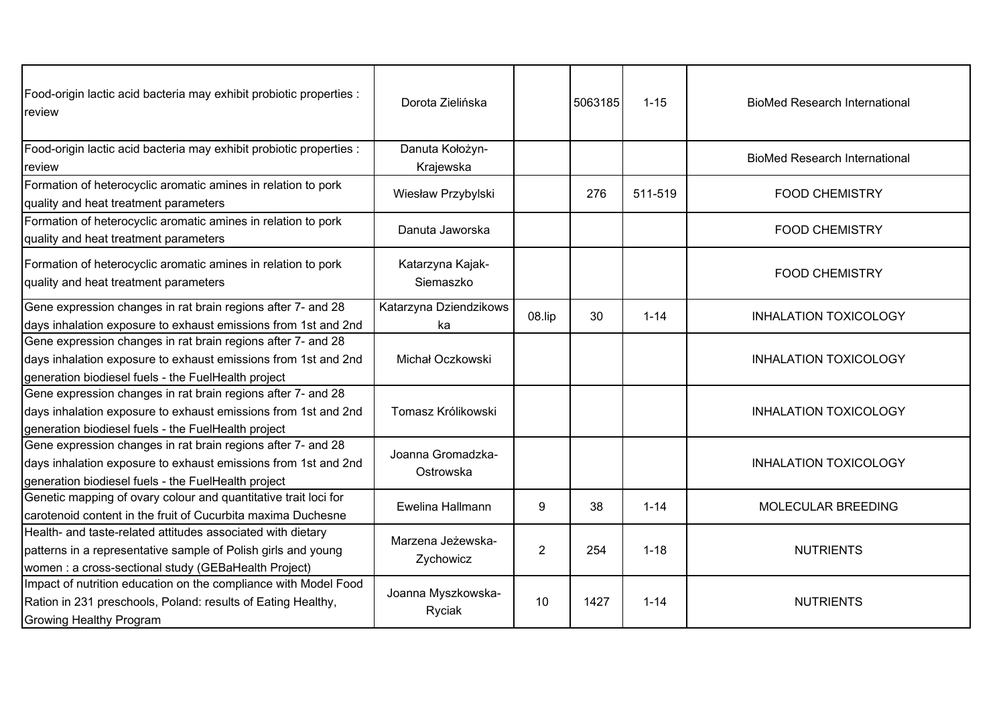| Food-origin lactic acid bacteria may exhibit probiotic properties :<br>review                                                                                                         | Dorota Zielińska               |                | 5063185 | $1 - 15$ | <b>BioMed Research International</b> |
|---------------------------------------------------------------------------------------------------------------------------------------------------------------------------------------|--------------------------------|----------------|---------|----------|--------------------------------------|
| Food-origin lactic acid bacteria may exhibit probiotic properties :<br>review                                                                                                         | Danuta Kołożyn-<br>Krajewska   |                |         |          | <b>BioMed Research International</b> |
| Formation of heterocyclic aromatic amines in relation to pork<br>quality and heat treatment parameters                                                                                | Wiesław Przybylski             |                | 276     | 511-519  | <b>FOOD CHEMISTRY</b>                |
| Formation of heterocyclic aromatic amines in relation to pork<br>quality and heat treatment parameters                                                                                | Danuta Jaworska                |                |         |          | <b>FOOD CHEMISTRY</b>                |
| Formation of heterocyclic aromatic amines in relation to pork<br>quality and heat treatment parameters                                                                                | Katarzyna Kajak-<br>Siemaszko  |                |         |          | <b>FOOD CHEMISTRY</b>                |
| Gene expression changes in rat brain regions after 7- and 28<br>days inhalation exposure to exhaust emissions from 1st and 2nd                                                        | Katarzyna Dziendzikows<br>ka   | 08.lip         | 30      | $1 - 14$ | <b>INHALATION TOXICOLOGY</b>         |
| Gene expression changes in rat brain regions after 7- and 28<br>days inhalation exposure to exhaust emissions from 1st and 2nd<br>generation biodiesel fuels - the FuelHealth project | Michał Oczkowski               |                |         |          | <b>INHALATION TOXICOLOGY</b>         |
| Gene expression changes in rat brain regions after 7- and 28<br>days inhalation exposure to exhaust emissions from 1st and 2nd<br>generation biodiesel fuels - the FuelHealth project | Tomasz Królikowski             |                |         |          | <b>INHALATION TOXICOLOGY</b>         |
| Gene expression changes in rat brain regions after 7- and 28<br>days inhalation exposure to exhaust emissions from 1st and 2nd<br>generation biodiesel fuels - the FuelHealth project | Joanna Gromadzka-<br>Ostrowska |                |         |          | <b>INHALATION TOXICOLOGY</b>         |
| Genetic mapping of ovary colour and quantitative trait loci for<br>carotenoid content in the fruit of Cucurbita maxima Duchesne                                                       | Ewelina Hallmann               | 9              | 38      | $1 - 14$ | MOLECULAR BREEDING                   |
| Health- and taste-related attitudes associated with dietary<br>patterns in a representative sample of Polish girls and young<br>women : a cross-sectional study (GEBaHealth Project)  | Marzena Jeżewska-<br>Zychowicz | $\overline{2}$ | 254     | $1 - 18$ | <b>NUTRIENTS</b>                     |
| Impact of nutrition education on the compliance with Model Food<br>Ration in 231 preschools, Poland: results of Eating Healthy,<br><b>Growing Healthy Program</b>                     | Joanna Myszkowska-<br>Ryciak   | 10             | 1427    | $1 - 14$ | <b>NUTRIENTS</b>                     |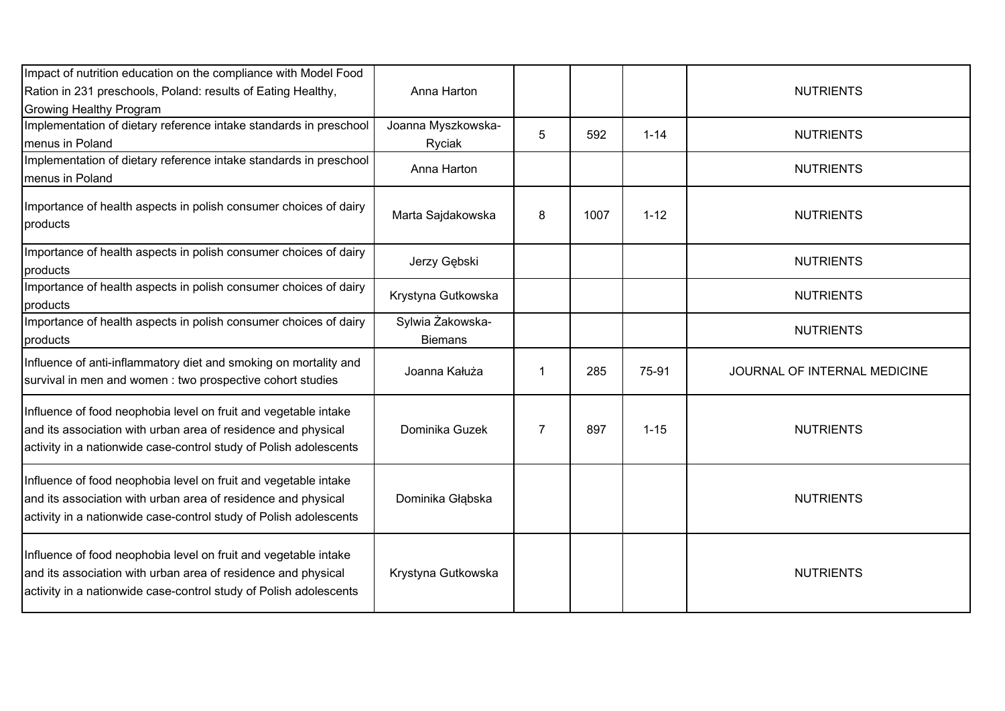| Impact of nutrition education on the compliance with Model Food<br>Ration in 231 preschools, Poland: results of Eating Healthy,<br>Growing Healthy Program                                            | Anna Harton                        |                |      |          | <b>NUTRIENTS</b>             |
|-------------------------------------------------------------------------------------------------------------------------------------------------------------------------------------------------------|------------------------------------|----------------|------|----------|------------------------------|
| Implementation of dietary reference intake standards in preschool<br>menus in Poland                                                                                                                  | Joanna Myszkowska-<br>Ryciak       | 5              | 592  | $1 - 14$ | <b>NUTRIENTS</b>             |
| Implementation of dietary reference intake standards in preschool<br>menus in Poland                                                                                                                  | Anna Harton                        |                |      |          | <b>NUTRIENTS</b>             |
| Importance of health aspects in polish consumer choices of dairy<br>products                                                                                                                          | Marta Sajdakowska                  | 8              | 1007 | $1 - 12$ | <b>NUTRIENTS</b>             |
| Importance of health aspects in polish consumer choices of dairy<br>products                                                                                                                          | Jerzy Gębski                       |                |      |          | <b>NUTRIENTS</b>             |
| Importance of health aspects in polish consumer choices of dairy<br>products                                                                                                                          | Krystyna Gutkowska                 |                |      |          | <b>NUTRIENTS</b>             |
| Importance of health aspects in polish consumer choices of dairy<br>products                                                                                                                          | Sylwia Żakowska-<br><b>Biemans</b> |                |      |          | <b>NUTRIENTS</b>             |
| Influence of anti-inflammatory diet and smoking on mortality and<br>survival in men and women : two prospective cohort studies                                                                        | Joanna Kałuża                      | 1              | 285  | 75-91    | JOURNAL OF INTERNAL MEDICINE |
| Influence of food neophobia level on fruit and vegetable intake<br>and its association with urban area of residence and physical<br>activity in a nationwide case-control study of Polish adolescents | Dominika Guzek                     | $\overline{7}$ | 897  | $1 - 15$ | <b>NUTRIENTS</b>             |
| Influence of food neophobia level on fruit and vegetable intake<br>and its association with urban area of residence and physical<br>activity in a nationwide case-control study of Polish adolescents | Dominika Głąbska                   |                |      |          | <b>NUTRIENTS</b>             |
| Influence of food neophobia level on fruit and vegetable intake<br>and its association with urban area of residence and physical<br>activity in a nationwide case-control study of Polish adolescents | Krystyna Gutkowska                 |                |      |          | <b>NUTRIENTS</b>             |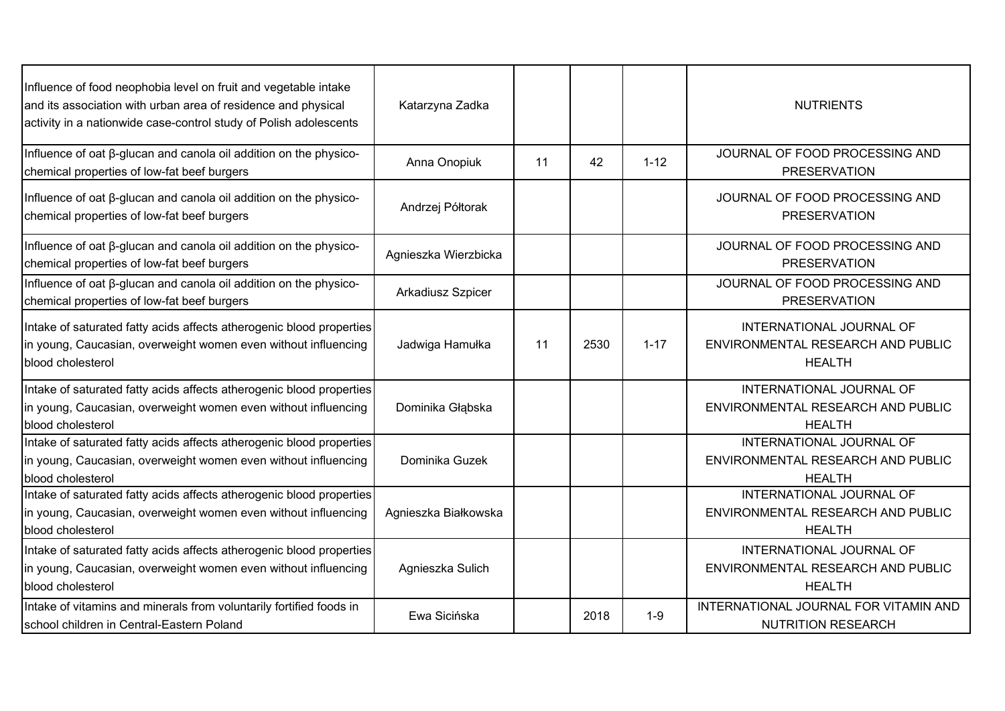| Influence of food neophobia level on fruit and vegetable intake<br>and its association with urban area of residence and physical<br>activity in a nationwide case-control study of Polish adolescents | Katarzyna Zadka      |    |      |          | <b>NUTRIENTS</b>                                                               |
|-------------------------------------------------------------------------------------------------------------------------------------------------------------------------------------------------------|----------------------|----|------|----------|--------------------------------------------------------------------------------|
| Influence of oat ß-glucan and canola oil addition on the physico-<br>chemical properties of low-fat beef burgers                                                                                      | Anna Onopiuk         | 11 | 42   | $1 - 12$ | JOURNAL OF FOOD PROCESSING AND<br><b>PRESERVATION</b>                          |
| Influence of oat β-glucan and canola oil addition on the physico-<br>chemical properties of low-fat beef burgers                                                                                      | Andrzej Półtorak     |    |      |          | JOURNAL OF FOOD PROCESSING AND<br><b>PRESERVATION</b>                          |
| Influence of oat ß-glucan and canola oil addition on the physico-<br>chemical properties of low-fat beef burgers                                                                                      | Agnieszka Wierzbicka |    |      |          | JOURNAL OF FOOD PROCESSING AND<br><b>PRESERVATION</b>                          |
| Influence of oat ß-glucan and canola oil addition on the physico-<br>chemical properties of low-fat beef burgers                                                                                      | Arkadiusz Szpicer    |    |      |          | JOURNAL OF FOOD PROCESSING AND<br><b>PRESERVATION</b>                          |
| Intake of saturated fatty acids affects atherogenic blood properties<br>in young, Caucasian, overweight women even without influencing<br>blood cholesterol                                           | Jadwiga Hamułka      | 11 | 2530 | $1 - 17$ | INTERNATIONAL JOURNAL OF<br>ENVIRONMENTAL RESEARCH AND PUBLIC<br><b>HEALTH</b> |
| Intake of saturated fatty acids affects atherogenic blood properties<br>in young, Caucasian, overweight women even without influencing<br>blood cholesterol                                           | Dominika Głąbska     |    |      |          | INTERNATIONAL JOURNAL OF<br>ENVIRONMENTAL RESEARCH AND PUBLIC<br><b>HEALTH</b> |
| Intake of saturated fatty acids affects atherogenic blood properties<br>in young, Caucasian, overweight women even without influencing<br>blood cholesterol                                           | Dominika Guzek       |    |      |          | INTERNATIONAL JOURNAL OF<br>ENVIRONMENTAL RESEARCH AND PUBLIC<br><b>HEALTH</b> |
| Intake of saturated fatty acids affects atherogenic blood properties<br>in young, Caucasian, overweight women even without influencing<br>blood cholesterol                                           | Agnieszka Białkowska |    |      |          | INTERNATIONAL JOURNAL OF<br>ENVIRONMENTAL RESEARCH AND PUBLIC<br><b>HEALTH</b> |
| Intake of saturated fatty acids affects atherogenic blood properties<br>in young, Caucasian, overweight women even without influencing<br>blood cholesterol                                           | Agnieszka Sulich     |    |      |          | INTERNATIONAL JOURNAL OF<br>ENVIRONMENTAL RESEARCH AND PUBLIC<br><b>HEALTH</b> |
| Intake of vitamins and minerals from voluntarily fortified foods in<br>school children in Central-Eastern Poland                                                                                      | Ewa Sicińska         |    | 2018 | $1-9$    | INTERNATIONAL JOURNAL FOR VITAMIN AND<br><b>NUTRITION RESEARCH</b>             |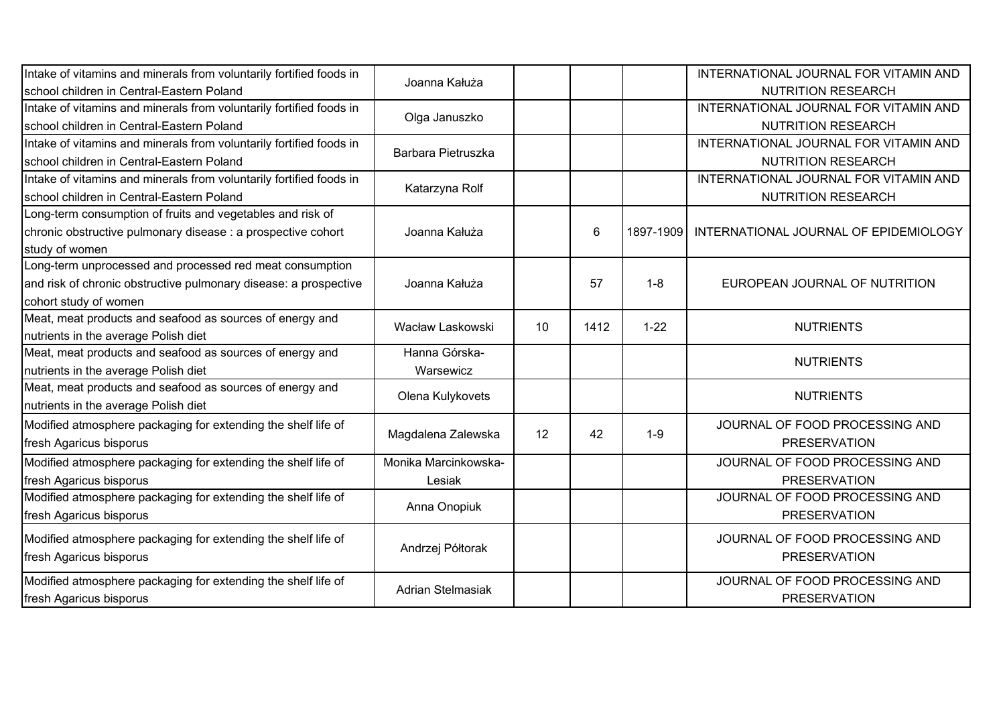| Intake of vitamins and minerals from voluntarily fortified foods in |                      |    |                |           | INTERNATIONAL JOURNAL FOR VITAMIN AND |
|---------------------------------------------------------------------|----------------------|----|----------------|-----------|---------------------------------------|
| school children in Central-Eastern Poland                           | Joanna Kałuża        |    |                |           | <b>NUTRITION RESEARCH</b>             |
| Intake of vitamins and minerals from voluntarily fortified foods in |                      |    |                |           | INTERNATIONAL JOURNAL FOR VITAMIN AND |
| school children in Central-Eastern Poland                           | Olga Januszko        |    |                |           | <b>NUTRITION RESEARCH</b>             |
| Intake of vitamins and minerals from voluntarily fortified foods in |                      |    |                |           | INTERNATIONAL JOURNAL FOR VITAMIN AND |
| school children in Central-Eastern Poland                           | Barbara Pietruszka   |    |                |           | <b>NUTRITION RESEARCH</b>             |
| Intake of vitamins and minerals from voluntarily fortified foods in |                      |    |                |           | INTERNATIONAL JOURNAL FOR VITAMIN AND |
| school children in Central-Eastern Poland                           | Katarzyna Rolf       |    |                |           | <b>NUTRITION RESEARCH</b>             |
| Long-term consumption of fruits and vegetables and risk of          |                      |    |                |           |                                       |
| chronic obstructive pulmonary disease : a prospective cohort        | Joanna Kałuża        |    | $6\phantom{1}$ | 1897-1909 | INTERNATIONAL JOURNAL OF EPIDEMIOLOGY |
| study of women                                                      |                      |    |                |           |                                       |
| Long-term unprocessed and processed red meat consumption            |                      |    |                |           |                                       |
| and risk of chronic obstructive pulmonary disease: a prospective    | Joanna Kałuża        |    | 57             | $1 - 8$   | EUROPEAN JOURNAL OF NUTRITION         |
| cohort study of women                                               |                      |    |                |           |                                       |
| Meat, meat products and seafood as sources of energy and            | Wacław Laskowski     | 10 | 1412           | $1 - 22$  | <b>NUTRIENTS</b>                      |
| nutrients in the average Polish diet                                |                      |    |                |           |                                       |
| Meat, meat products and seafood as sources of energy and            | Hanna Górska-        |    |                |           | <b>NUTRIENTS</b>                      |
| nutrients in the average Polish diet                                | Warsewicz            |    |                |           |                                       |
| Meat, meat products and seafood as sources of energy and            | Olena Kulykovets     |    |                |           | <b>NUTRIENTS</b>                      |
| nutrients in the average Polish diet                                |                      |    |                |           |                                       |
| Modified atmosphere packaging for extending the shelf life of       |                      |    |                |           | JOURNAL OF FOOD PROCESSING AND        |
| fresh Agaricus bisporus                                             | Magdalena Zalewska   | 12 | 42             | $1 - 9$   | <b>PRESERVATION</b>                   |
| Modified atmosphere packaging for extending the shelf life of       | Monika Marcinkowska- |    |                |           | JOURNAL OF FOOD PROCESSING AND        |
| fresh Agaricus bisporus                                             | Lesiak               |    |                |           | <b>PRESERVATION</b>                   |
| Modified atmosphere packaging for extending the shelf life of       |                      |    |                |           | JOURNAL OF FOOD PROCESSING AND        |
| fresh Agaricus bisporus                                             | Anna Onopiuk         |    |                |           | <b>PRESERVATION</b>                   |
| Modified atmosphere packaging for extending the shelf life of       |                      |    |                |           | JOURNAL OF FOOD PROCESSING AND        |
| fresh Agaricus bisporus                                             | Andrzej Półtorak     |    |                |           | <b>PRESERVATION</b>                   |
|                                                                     |                      |    |                |           |                                       |
| Modified atmosphere packaging for extending the shelf life of       | Adrian Stelmasiak    |    |                |           | JOURNAL OF FOOD PROCESSING AND        |
| fresh Agaricus bisporus                                             |                      |    |                |           | <b>PRESERVATION</b>                   |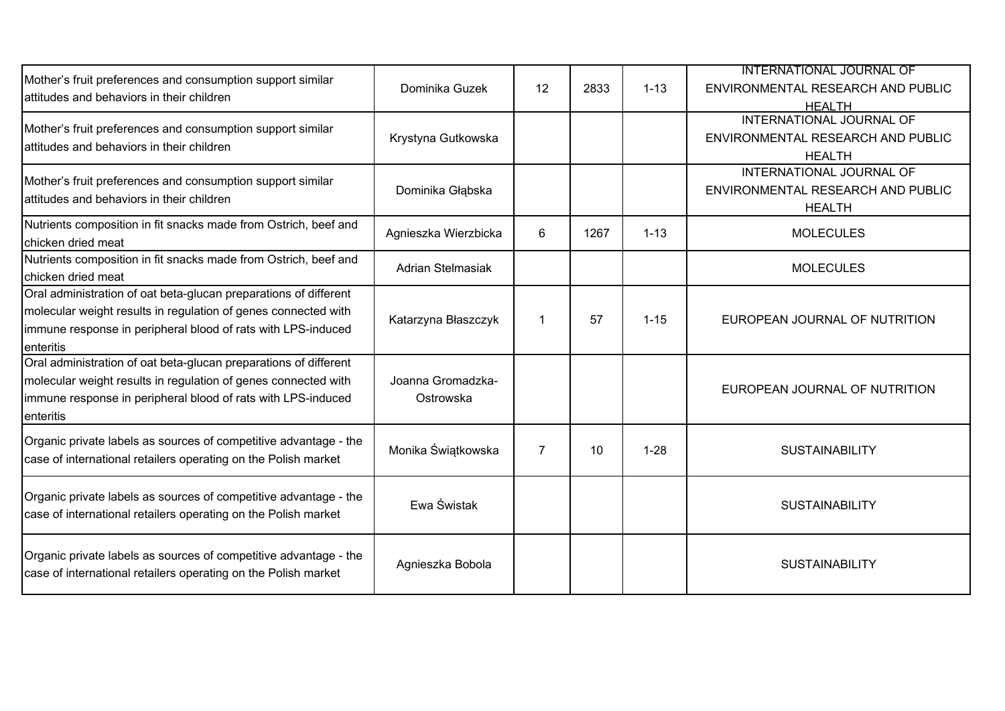| Mother's fruit preferences and consumption support similar<br>lattitudes and behaviors in their children                                                                                                        | Dominika Guzek                 | 12             | 2833 | $1 - 13$ | <b>INTERNATIONAL JOURNAL OF</b><br>ENVIRONMENTAL RESEARCH AND PUBLIC<br><b>HEALTH</b> |
|-----------------------------------------------------------------------------------------------------------------------------------------------------------------------------------------------------------------|--------------------------------|----------------|------|----------|---------------------------------------------------------------------------------------|
| Mother's fruit preferences and consumption support similar<br>lattitudes and behaviors in their children                                                                                                        | Krystyna Gutkowska             |                |      |          | INTERNATIONAL JOURNAL OF<br>ENVIRONMENTAL RESEARCH AND PUBLIC<br><b>HEALTH</b>        |
| Mother's fruit preferences and consumption support similar<br>attitudes and behaviors in their children                                                                                                         | Dominika Głąbska               |                |      |          | INTERNATIONAL JOURNAL OF<br>ENVIRONMENTAL RESEARCH AND PUBLIC<br><b>HEALTH</b>        |
| Nutrients composition in fit snacks made from Ostrich, beef and<br>chicken dried meat                                                                                                                           | Agnieszka Wierzbicka           | 6              | 1267 | $1 - 13$ | <b>MOLECULES</b>                                                                      |
| Nutrients composition in fit snacks made from Ostrich, beef and<br>chicken dried meat                                                                                                                           | Adrian Stelmasiak              |                |      |          | <b>MOLECULES</b>                                                                      |
| Oral administration of oat beta-glucan preparations of different<br>molecular weight results in regulation of genes connected with<br>immune response in peripheral blood of rats with LPS-induced<br>enteritis | Katarzyna Błaszczyk            | 1              | 57   | $1 - 15$ | EUROPEAN JOURNAL OF NUTRITION                                                         |
| Oral administration of oat beta-glucan preparations of different<br>molecular weight results in regulation of genes connected with<br>immune response in peripheral blood of rats with LPS-induced<br>enteritis | Joanna Gromadzka-<br>Ostrowska |                |      |          | EUROPEAN JOURNAL OF NUTRITION                                                         |
| Organic private labels as sources of competitive advantage - the<br>case of international retailers operating on the Polish market                                                                              | Monika Świątkowska             | $\overline{7}$ | 10   | $1 - 28$ | <b>SUSTAINABILITY</b>                                                                 |
| Organic private labels as sources of competitive advantage - the<br>case of international retailers operating on the Polish market                                                                              | Ewa Świstak                    |                |      |          | <b>SUSTAINABILITY</b>                                                                 |
| Organic private labels as sources of competitive advantage - the<br>case of international retailers operating on the Polish market                                                                              | Agnieszka Bobola               |                |      |          | <b>SUSTAINABILITY</b>                                                                 |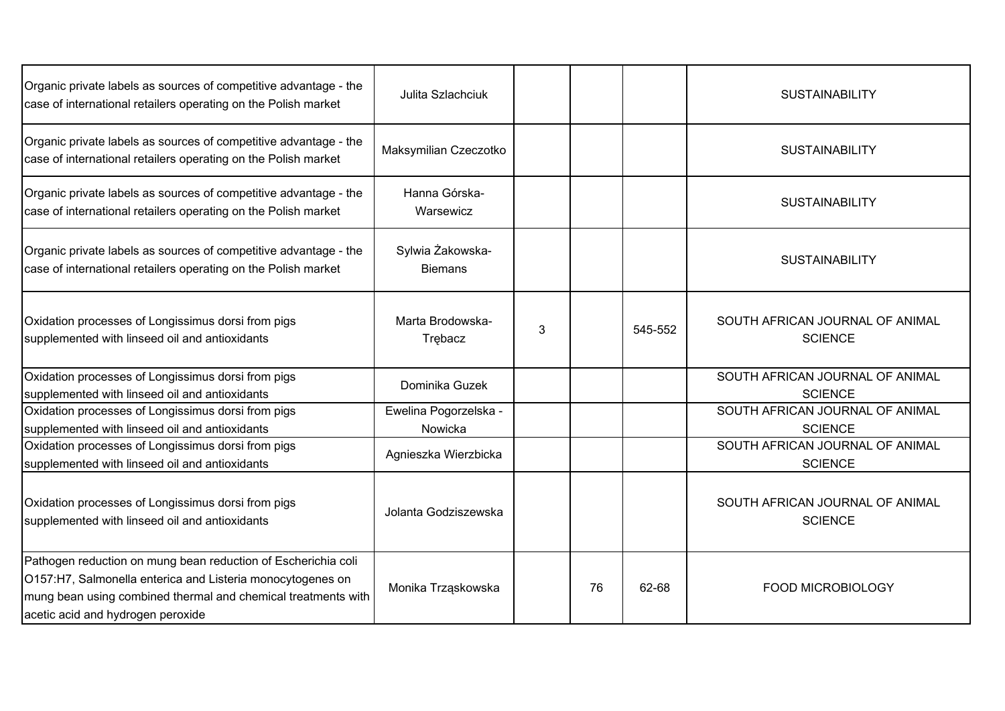| Organic private labels as sources of competitive advantage - the<br>case of international retailers operating on the Polish market                                                                                                | Julita Szlachciuk                  |   |    |         | <b>SUSTAINABILITY</b>                             |
|-----------------------------------------------------------------------------------------------------------------------------------------------------------------------------------------------------------------------------------|------------------------------------|---|----|---------|---------------------------------------------------|
| Organic private labels as sources of competitive advantage - the<br>case of international retailers operating on the Polish market                                                                                                | Maksymilian Czeczotko              |   |    |         | <b>SUSTAINABILITY</b>                             |
| Organic private labels as sources of competitive advantage - the<br>case of international retailers operating on the Polish market                                                                                                | Hanna Górska-<br>Warsewicz         |   |    |         | <b>SUSTAINABILITY</b>                             |
| Organic private labels as sources of competitive advantage - the<br>case of international retailers operating on the Polish market                                                                                                | Sylwia Żakowska-<br><b>Biemans</b> |   |    |         | <b>SUSTAINABILITY</b>                             |
| Oxidation processes of Longissimus dorsi from pigs<br>supplemented with linseed oil and antioxidants                                                                                                                              | Marta Brodowska-<br>Trebacz        | 3 |    | 545-552 | SOUTH AFRICAN JOURNAL OF ANIMAL<br><b>SCIENCE</b> |
| Oxidation processes of Longissimus dorsi from pigs<br>supplemented with linseed oil and antioxidants                                                                                                                              | Dominika Guzek                     |   |    |         | SOUTH AFRICAN JOURNAL OF ANIMAL<br><b>SCIENCE</b> |
| Oxidation processes of Longissimus dorsi from pigs<br>supplemented with linseed oil and antioxidants                                                                                                                              | Ewelina Pogorzelska -<br>Nowicka   |   |    |         | SOUTH AFRICAN JOURNAL OF ANIMAL<br><b>SCIENCE</b> |
| Oxidation processes of Longissimus dorsi from pigs<br>supplemented with linseed oil and antioxidants                                                                                                                              | Agnieszka Wierzbicka               |   |    |         | SOUTH AFRICAN JOURNAL OF ANIMAL<br><b>SCIENCE</b> |
| Oxidation processes of Longissimus dorsi from pigs<br>supplemented with linseed oil and antioxidants                                                                                                                              | Jolanta Godziszewska               |   |    |         | SOUTH AFRICAN JOURNAL OF ANIMAL<br><b>SCIENCE</b> |
| Pathogen reduction on mung bean reduction of Escherichia coli<br>O157:H7, Salmonella enterica and Listeria monocytogenes on<br>mung bean using combined thermal and chemical treatments with<br>acetic acid and hydrogen peroxide | Monika Trząskowska                 |   | 76 | 62-68   | <b>FOOD MICROBIOLOGY</b>                          |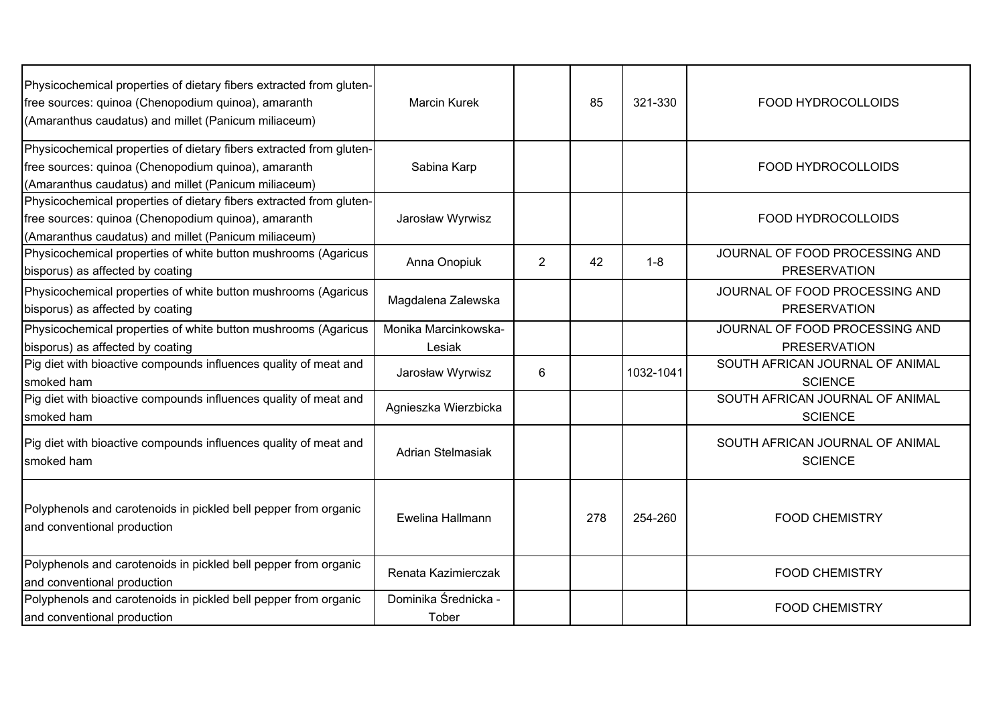| Physicochemical properties of dietary fibers extracted from gluten-<br>free sources: quinoa (Chenopodium quinoa), amaranth<br>(Amaranthus caudatus) and millet (Panicum miliaceum) | <b>Marcin Kurek</b>            |                | 85  | 321-330   | FOOD HYDROCOLLOIDS                                    |
|------------------------------------------------------------------------------------------------------------------------------------------------------------------------------------|--------------------------------|----------------|-----|-----------|-------------------------------------------------------|
| Physicochemical properties of dietary fibers extracted from gluten-<br>free sources: quinoa (Chenopodium quinoa), amaranth<br>(Amaranthus caudatus) and millet (Panicum miliaceum) | Sabina Karp                    |                |     |           | FOOD HYDROCOLLOIDS                                    |
| Physicochemical properties of dietary fibers extracted from gluten-<br>free sources: quinoa (Chenopodium quinoa), amaranth<br>(Amaranthus caudatus) and millet (Panicum miliaceum) | Jarosław Wyrwisz               |                |     |           | FOOD HYDROCOLLOIDS                                    |
| Physicochemical properties of white button mushrooms (Agaricus<br>bisporus) as affected by coating                                                                                 | Anna Onopiuk                   | $\overline{2}$ | 42  | $1 - 8$   | JOURNAL OF FOOD PROCESSING AND<br><b>PRESERVATION</b> |
| Physicochemical properties of white button mushrooms (Agaricus<br>bisporus) as affected by coating                                                                                 | Magdalena Zalewska             |                |     |           | JOURNAL OF FOOD PROCESSING AND<br><b>PRESERVATION</b> |
| Physicochemical properties of white button mushrooms (Agaricus<br>bisporus) as affected by coating                                                                                 | Monika Marcinkowska-<br>Lesiak |                |     |           | JOURNAL OF FOOD PROCESSING AND<br><b>PRESERVATION</b> |
| Pig diet with bioactive compounds influences quality of meat and<br>smoked ham                                                                                                     | Jarosław Wyrwisz               | 6              |     | 1032-1041 | SOUTH AFRICAN JOURNAL OF ANIMAL<br><b>SCIENCE</b>     |
| Pig diet with bioactive compounds influences quality of meat and<br>smoked ham                                                                                                     | Agnieszka Wierzbicka           |                |     |           | SOUTH AFRICAN JOURNAL OF ANIMAL<br><b>SCIENCE</b>     |
| Pig diet with bioactive compounds influences quality of meat and<br>smoked ham                                                                                                     | Adrian Stelmasiak              |                |     |           | SOUTH AFRICAN JOURNAL OF ANIMAL<br><b>SCIENCE</b>     |
| Polyphenols and carotenoids in pickled bell pepper from organic<br>and conventional production                                                                                     | Ewelina Hallmann               |                | 278 | 254-260   | <b>FOOD CHEMISTRY</b>                                 |
| Polyphenols and carotenoids in pickled bell pepper from organic<br>and conventional production                                                                                     | Renata Kazimierczak            |                |     |           | <b>FOOD CHEMISTRY</b>                                 |
| Polyphenols and carotenoids in pickled bell pepper from organic<br>and conventional production                                                                                     | Dominika Średnicka -<br>Tober  |                |     |           | <b>FOOD CHEMISTRY</b>                                 |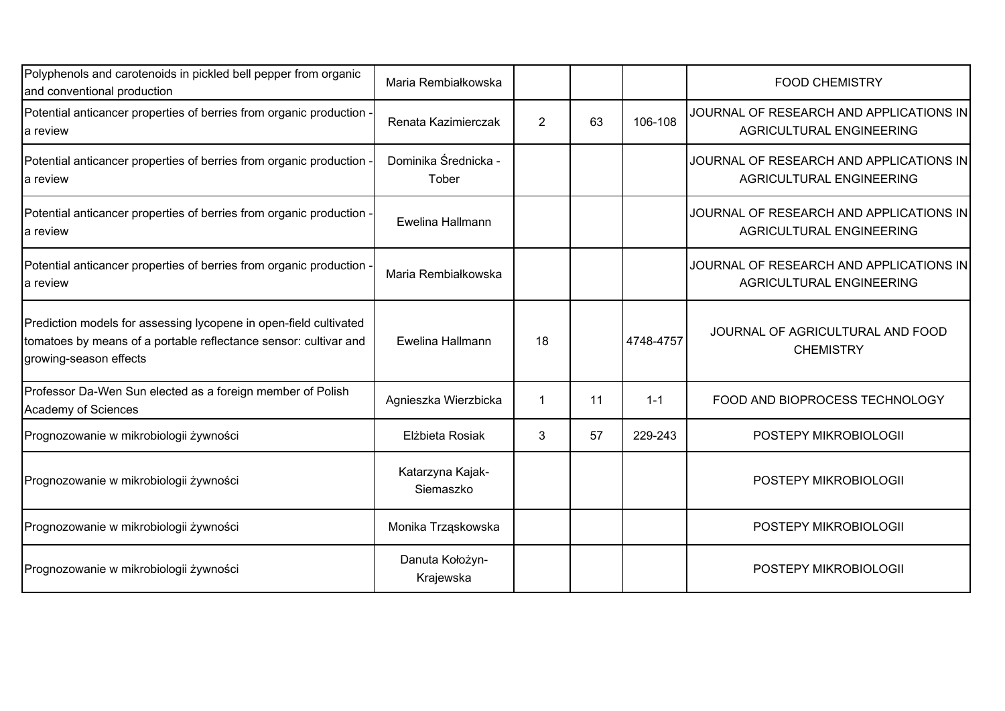| Polyphenols and carotenoids in pickled bell pepper from organic<br>and conventional production                                                                  | Maria Rembiałkowska           |                |    |           | <b>FOOD CHEMISTRY</b>                                               |
|-----------------------------------------------------------------------------------------------------------------------------------------------------------------|-------------------------------|----------------|----|-----------|---------------------------------------------------------------------|
| Potential anticancer properties of berries from organic production<br>la review                                                                                 | Renata Kazimierczak           | $\overline{2}$ | 63 | 106-108   | JOURNAL OF RESEARCH AND APPLICATIONS IN<br>AGRICULTURAL ENGINEERING |
| Potential anticancer properties of berries from organic production<br>la review                                                                                 | Dominika Średnicka -<br>Tober |                |    |           | JOURNAL OF RESEARCH AND APPLICATIONS IN<br>AGRICULTURAL ENGINEERING |
| Potential anticancer properties of berries from organic production -<br>la review                                                                               | Ewelina Hallmann              |                |    |           | JOURNAL OF RESEARCH AND APPLICATIONS IN<br>AGRICULTURAL ENGINEERING |
| Potential anticancer properties of berries from organic production<br>la review                                                                                 | Maria Rembiałkowska           |                |    |           | JOURNAL OF RESEARCH AND APPLICATIONS IN<br>AGRICULTURAL ENGINEERING |
| Prediction models for assessing lycopene in open-field cultivated<br>tomatoes by means of a portable reflectance sensor: cultivar and<br>growing-season effects | Ewelina Hallmann              | 18             |    | 4748-4757 | JOURNAL OF AGRICULTURAL AND FOOD<br><b>CHEMISTRY</b>                |
| Professor Da-Wen Sun elected as a foreign member of Polish<br>Academy of Sciences                                                                               | Agnieszka Wierzbicka          | 1              | 11 | $1 - 1$   | FOOD AND BIOPROCESS TECHNOLOGY                                      |
| Prognozowanie w mikrobiologii żywności                                                                                                                          | Elżbieta Rosiak               | 3              | 57 | 229-243   | POSTEPY MIKROBIOLOGII                                               |
| Prognozowanie w mikrobiologii żywności                                                                                                                          | Katarzyna Kajak-<br>Siemaszko |                |    |           | POSTEPY MIKROBIOLOGII                                               |
| Prognozowanie w mikrobiologii żywności                                                                                                                          | Monika Trząskowska            |                |    |           | POSTEPY MIKROBIOLOGII                                               |
| Prognozowanie w mikrobiologii żywności                                                                                                                          | Danuta Kołożyn-<br>Krajewska  |                |    |           | POSTEPY MIKROBIOLOGII                                               |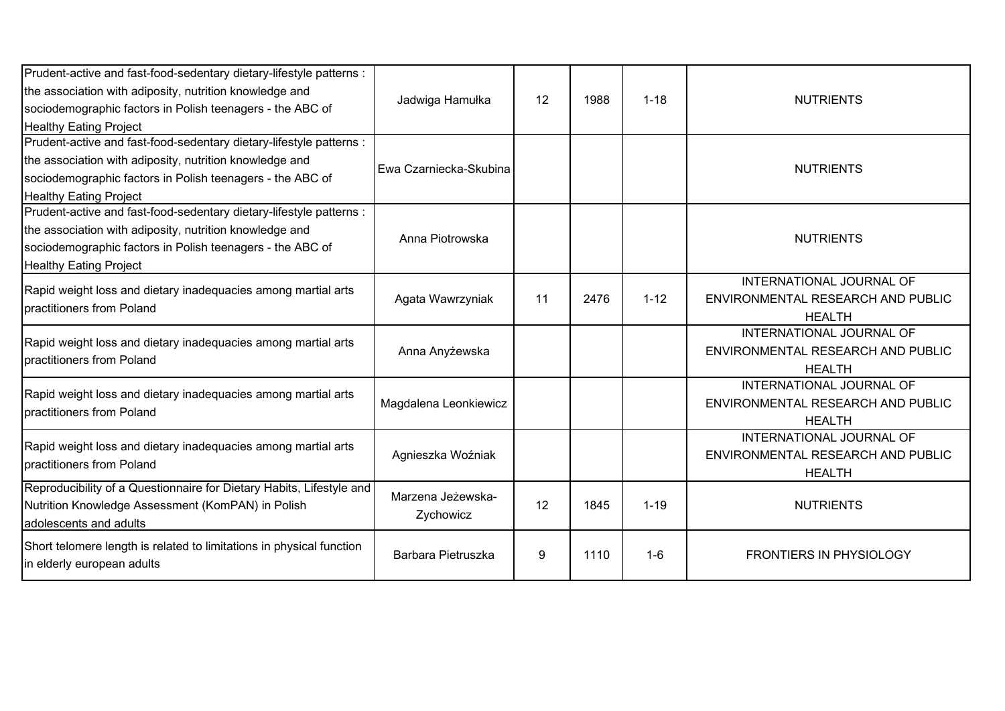| Prudent-active and fast-food-sedentary dietary-lifestyle patterns :<br>the association with adiposity, nutrition knowledge and<br>sociodemographic factors in Polish teenagers - the ABC of<br><b>Healthy Eating Project</b> | Jadwiga Hamułka                | 12 | 1988 | $1 - 18$ | <b>NUTRIENTS</b>                                                               |
|------------------------------------------------------------------------------------------------------------------------------------------------------------------------------------------------------------------------------|--------------------------------|----|------|----------|--------------------------------------------------------------------------------|
| Prudent-active and fast-food-sedentary dietary-lifestyle patterns :<br>the association with adiposity, nutrition knowledge and<br>sociodemographic factors in Polish teenagers - the ABC of<br><b>Healthy Eating Project</b> | Ewa Czarniecka-Skubina         |    |      |          | <b>NUTRIENTS</b>                                                               |
| Prudent-active and fast-food-sedentary dietary-lifestyle patterns :<br>the association with adiposity, nutrition knowledge and<br>sociodemographic factors in Polish teenagers - the ABC of<br><b>Healthy Eating Project</b> | Anna Piotrowska                |    |      |          | <b>NUTRIENTS</b>                                                               |
| Rapid weight loss and dietary inadequacies among martial arts<br>practitioners from Poland                                                                                                                                   | Agata Wawrzyniak               | 11 | 2476 | $1 - 12$ | INTERNATIONAL JOURNAL OF<br>ENVIRONMENTAL RESEARCH AND PUBLIC<br><b>HEALTH</b> |
| Rapid weight loss and dietary inadequacies among martial arts<br>practitioners from Poland                                                                                                                                   | Anna Anyżewska                 |    |      |          | INTERNATIONAL JOURNAL OF<br>ENVIRONMENTAL RESEARCH AND PUBLIC<br><b>HEALTH</b> |
| Rapid weight loss and dietary inadequacies among martial arts<br>practitioners from Poland                                                                                                                                   | Magdalena Leonkiewicz          |    |      |          | INTERNATIONAL JOURNAL OF<br>ENVIRONMENTAL RESEARCH AND PUBLIC<br><b>HEALTH</b> |
| Rapid weight loss and dietary inadequacies among martial arts<br>practitioners from Poland                                                                                                                                   | Agnieszka Woźniak              |    |      |          | INTERNATIONAL JOURNAL OF<br>ENVIRONMENTAL RESEARCH AND PUBLIC<br><b>HEALTH</b> |
| Reproducibility of a Questionnaire for Dietary Habits, Lifestyle and<br>Nutrition Knowledge Assessment (KomPAN) in Polish<br>adolescents and adults                                                                          | Marzena Jeżewska-<br>Zychowicz | 12 | 1845 | $1 - 19$ | <b>NUTRIENTS</b>                                                               |
| Short telomere length is related to limitations in physical function<br>in elderly european adults                                                                                                                           | Barbara Pietruszka             | 9  | 1110 | $1-6$    | <b>FRONTIERS IN PHYSIOLOGY</b>                                                 |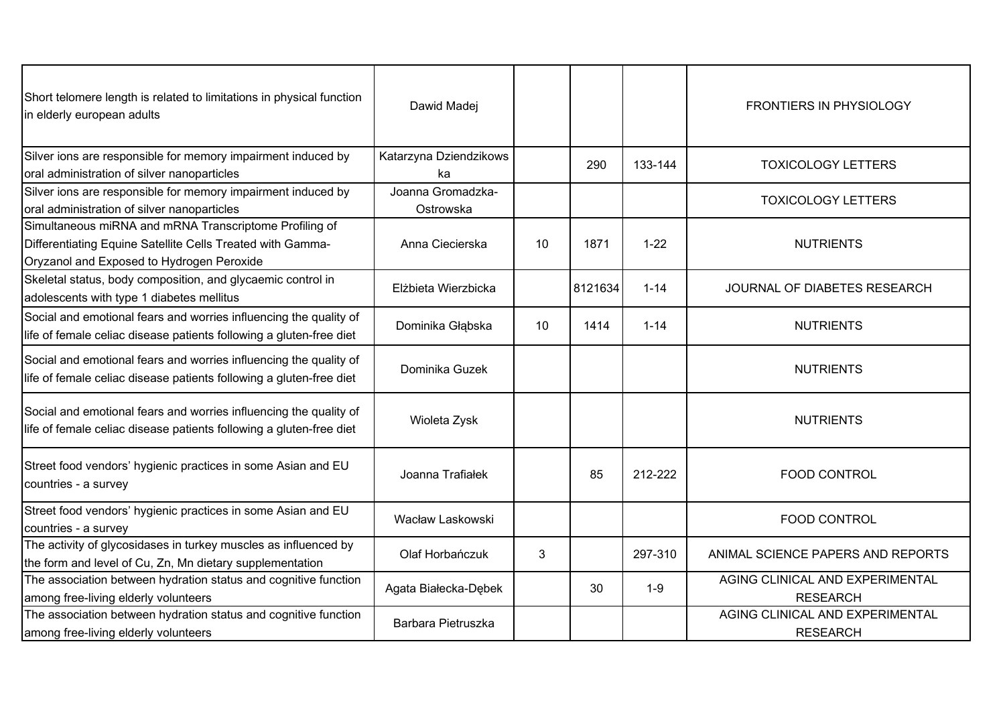| Short telomere length is related to limitations in physical function<br>in elderly european adults                                                                | Dawid Madej                    |    |         |          | <b>FRONTIERS IN PHYSIOLOGY</b>                     |
|-------------------------------------------------------------------------------------------------------------------------------------------------------------------|--------------------------------|----|---------|----------|----------------------------------------------------|
| Silver ions are responsible for memory impairment induced by<br>oral administration of silver nanoparticles                                                       | Katarzyna Dziendzikows<br>ka   |    | 290     | 133-144  | <b>TOXICOLOGY LETTERS</b>                          |
| Silver ions are responsible for memory impairment induced by<br>oral administration of silver nanoparticles                                                       | Joanna Gromadzka-<br>Ostrowska |    |         |          | <b>TOXICOLOGY LETTERS</b>                          |
| Simultaneous miRNA and mRNA Transcriptome Profiling of<br>Differentiating Equine Satellite Cells Treated with Gamma-<br>Oryzanol and Exposed to Hydrogen Peroxide | Anna Ciecierska                | 10 | 1871    | $1 - 22$ | <b>NUTRIENTS</b>                                   |
| Skeletal status, body composition, and glycaemic control in<br>adolescents with type 1 diabetes mellitus                                                          | Elżbieta Wierzbicka            |    | 8121634 | $1 - 14$ | JOURNAL OF DIABETES RESEARCH                       |
| Social and emotional fears and worries influencing the quality of<br>life of female celiac disease patients following a gluten-free diet                          | Dominika Głąbska               | 10 | 1414    | $1 - 14$ | <b>NUTRIENTS</b>                                   |
| Social and emotional fears and worries influencing the quality of<br>life of female celiac disease patients following a gluten-free diet                          | Dominika Guzek                 |    |         |          | <b>NUTRIENTS</b>                                   |
| Social and emotional fears and worries influencing the quality of<br>life of female celiac disease patients following a gluten-free diet                          | Wioleta Zysk                   |    |         |          | <b>NUTRIENTS</b>                                   |
| Street food vendors' hygienic practices in some Asian and EU<br>countries - a survey                                                                              | Joanna Trafiałek               |    | 85      | 212-222  | <b>FOOD CONTROL</b>                                |
| Street food vendors' hygienic practices in some Asian and EU<br>countries - a survey                                                                              | Wacław Laskowski               |    |         |          | <b>FOOD CONTROL</b>                                |
| The activity of glycosidases in turkey muscles as influenced by<br>the form and level of Cu, Zn, Mn dietary supplementation                                       | Olaf Horbańczuk                | 3  |         | 297-310  | ANIMAL SCIENCE PAPERS AND REPORTS                  |
| The association between hydration status and cognitive function<br>among free-living elderly volunteers                                                           | Agata Białecka-Dębek           |    | 30      | $1 - 9$  | AGING CLINICAL AND EXPERIMENTAL<br><b>RESEARCH</b> |
| The association between hydration status and cognitive function<br>among free-living elderly volunteers                                                           | Barbara Pietruszka             |    |         |          | AGING CLINICAL AND EXPERIMENTAL<br><b>RESEARCH</b> |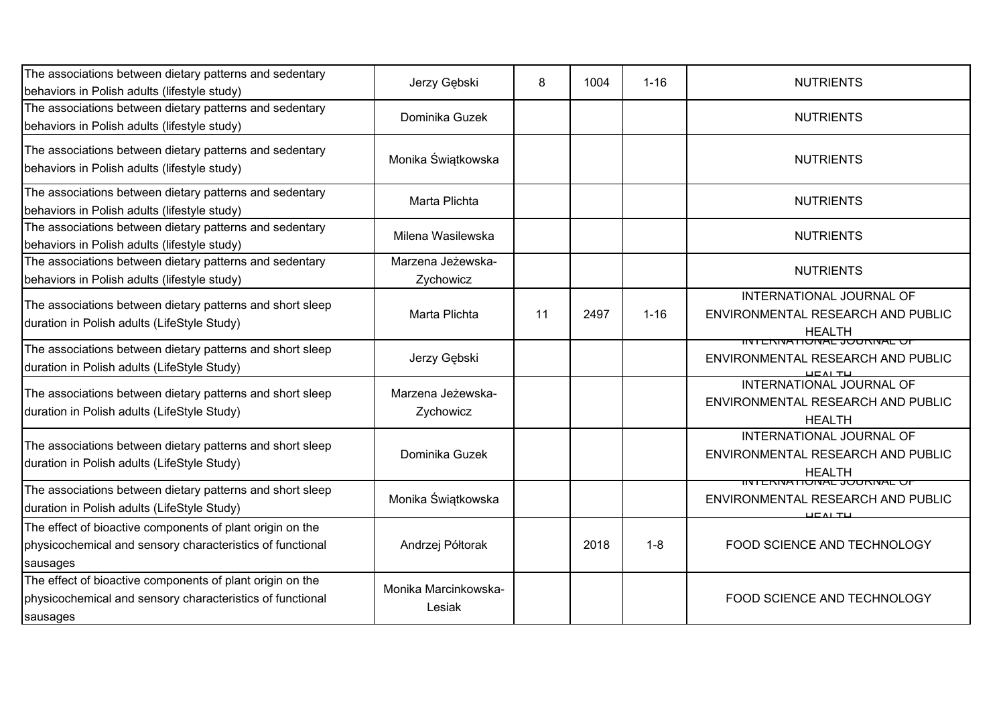| The associations between dietary patterns and sedentary<br>behaviors in Polish adults (lifestyle study)                            | Jerzy Gębski                   | 8  | 1004 | $1 - 16$ | <b>NUTRIENTS</b>                                                                               |
|------------------------------------------------------------------------------------------------------------------------------------|--------------------------------|----|------|----------|------------------------------------------------------------------------------------------------|
| The associations between dietary patterns and sedentary<br>behaviors in Polish adults (lifestyle study)                            | Dominika Guzek                 |    |      |          | <b>NUTRIENTS</b>                                                                               |
| The associations between dietary patterns and sedentary<br>behaviors in Polish adults (lifestyle study)                            | Monika Świątkowska             |    |      |          | <b>NUTRIENTS</b>                                                                               |
| The associations between dietary patterns and sedentary<br>behaviors in Polish adults (lifestyle study)                            | Marta Plichta                  |    |      |          | <b>NUTRIENTS</b>                                                                               |
| The associations between dietary patterns and sedentary<br>behaviors in Polish adults (lifestyle study)                            | Milena Wasilewska              |    |      |          | <b>NUTRIENTS</b>                                                                               |
| The associations between dietary patterns and sedentary<br>behaviors in Polish adults (lifestyle study)                            | Marzena Jeżewska-<br>Zychowicz |    |      |          | <b>NUTRIENTS</b>                                                                               |
| The associations between dietary patterns and short sleep<br>duration in Polish adults (LifeStyle Study)                           | Marta Plichta                  | 11 | 2497 | $1 - 16$ | INTERNATIONAL JOURNAL OF<br>ENVIRONMENTAL RESEARCH AND PUBLIC<br><b>HEALTH</b>                 |
| The associations between dietary patterns and short sleep<br>duration in Polish adults (LifeStyle Study)                           | Jerzy Gębski                   |    |      |          | <u>IINTENNATIONAE JOUNNAE OF</u><br>ENVIRONMENTAL RESEARCH AND PUBLIC                          |
| The associations between dietary patterns and short sleep<br>duration in Polish adults (LifeStyle Study)                           | Marzena Jeżewska-<br>Zychowicz |    |      |          | INTERNATIONAL JOURNAL OF<br>ENVIRONMENTAL RESEARCH AND PUBLIC<br><b>HEALTH</b>                 |
| The associations between dietary patterns and short sleep<br>duration in Polish adults (LifeStyle Study)                           | Dominika Guzek                 |    |      |          | INTERNATIONAL JOURNAL OF<br>ENVIRONMENTAL RESEARCH AND PUBLIC<br><b>HEALTH</b>                 |
| The associations between dietary patterns and short sleep<br>duration in Polish adults (LifeStyle Study)                           | Monika Świątkowska             |    |      |          | וועד בו <i>לוארו</i> זטעג איז אוייטון איז די אוי<br>ENVIRONMENTAL RESEARCH AND PUBLIC<br>ᄔᄃᄭᅩᄔ |
| The effect of bioactive components of plant origin on the<br>physicochemical and sensory characteristics of functional<br>sausages | Andrzej Półtorak               |    | 2018 | $1 - 8$  | FOOD SCIENCE AND TECHNOLOGY                                                                    |
| The effect of bioactive components of plant origin on the<br>physicochemical and sensory characteristics of functional<br>sausages | Monika Marcinkowska-<br>Lesiak |    |      |          | FOOD SCIENCE AND TECHNOLOGY                                                                    |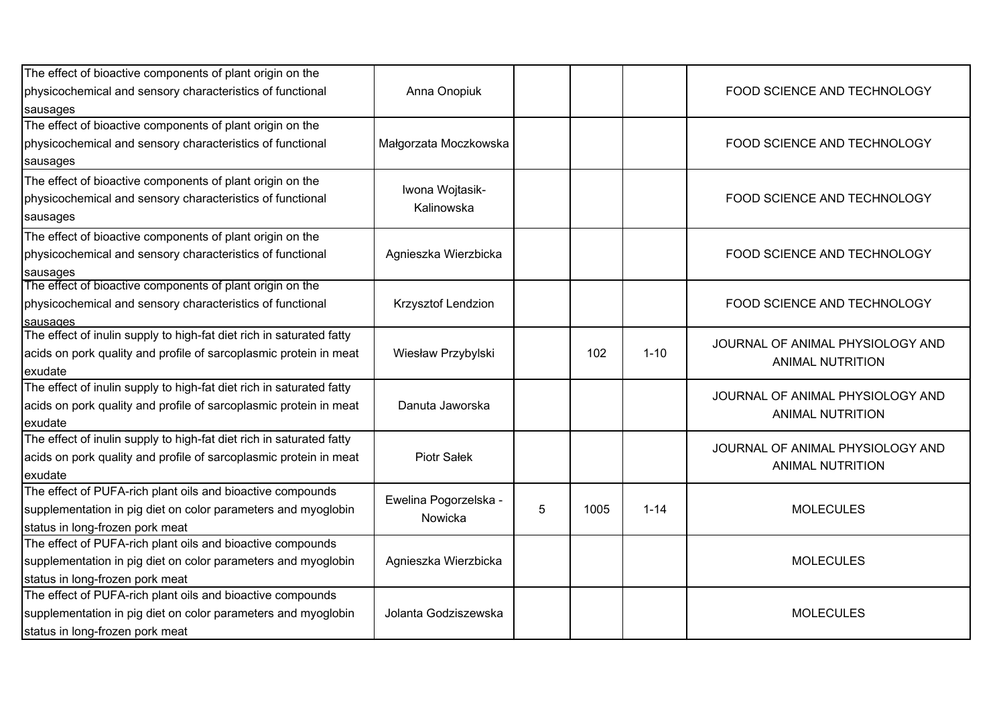| The effect of bioactive components of plant origin on the            |                       |   |      |          |                                  |
|----------------------------------------------------------------------|-----------------------|---|------|----------|----------------------------------|
| physicochemical and sensory characteristics of functional            | Anna Onopiuk          |   |      |          | FOOD SCIENCE AND TECHNOLOGY      |
| sausages                                                             |                       |   |      |          |                                  |
| The effect of bioactive components of plant origin on the            |                       |   |      |          |                                  |
| physicochemical and sensory characteristics of functional            | Małgorzata Moczkowska |   |      |          | FOOD SCIENCE AND TECHNOLOGY      |
| sausages                                                             |                       |   |      |          |                                  |
| The effect of bioactive components of plant origin on the            |                       |   |      |          |                                  |
| physicochemical and sensory characteristics of functional            | Iwona Wojtasik-       |   |      |          | FOOD SCIENCE AND TECHNOLOGY      |
| sausages                                                             | Kalinowska            |   |      |          |                                  |
| The effect of bioactive components of plant origin on the            |                       |   |      |          |                                  |
| physicochemical and sensory characteristics of functional            | Agnieszka Wierzbicka  |   |      |          | FOOD SCIENCE AND TECHNOLOGY      |
| sausages                                                             |                       |   |      |          |                                  |
| The effect of bioactive components of plant origin on the            |                       |   |      |          |                                  |
| physicochemical and sensory characteristics of functional            | Krzysztof Lendzion    |   |      |          | FOOD SCIENCE AND TECHNOLOGY      |
| sausages                                                             |                       |   |      |          |                                  |
| The effect of inulin supply to high-fat diet rich in saturated fatty |                       |   |      |          | JOURNAL OF ANIMAL PHYSIOLOGY AND |
| acids on pork quality and profile of sarcoplasmic protein in meat    | Wiesław Przybylski    |   | 102  | $1 - 10$ | <b>ANIMAL NUTRITION</b>          |
| exudate                                                              |                       |   |      |          |                                  |
| The effect of inulin supply to high-fat diet rich in saturated fatty |                       |   |      |          | JOURNAL OF ANIMAL PHYSIOLOGY AND |
| acids on pork quality and profile of sarcoplasmic protein in meat    | Danuta Jaworska       |   |      |          | <b>ANIMAL NUTRITION</b>          |
| exudate                                                              |                       |   |      |          |                                  |
| The effect of inulin supply to high-fat diet rich in saturated fatty |                       |   |      |          | JOURNAL OF ANIMAL PHYSIOLOGY AND |
| acids on pork quality and profile of sarcoplasmic protein in meat    | Piotr Sałek           |   |      |          | <b>ANIMAL NUTRITION</b>          |
| exudate                                                              |                       |   |      |          |                                  |
| The effect of PUFA-rich plant oils and bioactive compounds           | Ewelina Pogorzelska - |   |      |          |                                  |
| supplementation in pig diet on color parameters and myoglobin        | Nowicka               | 5 | 1005 | $1 - 14$ | <b>MOLECULES</b>                 |
| status in long-frozen pork meat                                      |                       |   |      |          |                                  |
| The effect of PUFA-rich plant oils and bioactive compounds           |                       |   |      |          |                                  |
| supplementation in pig diet on color parameters and myoglobin        | Agnieszka Wierzbicka  |   |      |          | <b>MOLECULES</b>                 |
| status in long-frozen pork meat                                      |                       |   |      |          |                                  |
| The effect of PUFA-rich plant oils and bioactive compounds           |                       |   |      |          |                                  |
| supplementation in pig diet on color parameters and myoglobin        | Jolanta Godziszewska  |   |      |          | <b>MOLECULES</b>                 |
| status in long-frozen pork meat                                      |                       |   |      |          |                                  |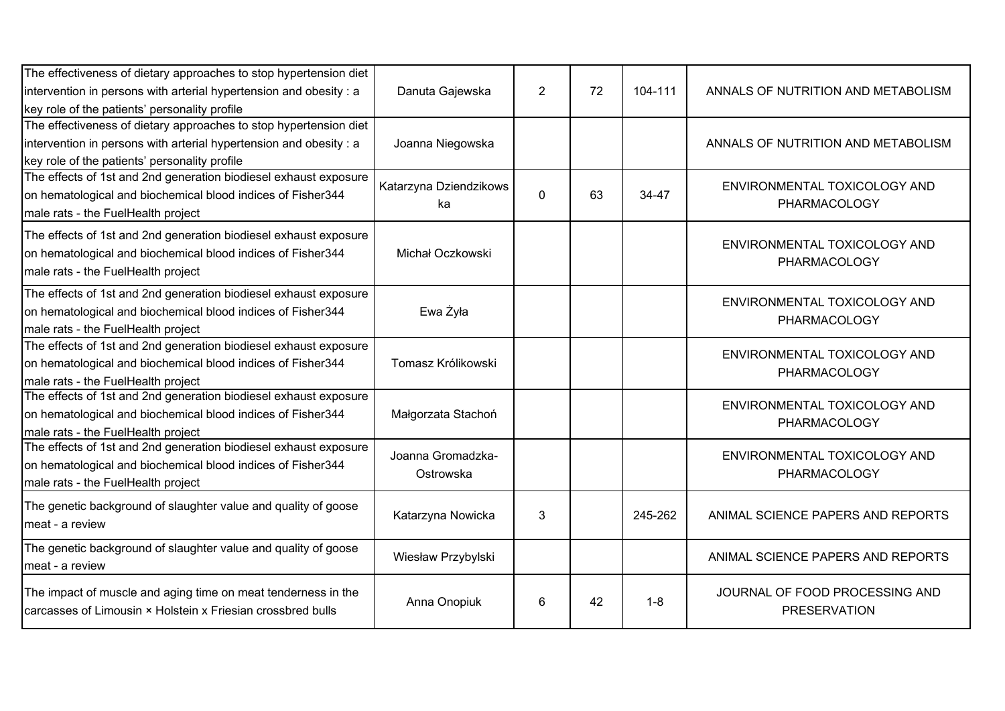| The effectiveness of dietary approaches to stop hypertension diet                                                            |                        |                |    |         |                                                       |
|------------------------------------------------------------------------------------------------------------------------------|------------------------|----------------|----|---------|-------------------------------------------------------|
| intervention in persons with arterial hypertension and obesity : a<br>key role of the patients' personality profile          | Danuta Gajewska        | $\overline{2}$ | 72 | 104-111 | ANNALS OF NUTRITION AND METABOLISM                    |
| The effectiveness of dietary approaches to stop hypertension diet                                                            |                        |                |    |         |                                                       |
| intervention in persons with arterial hypertension and obesity: a                                                            | Joanna Niegowska       |                |    |         | ANNALS OF NUTRITION AND METABOLISM                    |
| key role of the patients' personality profile                                                                                |                        |                |    |         |                                                       |
| The effects of 1st and 2nd generation biodiesel exhaust exposure                                                             |                        |                |    |         |                                                       |
| on hematological and biochemical blood indices of Fisher344                                                                  | Katarzyna Dziendzikows | $\Omega$       | 63 | 34-47   | ENVIRONMENTAL TOXICOLOGY AND                          |
| male rats - the FuelHealth project                                                                                           | ka                     |                |    |         | PHARMACOLOGY                                          |
|                                                                                                                              |                        |                |    |         |                                                       |
| The effects of 1st and 2nd generation biodiesel exhaust exposure                                                             |                        |                |    |         | ENVIRONMENTAL TOXICOLOGY AND                          |
| on hematological and biochemical blood indices of Fisher344                                                                  | Michał Oczkowski       |                |    |         | PHARMACOLOGY                                          |
| male rats - the FuelHealth project                                                                                           |                        |                |    |         |                                                       |
| The effects of 1st and 2nd generation biodiesel exhaust exposure                                                             |                        |                |    |         | ENVIRONMENTAL TOXICOLOGY AND                          |
| on hematological and biochemical blood indices of Fisher344                                                                  | Ewa Żyła               |                |    |         |                                                       |
| male rats - the FuelHealth project                                                                                           |                        |                |    |         | PHARMACOLOGY                                          |
| The effects of 1st and 2nd generation biodiesel exhaust exposure                                                             |                        |                |    |         | ENVIRONMENTAL TOXICOLOGY AND                          |
| on hematological and biochemical blood indices of Fisher344                                                                  | Tomasz Królikowski     |                |    |         | PHARMACOLOGY                                          |
| male rats - the FuelHealth project                                                                                           |                        |                |    |         |                                                       |
| The effects of 1st and 2nd generation biodiesel exhaust exposure                                                             |                        |                |    |         | ENVIRONMENTAL TOXICOLOGY AND                          |
| on hematological and biochemical blood indices of Fisher344                                                                  | Małgorzata Stachoń     |                |    |         | PHARMACOLOGY                                          |
| male rats - the FuelHealth project                                                                                           |                        |                |    |         |                                                       |
| The effects of 1st and 2nd generation biodiesel exhaust exposure                                                             | Joanna Gromadzka-      |                |    |         | ENVIRONMENTAL TOXICOLOGY AND                          |
| on hematological and biochemical blood indices of Fisher344                                                                  | Ostrowska              |                |    |         | PHARMACOLOGY                                          |
| male rats - the FuelHealth project                                                                                           |                        |                |    |         |                                                       |
| The genetic background of slaughter value and quality of goose                                                               |                        |                |    |         |                                                       |
| meat - a review                                                                                                              | Katarzyna Nowicka      | 3              |    | 245-262 | ANIMAL SCIENCE PAPERS AND REPORTS                     |
|                                                                                                                              |                        |                |    |         |                                                       |
| The genetic background of slaughter value and quality of goose                                                               | Wiesław Przybylski     |                |    |         | ANIMAL SCIENCE PAPERS AND REPORTS                     |
| meat - a review                                                                                                              |                        |                |    |         |                                                       |
| The impact of muscle and aging time on meat tenderness in the<br>carcasses of Limousin × Holstein x Friesian crossbred bulls | Anna Onopiuk           | 6              | 42 | $1 - 8$ | JOURNAL OF FOOD PROCESSING AND<br><b>PRESERVATION</b> |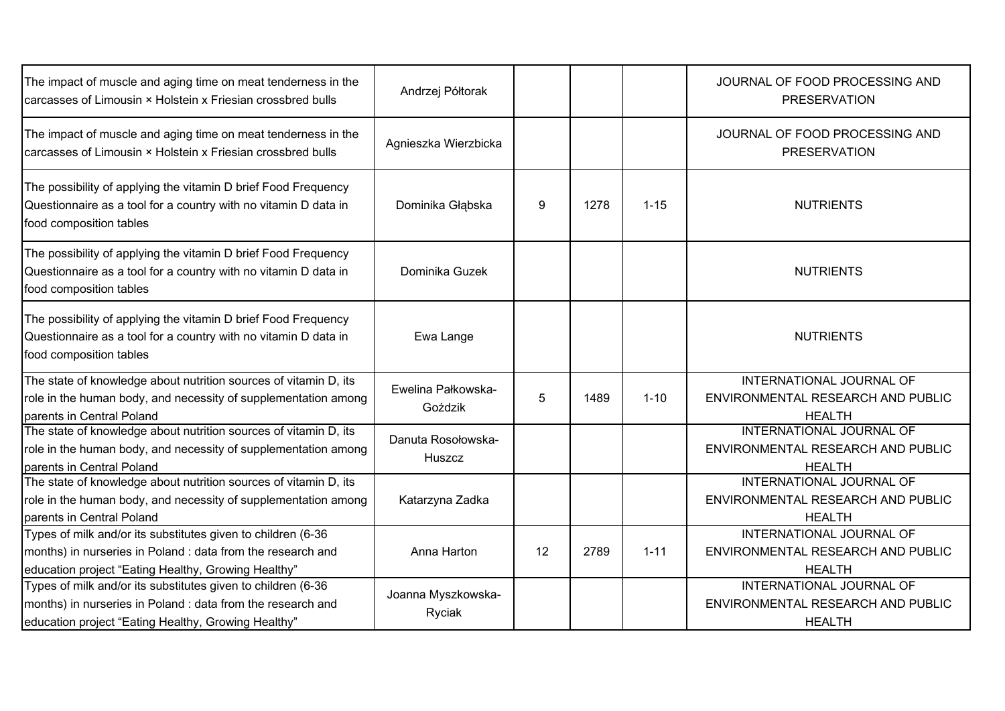| The impact of muscle and aging time on meat tenderness in the<br>carcasses of Limousin × Holstein x Friesian crossbred bulls                                                       | Andrzej Półtorak              |    |      |          | JOURNAL OF FOOD PROCESSING AND<br><b>PRESERVATION</b>                                 |
|------------------------------------------------------------------------------------------------------------------------------------------------------------------------------------|-------------------------------|----|------|----------|---------------------------------------------------------------------------------------|
| The impact of muscle and aging time on meat tenderness in the<br>carcasses of Limousin × Holstein x Friesian crossbred bulls                                                       | Agnieszka Wierzbicka          |    |      |          | JOURNAL OF FOOD PROCESSING AND<br><b>PRESERVATION</b>                                 |
| The possibility of applying the vitamin D brief Food Frequency<br>Questionnaire as a tool for a country with no vitamin D data in<br>food composition tables                       | Dominika Głąbska              | 9  | 1278 | $1 - 15$ | <b>NUTRIENTS</b>                                                                      |
| The possibility of applying the vitamin D brief Food Frequency<br>Questionnaire as a tool for a country with no vitamin D data in<br>food composition tables                       | Dominika Guzek                |    |      |          | <b>NUTRIENTS</b>                                                                      |
| The possibility of applying the vitamin D brief Food Frequency<br>Questionnaire as a tool for a country with no vitamin D data in<br>food composition tables                       | Ewa Lange                     |    |      |          | <b>NUTRIENTS</b>                                                                      |
| The state of knowledge about nutrition sources of vitamin D, its<br>role in the human body, and necessity of supplementation among<br>parents in Central Poland                    | Ewelina Pałkowska-<br>Goździk | 5  | 1489 | $1 - 10$ | INTERNATIONAL JOURNAL OF<br>ENVIRONMENTAL RESEARCH AND PUBLIC<br><b>HEALTH</b>        |
| The state of knowledge about nutrition sources of vitamin D, its<br>role in the human body, and necessity of supplementation among<br>parents in Central Poland                    | Danuta Rosołowska-<br>Huszcz  |    |      |          | INTERNATIONAL JOURNAL OF<br>ENVIRONMENTAL RESEARCH AND PUBLIC<br><b>HEALTH</b>        |
| The state of knowledge about nutrition sources of vitamin D, its<br>role in the human body, and necessity of supplementation among<br>parents in Central Poland                    | Katarzyna Zadka               |    |      |          | INTERNATIONAL JOURNAL OF<br>ENVIRONMENTAL RESEARCH AND PUBLIC<br><b>HEALTH</b>        |
| Types of milk and/or its substitutes given to children (6-36<br>months) in nurseries in Poland : data from the research and<br>education project "Eating Healthy, Growing Healthy" | Anna Harton                   | 12 | 2789 | $1 - 11$ | INTERNATIONAL JOURNAL OF<br>ENVIRONMENTAL RESEARCH AND PUBLIC<br><b>HEALTH</b>        |
| Types of milk and/or its substitutes given to children (6-36<br>months) in nurseries in Poland : data from the research and<br>education project "Eating Healthy, Growing Healthy" | Joanna Myszkowska-<br>Ryciak  |    |      |          | <b>INTERNATIONAL JOURNAL OF</b><br>ENVIRONMENTAL RESEARCH AND PUBLIC<br><b>HEALTH</b> |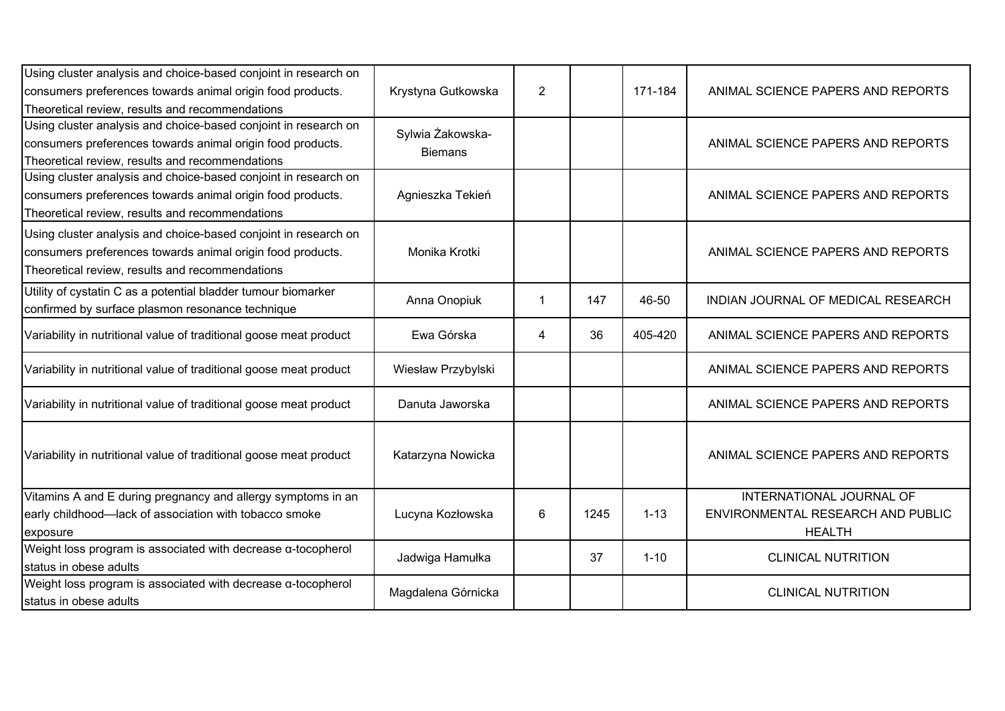| Using cluster analysis and choice-based conjoint in research on<br>consumers preferences towards animal origin food products.<br>Theoretical review, results and recommendations | Krystyna Gutkowska                 | $\overline{2}$ |      | 171-184  | ANIMAL SCIENCE PAPERS AND REPORTS                                              |
|----------------------------------------------------------------------------------------------------------------------------------------------------------------------------------|------------------------------------|----------------|------|----------|--------------------------------------------------------------------------------|
| Using cluster analysis and choice-based conjoint in research on<br>consumers preferences towards animal origin food products.<br>Theoretical review, results and recommendations | Sylwia Żakowska-<br><b>Biemans</b> |                |      |          | ANIMAL SCIENCE PAPERS AND REPORTS                                              |
| Using cluster analysis and choice-based conjoint in research on<br>consumers preferences towards animal origin food products.<br>Theoretical review, results and recommendations | Agnieszka Tekień                   |                |      |          | ANIMAL SCIENCE PAPERS AND REPORTS                                              |
| Using cluster analysis and choice-based conjoint in research on<br>consumers preferences towards animal origin food products.<br>Theoretical review, results and recommendations | Monika Krotki                      |                |      |          | ANIMAL SCIENCE PAPERS AND REPORTS                                              |
| Utility of cystatin C as a potential bladder tumour biomarker<br>confirmed by surface plasmon resonance technique                                                                | Anna Onopiuk                       |                | 147  | 46-50    | INDIAN JOURNAL OF MEDICAL RESEARCH                                             |
| Variability in nutritional value of traditional goose meat product                                                                                                               | Ewa Górska                         | 4              | 36   | 405-420  | ANIMAL SCIENCE PAPERS AND REPORTS                                              |
| Variability in nutritional value of traditional goose meat product                                                                                                               | Wiesław Przybylski                 |                |      |          | ANIMAL SCIENCE PAPERS AND REPORTS                                              |
| Variability in nutritional value of traditional goose meat product                                                                                                               | Danuta Jaworska                    |                |      |          | ANIMAL SCIENCE PAPERS AND REPORTS                                              |
| Variability in nutritional value of traditional goose meat product                                                                                                               | Katarzyna Nowicka                  |                |      |          | ANIMAL SCIENCE PAPERS AND REPORTS                                              |
| Vitamins A and E during pregnancy and allergy symptoms in an<br>early childhood-lack of association with tobacco smoke<br>exposure                                               | Lucyna Kozłowska                   | 6              | 1245 | $1 - 13$ | INTERNATIONAL JOURNAL OF<br>ENVIRONMENTAL RESEARCH AND PUBLIC<br><b>HEALTH</b> |
| Weight loss program is associated with decrease $\alpha$ -tocopherol<br>status in obese adults                                                                                   | Jadwiga Hamułka                    |                | 37   | $1 - 10$ | <b>CLINICAL NUTRITION</b>                                                      |
| Weight loss program is associated with decrease a-tocopherol<br>status in obese adults                                                                                           | Magdalena Górnicka                 |                |      |          | <b>CLINICAL NUTRITION</b>                                                      |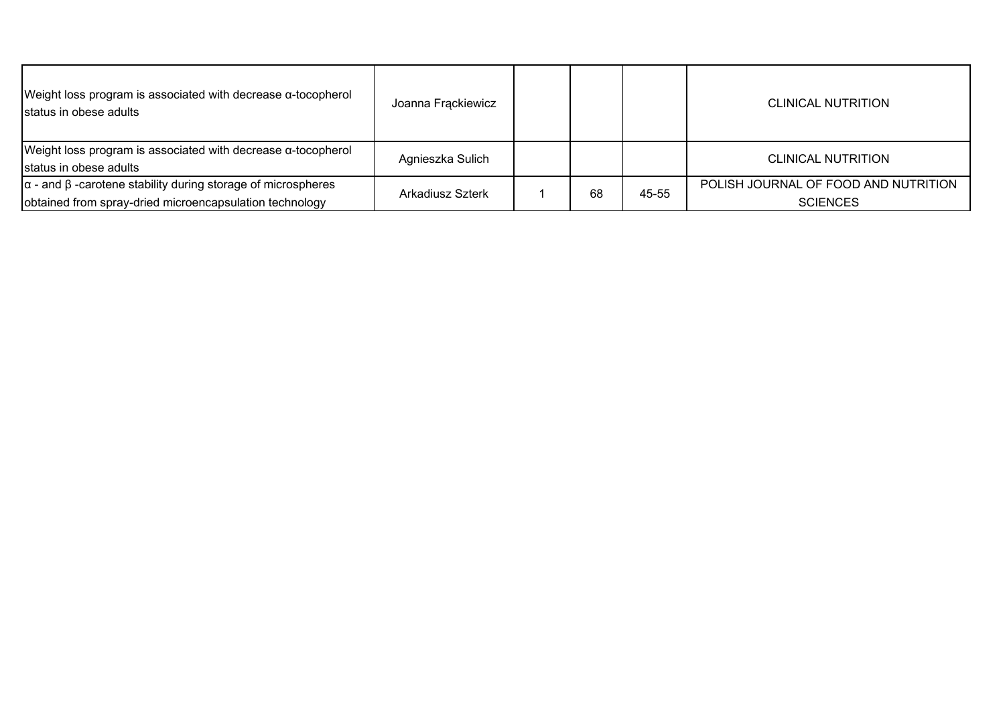| Weight loss program is associated with decrease $\alpha$ -tocopherol<br>status in obese adults | Joanna Frackiewicz |    |       | <b>CLINICAL NUTRITION</b>            |
|------------------------------------------------------------------------------------------------|--------------------|----|-------|--------------------------------------|
| Weight loss program is associated with decrease $\alpha$ -tocopherol                           | Agnieszka Sulich   |    |       | CLINICAL NUTRITION                   |
| status in obese adults                                                                         |                    |    |       |                                      |
| $\alpha$ - and $\beta$ -carotene stability during storage of microspheres                      | Arkadiusz Szterk   |    | 45-55 | POLISH JOURNAL OF FOOD AND NUTRITION |
| obtained from spray-dried microencapsulation technology                                        |                    | 68 |       | <b>SCIENCES</b>                      |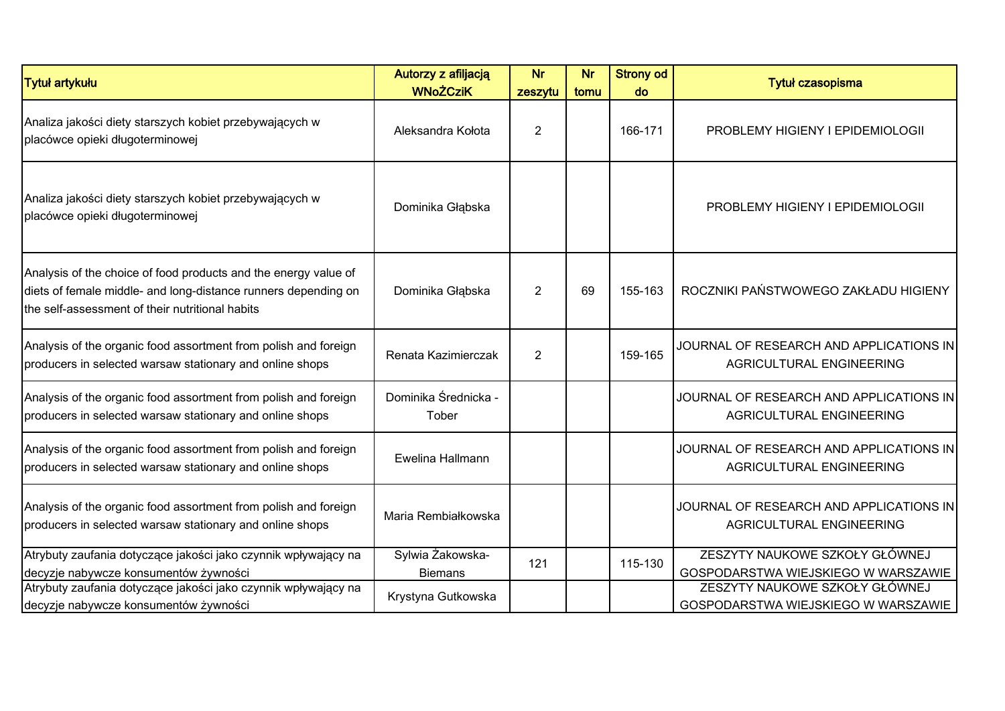| <b>Tytuł artykułu</b>                                                                                                                                                                                              | Autorzy z afiljacją<br><b>WNoŻCziK</b>                   | <b>Nr</b><br>zeszytu | <b>Nr</b><br>tomu | <b>Strony od</b><br>do | Tytuł czasopisma                                                                                                                               |
|--------------------------------------------------------------------------------------------------------------------------------------------------------------------------------------------------------------------|----------------------------------------------------------|----------------------|-------------------|------------------------|------------------------------------------------------------------------------------------------------------------------------------------------|
| Analiza jakości diety starszych kobiet przebywających w<br>placówce opieki długoterminowej                                                                                                                         | Aleksandra Kołota                                        | $\overline{2}$       |                   | 166-171                | PROBLEMY HIGIENY I EPIDEMIOLOGII                                                                                                               |
| Analiza jakości diety starszych kobiet przebywających w<br>placówce opieki długoterminowej                                                                                                                         | Dominika Głąbska                                         |                      |                   |                        | PROBLEMY HIGIENY I EPIDEMIOLOGII                                                                                                               |
| Analysis of the choice of food products and the energy value of<br>diets of female middle- and long-distance runners depending on<br>the self-assessment of their nutritional habits                               | Dominika Głąbska                                         | $\overline{2}$       | 69                | 155-163                | ROCZNIKI PAŃSTWOWEGO ZAKŁADU HIGIENY                                                                                                           |
| Analysis of the organic food assortment from polish and foreign<br>producers in selected warsaw stationary and online shops                                                                                        | Renata Kazimierczak                                      | 2                    |                   | 159-165                | JOURNAL OF RESEARCH AND APPLICATIONS IN<br>AGRICULTURAL ENGINEERING                                                                            |
| Analysis of the organic food assortment from polish and foreign<br>producers in selected warsaw stationary and online shops                                                                                        | Dominika Średnicka -<br>Tober                            |                      |                   |                        | JOURNAL OF RESEARCH AND APPLICATIONS IN<br>AGRICULTURAL ENGINEERING                                                                            |
| Analysis of the organic food assortment from polish and foreign<br>producers in selected warsaw stationary and online shops                                                                                        | Ewelina Hallmann                                         |                      |                   |                        | JOURNAL OF RESEARCH AND APPLICATIONS IN<br>AGRICULTURAL ENGINEERING                                                                            |
| Analysis of the organic food assortment from polish and foreign<br>producers in selected warsaw stationary and online shops                                                                                        | Maria Rembiałkowska                                      |                      |                   |                        | JOURNAL OF RESEARCH AND APPLICATIONS IN<br>AGRICULTURAL ENGINEERING                                                                            |
| Atrybuty zaufania dotyczące jakości jako czynnik wpływający na<br>decyzje nabywcze konsumentów żywności<br>Atrybuty zaufania dotyczące jakości jako czynnik wpływający na<br>decyzje nabywcze konsumentów żywności | Sylwia Żakowska-<br><b>Biemans</b><br>Krystyna Gutkowska | 121                  |                   | 115-130                | ZESZYTY NAUKOWE SZKOŁY GŁÓWNEJ<br>GOSPODARSTWA WIEJSKIEGO W WARSZAWIE<br>ZESZYTY NAUKOWE SZKOŁY GŁÓWNEJ<br>GOSPODARSTWA WIEJSKIEGO W WARSZAWIE |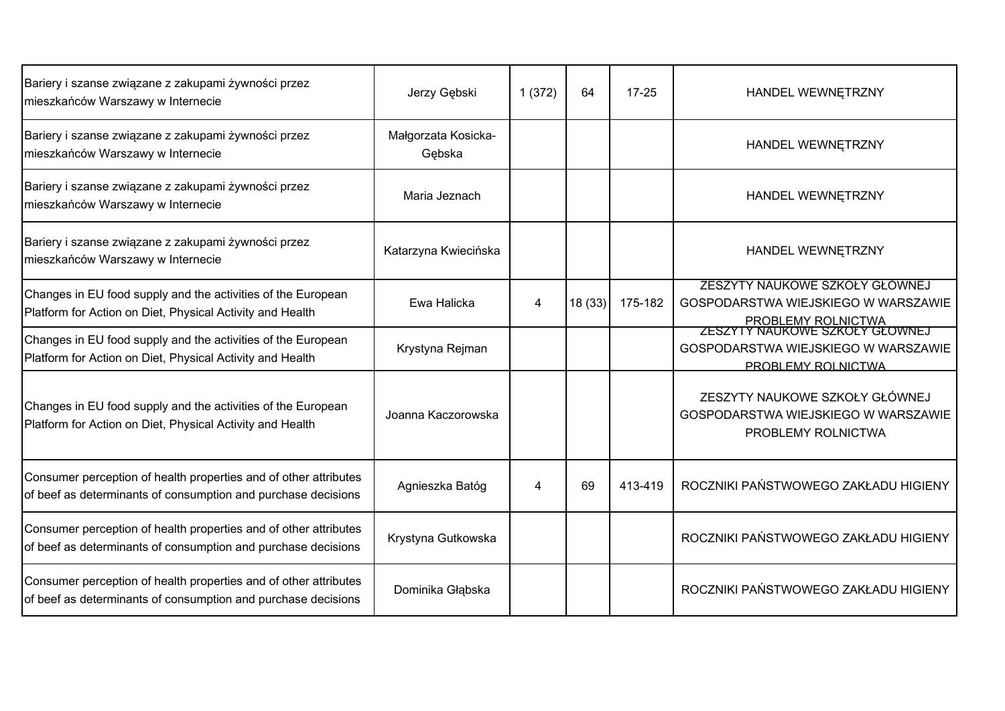| Bariery i szanse związane z zakupami żywności przez<br>mieszkańców Warszawy w Internecie                                          | Jerzy Gębski                  | 1(372) | 64     | $17 - 25$ | HANDEL WEWNETRZNY                                                                           |
|-----------------------------------------------------------------------------------------------------------------------------------|-------------------------------|--------|--------|-----------|---------------------------------------------------------------------------------------------|
| Bariery i szanse związane z zakupami żywności przez<br>mieszkańców Warszawy w Internecie                                          | Małgorzata Kosicka-<br>Gębska |        |        |           | HANDEL WEWNETRZNY                                                                           |
| Bariery i szanse związane z zakupami żywności przez<br>mieszkańców Warszawy w Internecie                                          | Maria Jeznach                 |        |        |           | HANDEL WEWNETRZNY                                                                           |
| Bariery i szanse związane z zakupami żywności przez<br>mieszkańców Warszawy w Internecie                                          | Katarzyna Kwiecińska          |        |        |           | HANDEL WEWNETRZNY                                                                           |
| Changes in EU food supply and the activities of the European<br>Platform for Action on Diet, Physical Activity and Health         | Ewa Halicka                   | 4      | 18(33) | 175-182   | ZESZYTY NAUKOWE SZKOŁY GŁÓWNEJ<br>GOSPODARSTWA WIEJSKIEGO W WARSZAWIE<br>PROBLEMY ROLNICTWA |
| Changes in EU food supply and the activities of the European<br>Platform for Action on Diet, Physical Activity and Health         | Krystyna Rejman               |        |        |           | ZESZYTY NAUKOWE SZKOŁY GŁOWNEJ<br>GOSPODARSTWA WIEJSKIEGO W WARSZAWIE<br>PROBLEMY ROLNICTWA |
| Changes in EU food supply and the activities of the European<br>Platform for Action on Diet, Physical Activity and Health         | Joanna Kaczorowska            |        |        |           | ZESZYTY NAUKOWE SZKOŁY GŁÓWNEJ<br>GOSPODARSTWA WIEJSKIEGO W WARSZAWIE<br>PROBLEMY ROLNICTWA |
| Consumer perception of health properties and of other attributes<br>of beef as determinants of consumption and purchase decisions | Agnieszka Batóg               | 4      | 69     | 413-419   | ROCZNIKI PAŃSTWOWEGO ZAKŁADU HIGIENY                                                        |
| Consumer perception of health properties and of other attributes<br>of beef as determinants of consumption and purchase decisions | Krystyna Gutkowska            |        |        |           | ROCZNIKI PAŃSTWOWEGO ZAKŁADU HIGIENY                                                        |
| Consumer perception of health properties and of other attributes<br>of beef as determinants of consumption and purchase decisions | Dominika Głąbska              |        |        |           | ROCZNIKI PAŃSTWOWEGO ZAKŁADU HIGIENY                                                        |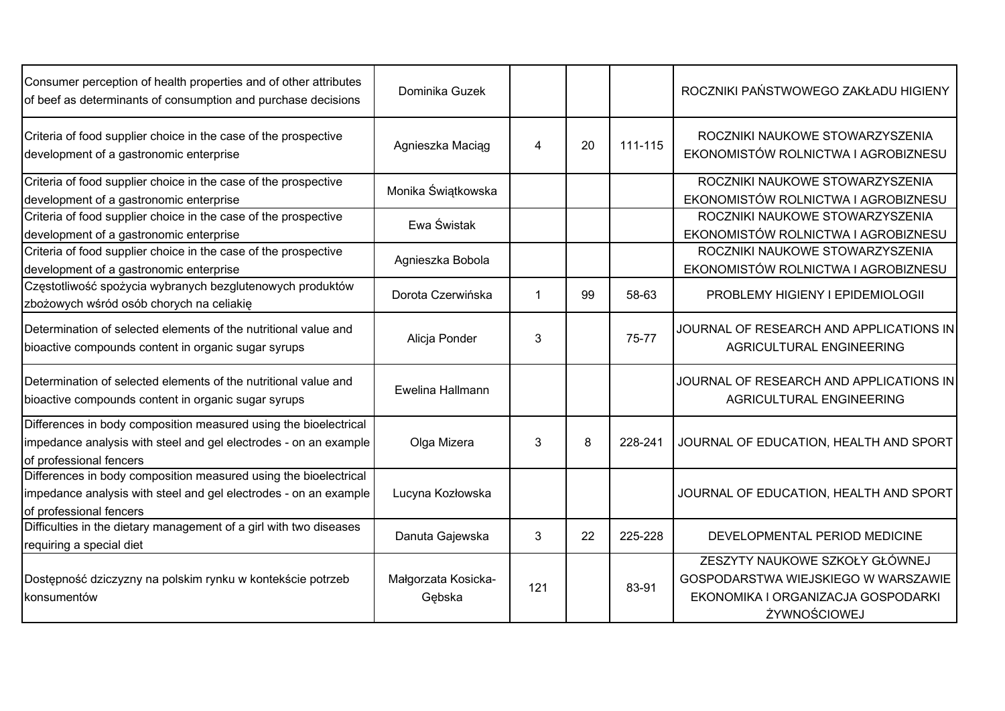| Consumer perception of health properties and of other attributes<br>of beef as determinants of consumption and purchase decisions                               | Dominika Guzek                |                      |    |         | ROCZNIKI PAŃSTWOWEGO ZAKŁADU HIGIENY                                                                                        |
|-----------------------------------------------------------------------------------------------------------------------------------------------------------------|-------------------------------|----------------------|----|---------|-----------------------------------------------------------------------------------------------------------------------------|
| Criteria of food supplier choice in the case of the prospective<br>development of a gastronomic enterprise                                                      | Agnieszka Maciąg              | $\overline{4}$       | 20 | 111-115 | ROCZNIKI NAUKOWE STOWARZYSZENIA<br>EKONOMISTÓW ROLNICTWA I AGROBIZNESU                                                      |
| Criteria of food supplier choice in the case of the prospective                                                                                                 | Monika Świątkowska            |                      |    |         | ROCZNIKI NAUKOWE STOWARZYSZENIA                                                                                             |
| development of a gastronomic enterprise                                                                                                                         |                               |                      |    |         | EKONOMISTÓW ROLNICTWA I AGROBIZNESU                                                                                         |
| Criteria of food supplier choice in the case of the prospective<br>development of a gastronomic enterprise                                                      | Ewa Świstak                   |                      |    |         | ROCZNIKI NAUKOWE STOWARZYSZENIA<br>EKONOMISTÓW ROLNICTWA I AGROBIZNESU                                                      |
| Criteria of food supplier choice in the case of the prospective<br>development of a gastronomic enterprise                                                      | Agnieszka Bobola              |                      |    |         | ROCZNIKI NAUKOWE STOWARZYSZENIA<br>EKONOMISTÓW ROLNICTWA I AGROBIZNESU                                                      |
| Częstotliwość spożycia wybranych bezglutenowych produktów<br>zbożowych wśród osób chorych na celiakię                                                           | Dorota Czerwińska             | $\blacktriangleleft$ | 99 | 58-63   | PROBLEMY HIGIENY I EPIDEMIOLOGII                                                                                            |
| Determination of selected elements of the nutritional value and<br>bioactive compounds content in organic sugar syrups                                          | Alicja Ponder                 | 3                    |    | 75-77   | JOURNAL OF RESEARCH AND APPLICATIONS IN<br>AGRICULTURAL ENGINEERING                                                         |
| Determination of selected elements of the nutritional value and<br>bioactive compounds content in organic sugar syrups                                          | Ewelina Hallmann              |                      |    |         | JOURNAL OF RESEARCH AND APPLICATIONS IN<br>AGRICULTURAL ENGINEERING                                                         |
| Differences in body composition measured using the bioelectrical<br>impedance analysis with steel and gel electrodes - on an example<br>of professional fencers | Olga Mizera                   | 3                    | 8  | 228-241 | JOURNAL OF EDUCATION, HEALTH AND SPORT                                                                                      |
| Differences in body composition measured using the bioelectrical<br>impedance analysis with steel and gel electrodes - on an example<br>of professional fencers | Lucyna Kozłowska              |                      |    |         | JOURNAL OF EDUCATION, HEALTH AND SPORT                                                                                      |
| Difficulties in the dietary management of a girl with two diseases<br>requiring a special diet                                                                  | Danuta Gajewska               | 3                    | 22 | 225-228 | DEVELOPMENTAL PERIOD MEDICINE                                                                                               |
| Dostępność dziczyzny na polskim rynku w kontekście potrzeb<br>konsumentów                                                                                       | Małgorzata Kosicka-<br>Gębska | 121                  |    | 83-91   | ZESZYTY NAUKOWE SZKOŁY GŁÓWNEJ<br>GOSPODARSTWA WIEJSKIEGO W WARSZAWIE<br>EKONOMIKA I ORGANIZACJA GOSPODARKI<br>ŻYWNOŚCIOWEJ |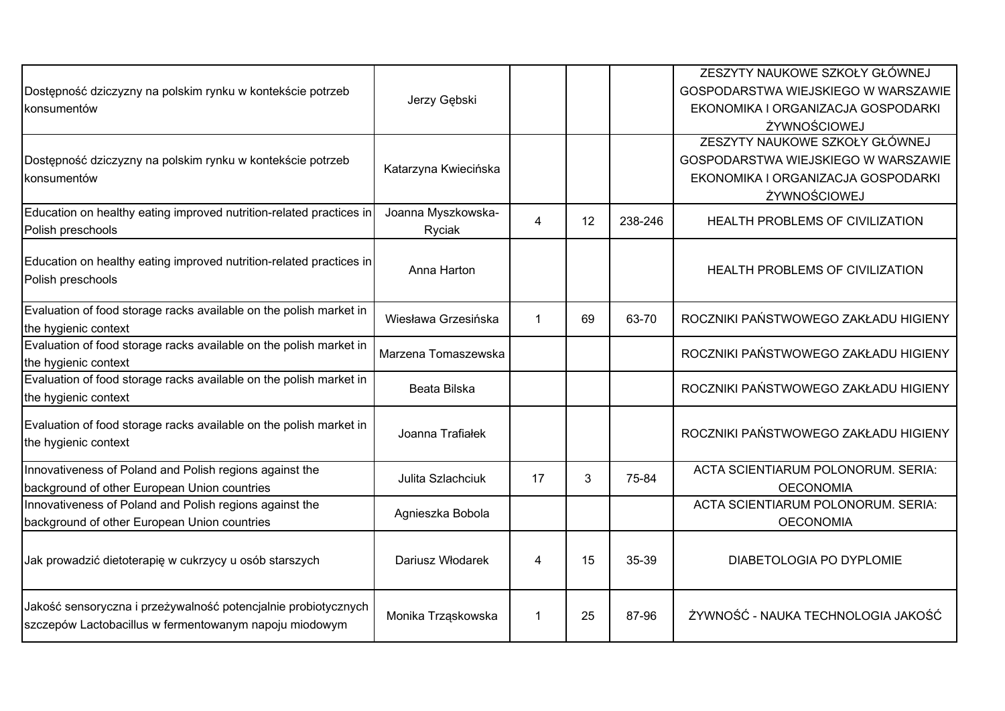| Dostępność dziczyzny na polskim rynku w kontekście potrzeb<br>konsumentów                                                | Jerzy Gębski                 |             |    |         | ZESZYTY NAUKOWE SZKOŁY GŁÓWNEJ<br>GOSPODARSTWA WIEJSKIEGO W WARSZAWIE<br>EKONOMIKA I ORGANIZACJA GOSPODARKI<br>ŻYWNOŚCIOWEJ |
|--------------------------------------------------------------------------------------------------------------------------|------------------------------|-------------|----|---------|-----------------------------------------------------------------------------------------------------------------------------|
| Dostępność dziczyzny na polskim rynku w kontekście potrzeb<br>konsumentów                                                | Katarzyna Kwiecińska         |             |    |         | ZESZYTY NAUKOWE SZKOŁY GŁÓWNEJ<br>GOSPODARSTWA WIEJSKIEGO W WARSZAWIE<br>EKONOMIKA I ORGANIZACJA GOSPODARKI<br>ŻYWNOŚCIOWEJ |
| Education on healthy eating improved nutrition-related practices in<br>Polish preschools                                 | Joanna Myszkowska-<br>Ryciak | 4           | 12 | 238-246 | HEALTH PROBLEMS OF CIVILIZATION                                                                                             |
| Education on healthy eating improved nutrition-related practices in<br>Polish preschools                                 | Anna Harton                  |             |    |         | HEALTH PROBLEMS OF CIVILIZATION                                                                                             |
| Evaluation of food storage racks available on the polish market in<br>the hygienic context                               | Wiesława Grzesińska          | $\mathbf 1$ | 69 | 63-70   | ROCZNIKI PAŃSTWOWEGO ZAKŁADU HIGIENY                                                                                        |
| Evaluation of food storage racks available on the polish market in<br>the hygienic context                               | Marzena Tomaszewska          |             |    |         | ROCZNIKI PAŃSTWOWEGO ZAKŁADU HIGIENY                                                                                        |
| Evaluation of food storage racks available on the polish market in<br>the hygienic context                               | Beata Bilska                 |             |    |         | ROCZNIKI PAŃSTWOWEGO ZAKŁADU HIGIENY                                                                                        |
| Evaluation of food storage racks available on the polish market in<br>the hygienic context                               | Joanna Trafiałek             |             |    |         | ROCZNIKI PAŃSTWOWEGO ZAKŁADU HIGIENY                                                                                        |
| Innovativeness of Poland and Polish regions against the<br>background of other European Union countries                  | Julita Szlachciuk            | 17          | 3  | 75-84   | ACTA SCIENTIARUM POLONORUM. SERIA:<br><b>OECONOMIA</b>                                                                      |
| Innovativeness of Poland and Polish regions against the<br>background of other European Union countries                  | Agnieszka Bobola             |             |    |         | ACTA SCIENTIARUM POLONORUM. SERIA:<br><b>OECONOMIA</b>                                                                      |
| Jak prowadzić dietoterapię w cukrzycy u osób starszych                                                                   | Dariusz Włodarek             | 4           | 15 | 35-39   | DIABETOLOGIA PO DYPLOMIE                                                                                                    |
| Jakość sensoryczna i przeżywalność potencjalnie probiotycznych<br>szczepów Lactobacillus w fermentowanym napoju miodowym | Monika Trząskowska           | $\mathbf 1$ | 25 | 87-96   | ŻYWNOŚĆ - NAUKA TECHNOLOGIA JAKOŚĆ                                                                                          |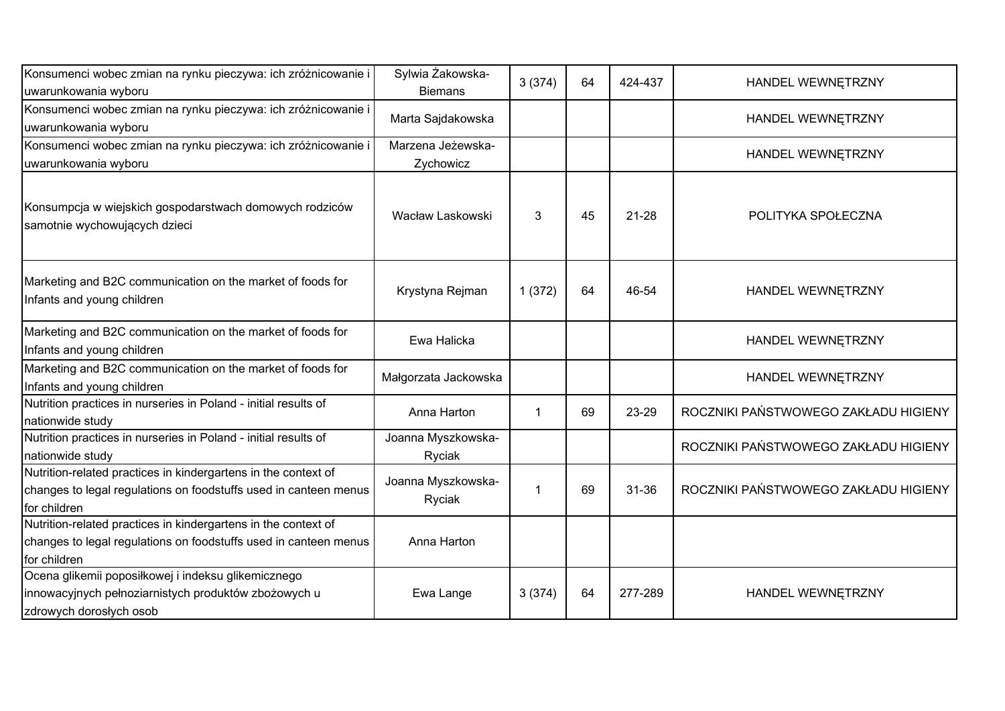| Konsumenci wobec zmian na rynku pieczywa: ich zróżnicowanie i<br>uwarunkowania wyboru                                                              | Sylwia Żakowska-<br><b>Biemans</b> | 3(374)               | 64 | 424-437   | HANDEL WEWNETRZNY                    |
|----------------------------------------------------------------------------------------------------------------------------------------------------|------------------------------------|----------------------|----|-----------|--------------------------------------|
| Konsumenci wobec zmian na rynku pieczywa: ich zróżnicowanie i<br>uwarunkowania wyboru                                                              | Marta Sajdakowska                  |                      |    |           | HANDEL WEWNETRZNY                    |
| Konsumenci wobec zmian na rynku pieczywa: ich zróżnicowanie i<br>uwarunkowania wyboru                                                              | Marzena Jeżewska-<br>Zychowicz     |                      |    |           | HANDEL WEWNETRZNY                    |
| Konsumpcja w wiejskich gospodarstwach domowych rodziców<br>samotnie wychowujących dzieci                                                           | Wacław Laskowski                   | 3                    | 45 | $21 - 28$ | POLITYKA SPOŁECZNA                   |
| Marketing and B2C communication on the market of foods for<br>Infants and young children                                                           | Krystyna Rejman                    | 1(372)               | 64 | 46-54     | HANDEL WEWNĘTRZNY                    |
| Marketing and B2C communication on the market of foods for<br>Infants and young children                                                           | Ewa Halicka                        |                      |    |           | HANDEL WEWNETRZNY                    |
| Marketing and B2C communication on the market of foods for<br>Infants and young children                                                           | Małgorzata Jackowska               |                      |    |           | HANDEL WEWNĘTRZNY                    |
| Nutrition practices in nurseries in Poland - initial results of<br>nationwide study                                                                | Anna Harton                        | $\blacktriangleleft$ | 69 | 23-29     | ROCZNIKI PAŃSTWOWEGO ZAKŁADU HIGIENY |
| Nutrition practices in nurseries in Poland - initial results of<br>nationwide study                                                                | Joanna Myszkowska-<br>Ryciak       |                      |    |           | ROCZNIKI PAŃSTWOWEGO ZAKŁADU HIGIENY |
| Nutrition-related practices in kindergartens in the context of<br>changes to legal regulations on foodstuffs used in canteen menus<br>for children | Joanna Myszkowska-<br>Ryciak       | 1                    | 69 | $31 - 36$ | ROCZNIKI PAŃSTWOWEGO ZAKŁADU HIGIENY |
| Nutrition-related practices in kindergartens in the context of<br>changes to legal regulations on foodstuffs used in canteen menus<br>for children | Anna Harton                        |                      |    |           |                                      |
| Ocena glikemii poposiłkowej i indeksu glikemicznego<br>innowacyjnych pełnoziarnistych produktów zbożowych u<br>zdrowych dorosłych osob             | Ewa Lange                          | 3(374)               | 64 | 277-289   | HANDEL WEWNĘTRZNY                    |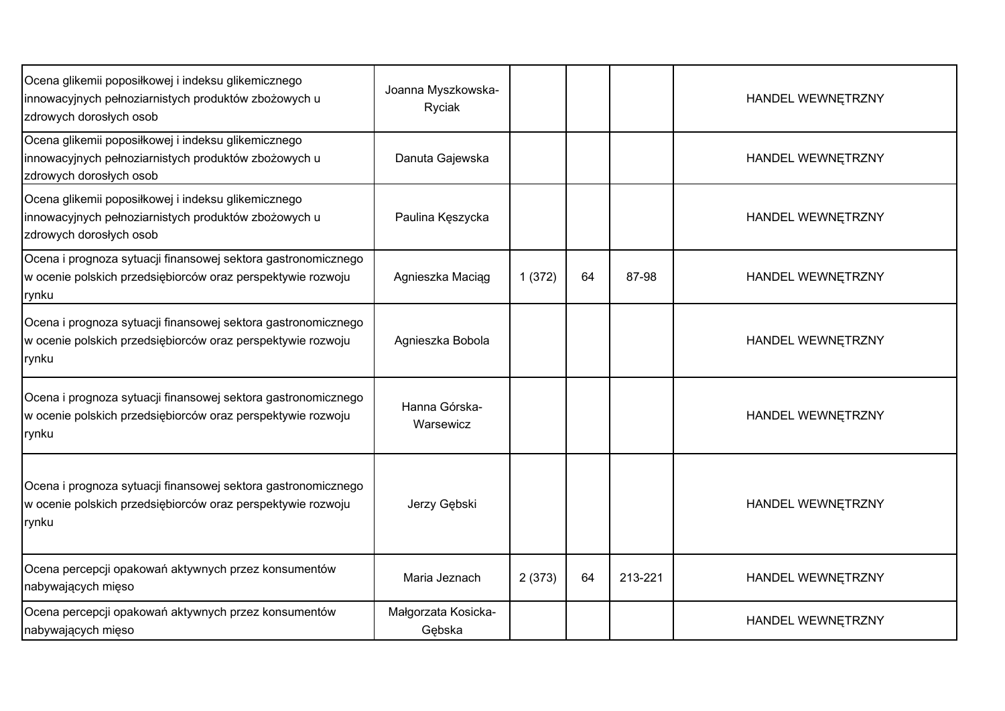| Ocena glikemii poposiłkowej i indeksu glikemicznego<br>innowacyjnych pełnoziarnistych produktów zbożowych u<br>zdrowych dorosłych osob | Joanna Myszkowska-<br>Ryciak  |        |    |         | HANDEL WEWNETRZNY |
|----------------------------------------------------------------------------------------------------------------------------------------|-------------------------------|--------|----|---------|-------------------|
| Ocena glikemii poposiłkowej i indeksu glikemicznego<br>innowacyjnych pełnoziarnistych produktów zbożowych u<br>zdrowych dorosłych osob | Danuta Gajewska               |        |    |         | HANDEL WEWNETRZNY |
| Ocena glikemii poposiłkowej i indeksu glikemicznego<br>innowacyjnych pełnoziarnistych produktów zbożowych u<br>zdrowych dorosłych osob | Paulina Kęszycka              |        |    |         | HANDEL WEWNETRZNY |
| Ocena i prognoza sytuacji finansowej sektora gastronomicznego<br>w ocenie polskich przedsiębiorców oraz perspektywie rozwoju<br>rynku  | Agnieszka Maciag              | 1(372) | 64 | 87-98   | HANDEL WEWNETRZNY |
| Ocena i prognoza sytuacji finansowej sektora gastronomicznego<br>w ocenie polskich przedsiębiorców oraz perspektywie rozwoju<br>rynku  | Agnieszka Bobola              |        |    |         | HANDEL WEWNETRZNY |
| Ocena i prognoza sytuacji finansowej sektora gastronomicznego<br>w ocenie polskich przedsiębiorców oraz perspektywie rozwoju<br>rynku  | Hanna Górska-<br>Warsewicz    |        |    |         | HANDEL WEWNETRZNY |
| Ocena i prognoza sytuacji finansowej sektora gastronomicznego<br>w ocenie polskich przedsiębiorców oraz perspektywie rozwoju<br>rynku  | Jerzy Gębski                  |        |    |         | HANDEL WEWNETRZNY |
| Ocena percepcji opakowań aktywnych przez konsumentów<br>nabywających mięso                                                             | Maria Jeznach                 | 2(373) | 64 | 213-221 | HANDEL WEWNETRZNY |
| Ocena percepcji opakowań aktywnych przez konsumentów<br>nabywających mięso                                                             | Małgorzata Kosicka-<br>Gębska |        |    |         | HANDEL WEWNETRZNY |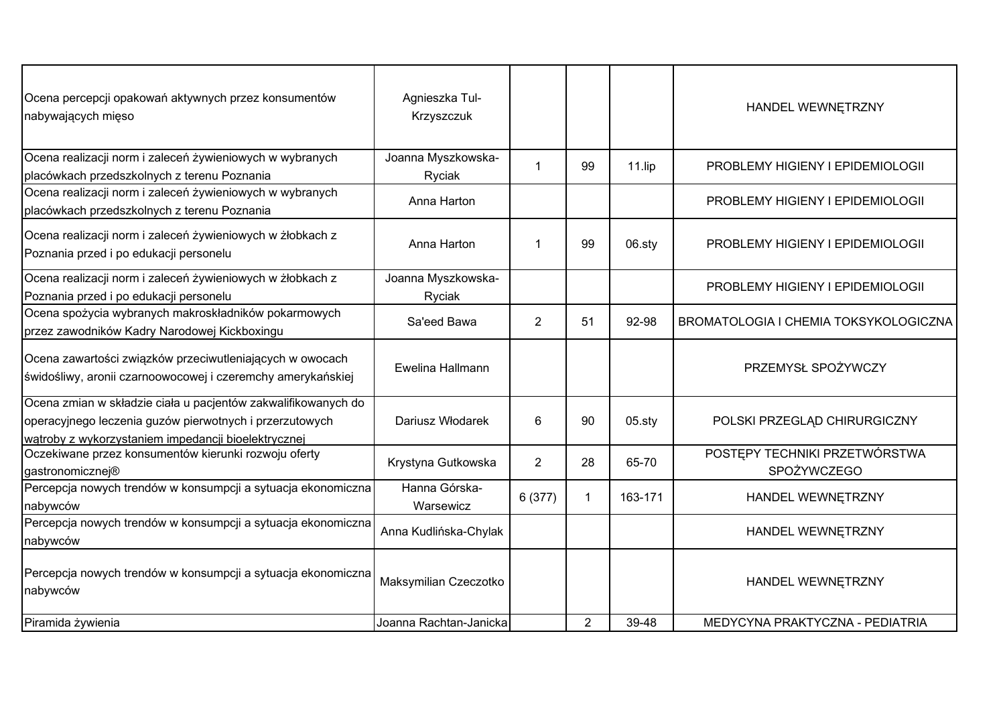| Ocena percepcji opakowań aktywnych przez konsumentów<br>nabywających mięso                                                                                                      | Agnieszka Tul-<br>Krzyszczuk |                |                |           | HANDEL WEWNETRZNY                            |
|---------------------------------------------------------------------------------------------------------------------------------------------------------------------------------|------------------------------|----------------|----------------|-----------|----------------------------------------------|
| Ocena realizacji norm i zaleceń żywieniowych w wybranych<br>placówkach przedszkolnych z terenu Poznania                                                                         | Joanna Myszkowska-<br>Ryciak | -1             | 99             | 11.lip    | PROBLEMY HIGIENY I EPIDEMIOLOGII             |
| Ocena realizacji norm i zaleceń żywieniowych w wybranych<br>placówkach przedszkolnych z terenu Poznania                                                                         | Anna Harton                  |                |                |           | PROBLEMY HIGIENY I EPIDEMIOLOGII             |
| Ocena realizacji norm i zaleceń żywieniowych w żłobkach z<br>Poznania przed i po edukacji personelu                                                                             | Anna Harton                  | -1             | 99             | 06.sty    | PROBLEMY HIGIENY I EPIDEMIOLOGII             |
| Ocena realizacji norm i zaleceń żywieniowych w żłobkach z<br>Poznania przed i po edukacji personelu                                                                             | Joanna Myszkowska-<br>Ryciak |                |                |           | PROBLEMY HIGIENY I EPIDEMIOLOGII             |
| Ocena spożycia wybranych makroskładników pokarmowych<br>przez zawodników Kadry Narodowej Kickboxingu                                                                            | Sa'eed Bawa                  | 2              | 51             | 92-98     | BROMATOLOGIA I CHEMIA TOKSYKOLOGICZNA        |
| Ocena zawartości związków przeciwutleniających w owocach<br>świdośliwy, aronii czarnoowocowej i czeremchy amerykańskiej                                                         | Ewelina Hallmann             |                |                |           | PRZEMYSŁ SPOŻYWCZY                           |
| Ocena zmian w składzie ciała u pacjentów zakwalifikowanych do<br>operacyjnego leczenia guzów pierwotnych i przerzutowych<br>wątroby z wykorzystaniem impedancji bioelektrycznej | Dariusz Włodarek             | 6              | 90             | $05.$ sty | POLSKI PRZEGLĄD CHIRURGICZNY                 |
| Oczekiwane przez konsumentów kierunki rozwoju oferty<br>gastronomicznej®                                                                                                        | Krystyna Gutkowska           | $\overline{2}$ | 28             | 65-70     | POSTĘPY TECHNIKI PRZETWÓRSTWA<br>SPOŻYWCZEGO |
| Percepcja nowych trendów w konsumpcji a sytuacja ekonomiczna<br>nabywców                                                                                                        | Hanna Górska-<br>Warsewicz   | 6(377)         | $\mathbf{1}$   | 163-171   | HANDEL WEWNETRZNY                            |
| Percepcja nowych trendów w konsumpcji a sytuacja ekonomiczna<br>nabywców                                                                                                        | Anna Kudlińska-Chylak        |                |                |           | HANDEL WEWNETRZNY                            |
| Percepcja nowych trendów w konsumpcji a sytuacja ekonomiczna<br>nabywców                                                                                                        | Maksymilian Czeczotko        |                |                |           | HANDEL WEWNETRZNY                            |
| Piramida żywienia                                                                                                                                                               | Joanna Rachtan-Janicka       |                | $\overline{2}$ | 39-48     | MEDYCYNA PRAKTYCZNA - PEDIATRIA              |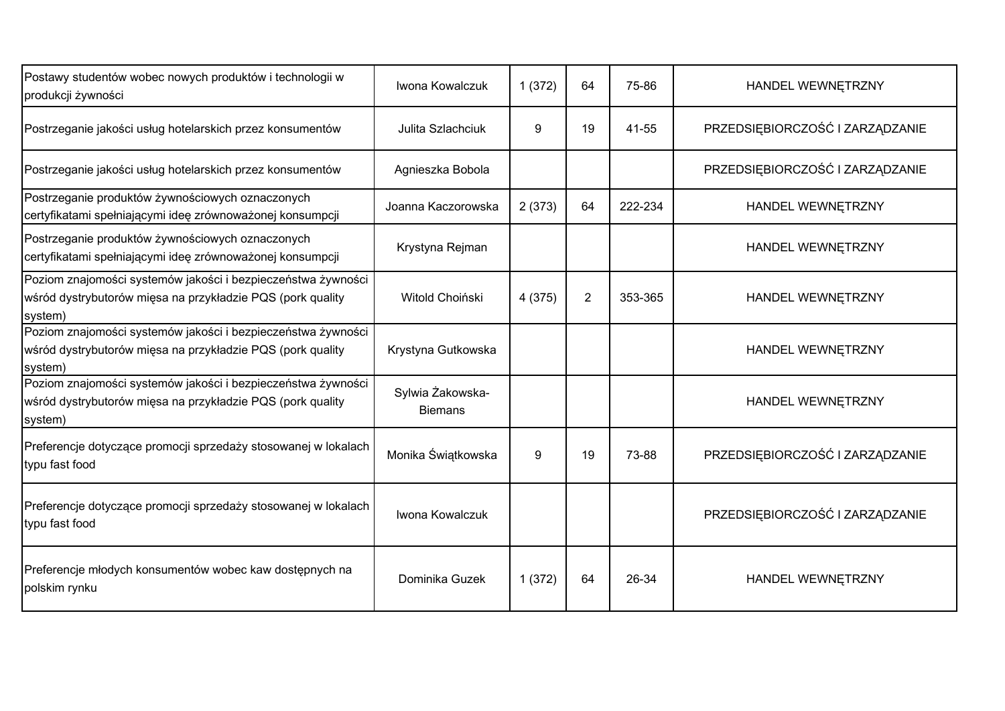| Postawy studentów wobec nowych produktów i technologii w<br>produkcji żywności                                                        | Iwona Kowalczuk                    | 1(372) | 64             | 75-86   | HANDEL WEWNĘTRZNY               |
|---------------------------------------------------------------------------------------------------------------------------------------|------------------------------------|--------|----------------|---------|---------------------------------|
| Postrzeganie jakości usług hotelarskich przez konsumentów                                                                             | Julita Szlachciuk                  | 9      | 19             | 41-55   | PRZEDSIĘBIORCZOŚĆ I ZARZĄDZANIE |
| Postrzeganie jakości usług hotelarskich przez konsumentów                                                                             | Agnieszka Bobola                   |        |                |         | PRZEDSIĘBIORCZOŚĆ I ZARZĄDZANIE |
| Postrzeganie produktów żywnościowych oznaczonych<br>certyfikatami spełniającymi ideę zrównoważonej konsumpcji                         | Joanna Kaczorowska                 | 2(373) | 64             | 222-234 | HANDEL WEWNETRZNY               |
| Postrzeganie produktów żywnościowych oznaczonych<br>certyfikatami spełniającymi ideę zrównoważonej konsumpcji                         | Krystyna Rejman                    |        |                |         | HANDEL WEWNĘTRZNY               |
| Poziom znajomości systemów jakości i bezpieczeństwa żywności<br>wśród dystrybutorów mięsa na przykładzie PQS (pork quality<br>system) | Witold Choiński                    | 4(375) | $\overline{2}$ | 353-365 | HANDEL WEWNETRZNY               |
| Poziom znajomości systemów jakości i bezpieczeństwa żywności<br>wśród dystrybutorów mięsa na przykładzie PQS (pork quality<br>system) | Krystyna Gutkowska                 |        |                |         | HANDEL WEWNĘTRZNY               |
| Poziom znajomości systemów jakości i bezpieczeństwa żywności<br>wśród dystrybutorów mięsa na przykładzie PQS (pork quality<br>system) | Sylwia Żakowska-<br><b>Biemans</b> |        |                |         | HANDEL WEWNETRZNY               |
| Preferencje dotyczące promocji sprzedaży stosowanej w lokalach<br>typu fast food                                                      | Monika Świątkowska                 | 9      | 19             | 73-88   | PRZEDSIĘBIORCZOŚĆ I ZARZĄDZANIE |
| Preferencje dotyczące promocji sprzedaży stosowanej w lokalach<br>typu fast food                                                      | Iwona Kowalczuk                    |        |                |         | PRZEDSIĘBIORCZOŚĆ I ZARZĄDZANIE |
| Preferencje młodych konsumentów wobec kaw dostępnych na<br>polskim rynku                                                              | Dominika Guzek                     | 1(372) | 64             | 26-34   | HANDEL WEWNETRZNY               |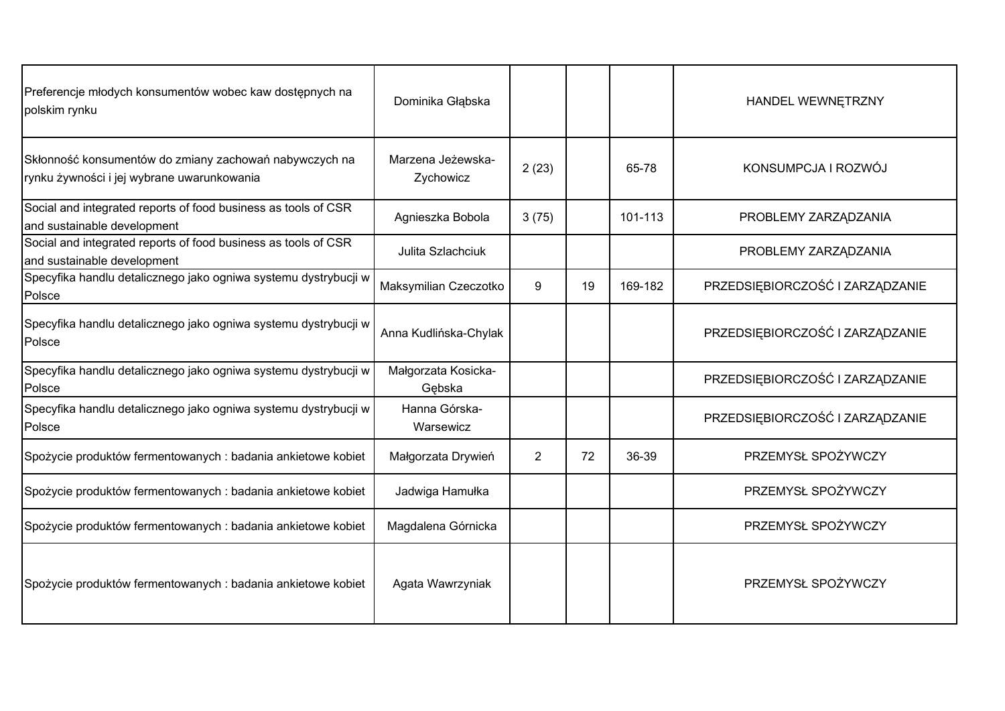| Preferencje młodych konsumentów wobec kaw dostępnych na<br>polskim rynku                             | Dominika Głąbska               |                |    |         | HANDEL WEWNĘTRZNY               |
|------------------------------------------------------------------------------------------------------|--------------------------------|----------------|----|---------|---------------------------------|
| Skłonność konsumentów do zmiany zachowań nabywczych na<br>rynku żywności i jej wybrane uwarunkowania | Marzena Jeżewska-<br>Zychowicz | 2(23)          |    | 65-78   | KONSUMPCJA I ROZWÓJ             |
| Social and integrated reports of food business as tools of CSR<br>and sustainable development        | Agnieszka Bobola               | 3(75)          |    | 101-113 | PROBLEMY ZARZĄDZANIA            |
| Social and integrated reports of food business as tools of CSR<br>and sustainable development        | Julita Szlachciuk              |                |    |         | PROBLEMY ZARZĄDZANIA            |
| Specyfika handlu detalicznego jako ogniwa systemu dystrybucji w<br>Polsce                            | Maksymilian Czeczotko          | 9              | 19 | 169-182 | PRZEDSIĘBIORCZOŚĆ I ZARZĄDZANIE |
| Specyfika handlu detalicznego jako ogniwa systemu dystrybucji w<br>Polsce                            | Anna Kudlińska-Chylak          |                |    |         | PRZEDSIĘBIORCZOŚĆ I ZARZĄDZANIE |
| Specyfika handlu detalicznego jako ogniwa systemu dystrybucji w<br>Polsce                            | Małgorzata Kosicka-<br>Gebska  |                |    |         | PRZEDSIĘBIORCZOŚĆ I ZARZĄDZANIE |
| Specyfika handlu detalicznego jako ogniwa systemu dystrybucji w<br>Polsce                            | Hanna Górska-<br>Warsewicz     |                |    |         | PRZEDSIĘBIORCZOŚĆ I ZARZĄDZANIE |
| Spożycie produktów fermentowanych : badania ankietowe kobiet                                         | Małgorzata Drywień             | $\overline{2}$ | 72 | 36-39   | PRZEMYSŁ SPOŻYWCZY              |
| Spożycie produktów fermentowanych : badania ankietowe kobiet                                         | Jadwiga Hamułka                |                |    |         | PRZEMYSŁ SPOŻYWCZY              |
| Spożycie produktów fermentowanych: badania ankietowe kobiet                                          | Magdalena Górnicka             |                |    |         | PRZEMYSŁ SPOŻYWCZY              |
| Spożycie produktów fermentowanych : badania ankietowe kobiet                                         | Agata Wawrzyniak               |                |    |         | PRZEMYSŁ SPOŻYWCZY              |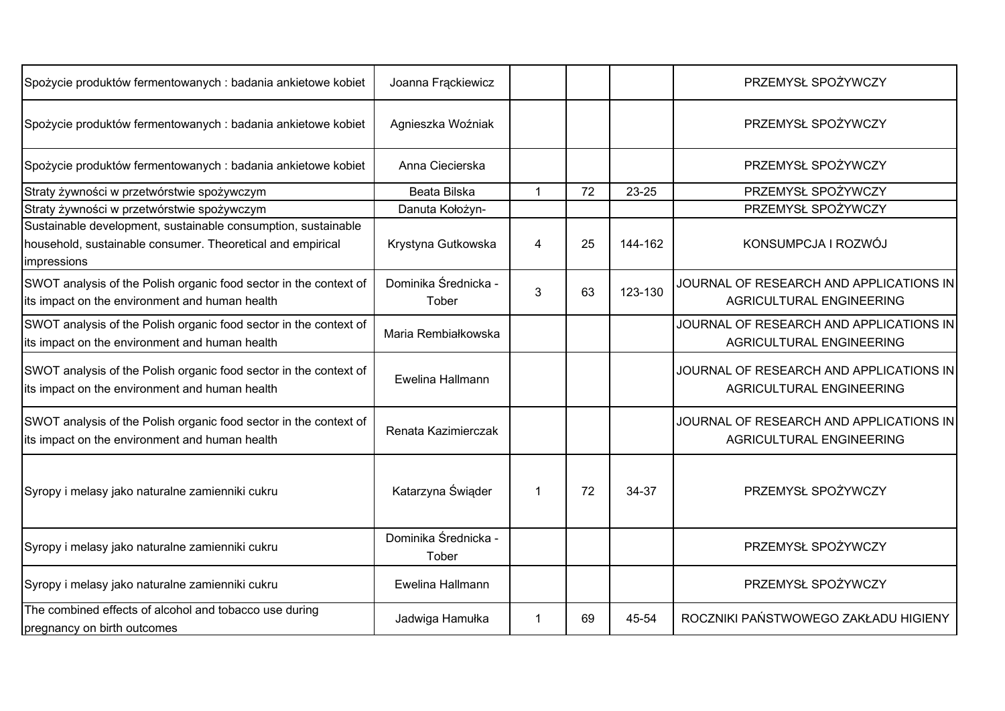| Spożycie produktów fermentowanych : badania ankietowe kobiet                                                                               | Joanna Frąckiewicz            |                |    |         | PRZEMYSŁ SPOŻYWCZY                                                  |
|--------------------------------------------------------------------------------------------------------------------------------------------|-------------------------------|----------------|----|---------|---------------------------------------------------------------------|
| Spożycie produktów fermentowanych : badania ankietowe kobiet                                                                               | Agnieszka Woźniak             |                |    |         | PRZEMYSŁ SPOŻYWCZY                                                  |
| Spożycie produktów fermentowanych : badania ankietowe kobiet                                                                               | Anna Ciecierska               |                |    |         | PRZEMYSŁ SPOŻYWCZY                                                  |
| Straty żywności w przetwórstwie spożywczym                                                                                                 | Beata Bilska                  | $\mathbf{1}$   | 72 | 23-25   | PRZEMYSŁ SPOŻYWCZY                                                  |
| Straty żywności w przetwórstwie spożywczym                                                                                                 | Danuta Kołożyn-               |                |    |         | PRZEMYSŁ SPOŻYWCZY                                                  |
| Sustainable development, sustainable consumption, sustainable<br>household, sustainable consumer. Theoretical and empirical<br>impressions | Krystyna Gutkowska            | $\overline{4}$ | 25 | 144-162 | KONSUMPCJA I ROZWÓJ                                                 |
| SWOT analysis of the Polish organic food sector in the context of<br>its impact on the environment and human health                        | Dominika Średnicka -<br>Tober | 3              | 63 | 123-130 | JOURNAL OF RESEARCH AND APPLICATIONS IN<br>AGRICULTURAL ENGINEERING |
| SWOT analysis of the Polish organic food sector in the context of<br>its impact on the environment and human health                        | Maria Rembiałkowska           |                |    |         | JOURNAL OF RESEARCH AND APPLICATIONS IN<br>AGRICULTURAL ENGINEERING |
| SWOT analysis of the Polish organic food sector in the context of<br>its impact on the environment and human health                        | Ewelina Hallmann              |                |    |         | JOURNAL OF RESEARCH AND APPLICATIONS IN<br>AGRICULTURAL ENGINEERING |
| SWOT analysis of the Polish organic food sector in the context of<br>its impact on the environment and human health                        | Renata Kazimierczak           |                |    |         | JOURNAL OF RESEARCH AND APPLICATIONS IN<br>AGRICULTURAL ENGINEERING |
| Syropy i melasy jako naturalne zamienniki cukru                                                                                            | Katarzyna Świąder             | $\mathbf{1}$   | 72 | 34-37   | PRZEMYSŁ SPOŻYWCZY                                                  |
| Syropy i melasy jako naturalne zamienniki cukru                                                                                            | Dominika Średnicka -<br>Tober |                |    |         | PRZEMYSŁ SPOŻYWCZY                                                  |
| Syropy i melasy jako naturalne zamienniki cukru                                                                                            | Ewelina Hallmann              |                |    |         | PRZEMYSŁ SPOŻYWCZY                                                  |
| The combined effects of alcohol and tobacco use during<br>pregnancy on birth outcomes                                                      | Jadwiga Hamułka               | -1             | 69 | 45-54   | ROCZNIKI PAŃSTWOWEGO ZAKŁADU HIGIENY                                |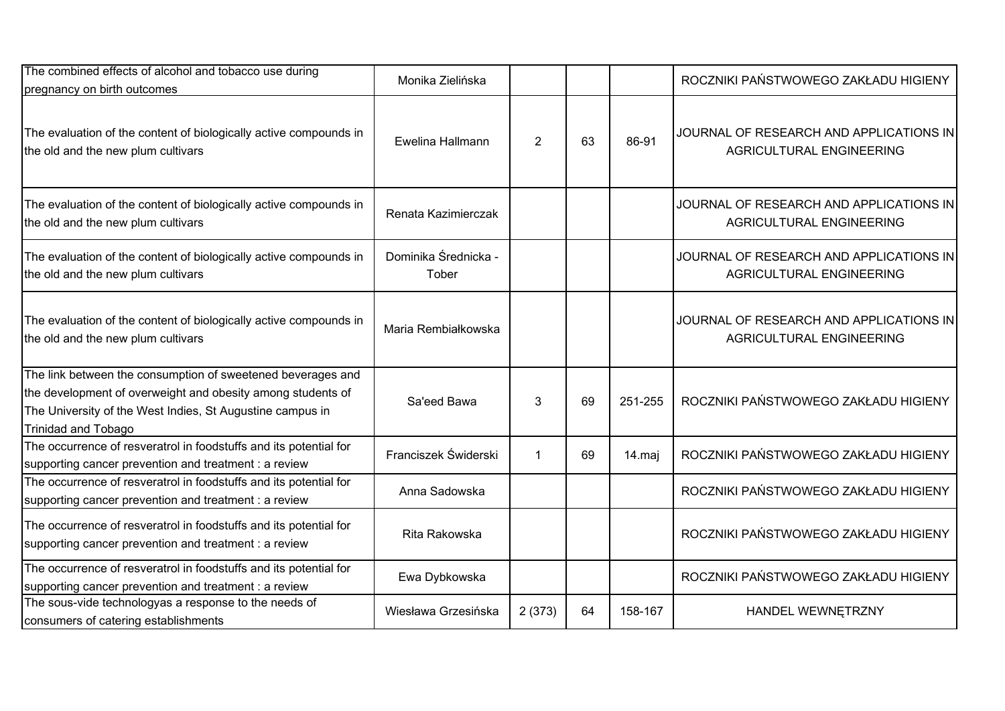| The combined effects of alcohol and tobacco use during<br>pregnancy on birth outcomes                                                                                                                                 | Monika Zielińska              |                |    |         | ROCZNIKI PAŃSTWOWEGO ZAKŁADU HIGIENY                                |
|-----------------------------------------------------------------------------------------------------------------------------------------------------------------------------------------------------------------------|-------------------------------|----------------|----|---------|---------------------------------------------------------------------|
| The evaluation of the content of biologically active compounds in<br>the old and the new plum cultivars                                                                                                               | Ewelina Hallmann              | $\overline{2}$ | 63 | 86-91   | JOURNAL OF RESEARCH AND APPLICATIONS IN<br>AGRICULTURAL ENGINEERING |
| The evaluation of the content of biologically active compounds in<br>the old and the new plum cultivars                                                                                                               | Renata Kazimierczak           |                |    |         | JOURNAL OF RESEARCH AND APPLICATIONS IN<br>AGRICULTURAL ENGINEERING |
| The evaluation of the content of biologically active compounds in<br>the old and the new plum cultivars                                                                                                               | Dominika Średnicka -<br>Tober |                |    |         | JOURNAL OF RESEARCH AND APPLICATIONS IN<br>AGRICULTURAL ENGINEERING |
| The evaluation of the content of biologically active compounds in<br>the old and the new plum cultivars                                                                                                               | Maria Rembiałkowska           |                |    |         | JOURNAL OF RESEARCH AND APPLICATIONS IN<br>AGRICULTURAL ENGINEERING |
| The link between the consumption of sweetened beverages and<br>the development of overweight and obesity among students of<br>The University of the West Indies, St Augustine campus in<br><b>Trinidad and Tobago</b> | Sa'eed Bawa                   | 3              | 69 | 251-255 | ROCZNIKI PAŃSTWOWEGO ZAKŁADU HIGIENY                                |
| The occurrence of resveratrol in foodstuffs and its potential for<br>supporting cancer prevention and treatment : a review                                                                                            | Franciszek Świderski          | $\mathbf{1}$   | 69 | 14.maj  | ROCZNIKI PAŃSTWOWEGO ZAKŁADU HIGIENY                                |
| The occurrence of resveratrol in foodstuffs and its potential for<br>supporting cancer prevention and treatment : a review                                                                                            | Anna Sadowska                 |                |    |         | ROCZNIKI PAŃSTWOWEGO ZAKŁADU HIGIENY                                |
| The occurrence of resveratrol in foodstuffs and its potential for<br>supporting cancer prevention and treatment : a review                                                                                            | Rita Rakowska                 |                |    |         | ROCZNIKI PAŃSTWOWEGO ZAKŁADU HIGIENY                                |
| The occurrence of resveratrol in foodstuffs and its potential for<br>supporting cancer prevention and treatment : a review                                                                                            | Ewa Dybkowska                 |                |    |         | ROCZNIKI PAŃSTWOWEGO ZAKŁADU HIGIENY                                |
| The sous-vide technologyas a response to the needs of<br>consumers of catering establishments                                                                                                                         | Wiesława Grzesińska           | 2(373)         | 64 | 158-167 | HANDEL WEWNETRZNY                                                   |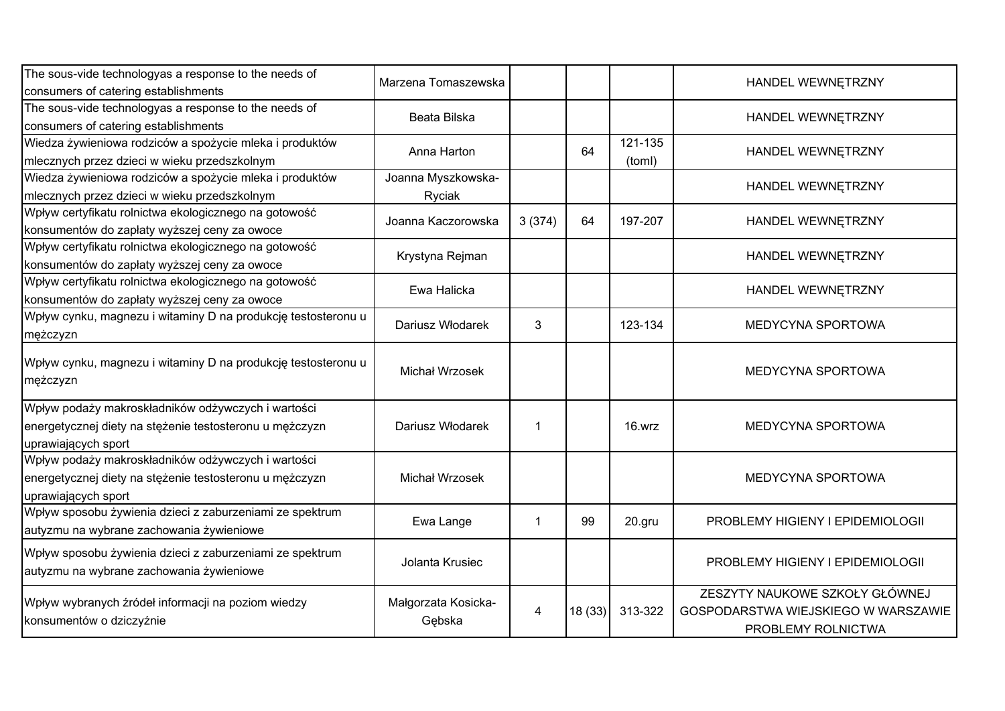| The sous-vide technologyas a response to the needs of<br>consumers of catering establishments                                        | Marzena Tomaszewska           |        |        |                   | HANDEL WEWNETRZNY                                                                           |
|--------------------------------------------------------------------------------------------------------------------------------------|-------------------------------|--------|--------|-------------------|---------------------------------------------------------------------------------------------|
| The sous-vide technologyas a response to the needs of<br>consumers of catering establishments                                        | Beata Bilska                  |        |        |                   | HANDEL WEWNETRZNY                                                                           |
| Wiedza żywieniowa rodziców a spożycie mleka i produktów<br>mlecznych przez dzieci w wieku przedszkolnym                              | Anna Harton                   |        | 64     | 121-135<br>(toml) | HANDEL WEWNETRZNY                                                                           |
| Wiedza żywieniowa rodziców a spożycie mleka i produktów<br>mlecznych przez dzieci w wieku przedszkolnym                              | Joanna Myszkowska-<br>Ryciak  |        |        |                   | HANDEL WEWNETRZNY                                                                           |
| Wpływ certyfikatu rolnictwa ekologicznego na gotowość<br>konsumentów do zapłaty wyższej ceny za owoce                                | Joanna Kaczorowska            | 3(374) | 64     | 197-207           | HANDEL WEWNĘTRZNY                                                                           |
| Wpływ certyfikatu rolnictwa ekologicznego na gotowość<br>konsumentów do zapłaty wyższej ceny za owoce                                | Krystyna Rejman               |        |        |                   | HANDEL WEWNETRZNY                                                                           |
| Wpływ certyfikatu rolnictwa ekologicznego na gotowość<br>konsumentów do zapłaty wyższej ceny za owoce                                | Ewa Halicka                   |        |        |                   | HANDEL WEWNETRZNY                                                                           |
| Wpływ cynku, magnezu i witaminy D na produkcję testosteronu u<br>mężczyzn                                                            | Dariusz Włodarek              | 3      |        | 123-134           | <b>MEDYCYNA SPORTOWA</b>                                                                    |
| Wpływ cynku, magnezu i witaminy D na produkcję testosteronu u<br>mężczyzn                                                            | Michał Wrzosek                |        |        |                   | <b>MEDYCYNA SPORTOWA</b>                                                                    |
| Wpływ podaży makroskładników odżywczych i wartości<br>energetycznej diety na stężenie testosteronu u mężczyzn<br>uprawiających sport | Dariusz Włodarek              | 1      |        | 16.wrz            | MEDYCYNA SPORTOWA                                                                           |
| Wpływ podaży makroskładników odżywczych i wartości<br>energetycznej diety na stężenie testosteronu u mężczyzn<br>uprawiających sport | Michał Wrzosek                |        |        |                   | MEDYCYNA SPORTOWA                                                                           |
| Wpływ sposobu żywienia dzieci z zaburzeniami ze spektrum<br>autyzmu na wybrane zachowania żywieniowe                                 | Ewa Lange                     | 1      | 99     | 20.gru            | PROBLEMY HIGIENY I EPIDEMIOLOGII                                                            |
| Wpływ sposobu żywienia dzieci z zaburzeniami ze spektrum<br>autyzmu na wybrane zachowania żywieniowe                                 | Jolanta Krusiec               |        |        |                   | PROBLEMY HIGIENY I EPIDEMIOLOGII                                                            |
| Wpływ wybranych źródeł informacji na poziom wiedzy<br>konsumentów o dziczyźnie                                                       | Małgorzata Kosicka-<br>Gębska | 4      | 18(33) | 313-322           | ZESZYTY NAUKOWE SZKOŁY GŁÓWNEJ<br>GOSPODARSTWA WIEJSKIEGO W WARSZAWIE<br>PROBLEMY ROLNICTWA |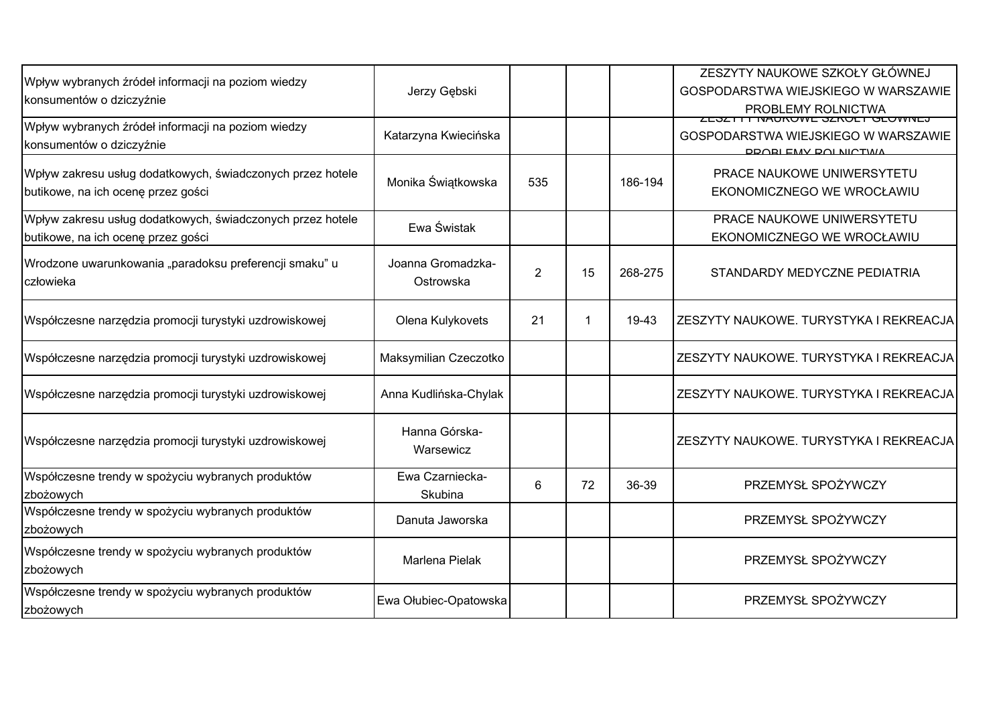| Wpływ wybranych źródeł informacji na poziom wiedzy<br>konsumentów o dziczyźnie                   | Jerzy Gębski                   |                |    |         | ZESZYTY NAUKOWE SZKOŁY GŁÓWNEJ<br>GOSPODARSTWA WIEJSKIEGO W WARSZAWIE<br>PROBLEMY ROLNICTWA          |
|--------------------------------------------------------------------------------------------------|--------------------------------|----------------|----|---------|------------------------------------------------------------------------------------------------------|
| Wpływ wybranych źródeł informacji na poziom wiedzy<br>konsumentów o dziczyźnie                   | Katarzyna Kwiecińska           |                |    |         | <b>ZEJZTTT INAUNUWE JZNULT ULUWINEJ</b><br>GOSPODARSTWA WIEJSKIEGO W WARSZAWIE<br>DOODLEMV DOLNICTMA |
| Wpływ zakresu usług dodatkowych, świadczonych przez hotele<br>butikowe, na ich ocenę przez gości | Monika Świątkowska             | 535            |    | 186-194 | PRACE NAUKOWE UNIWERSYTETU<br>EKONOMICZNEGO WE WROCŁAWIU                                             |
| Wpływ zakresu usług dodatkowych, świadczonych przez hotele<br>butikowe, na ich ocenę przez gości | Ewa Świstak                    |                |    |         | PRACE NAUKOWE UNIWERSYTETU<br>EKONOMICZNEGO WE WROCŁAWIU                                             |
| Wrodzone uwarunkowania "paradoksu preferencji smaku" u<br>człowieka                              | Joanna Gromadzka-<br>Ostrowska | $\overline{2}$ | 15 | 268-275 | STANDARDY MEDYCZNE PEDIATRIA                                                                         |
| Współczesne narzędzia promocji turystyki uzdrowiskowej                                           | Olena Kulykovets               | 21             |    | 19-43   | ZESZYTY NAUKOWE. TURYSTYKA I REKREACJA                                                               |
| Współczesne narzędzia promocji turystyki uzdrowiskowej                                           | Maksymilian Czeczotko          |                |    |         | ZESZYTY NAUKOWE. TURYSTYKA I REKREACJA                                                               |
| Współczesne narzędzia promocji turystyki uzdrowiskowej                                           | Anna Kudlińska-Chylak          |                |    |         | ZESZYTY NAUKOWE. TURYSTYKA I REKREACJA                                                               |
| Współczesne narzędzia promocji turystyki uzdrowiskowej                                           | Hanna Górska-<br>Warsewicz     |                |    |         | ZESZYTY NAUKOWE. TURYSTYKA I REKREACJA                                                               |
| Współczesne trendy w spożyciu wybranych produktów<br>zbożowych                                   | Ewa Czarniecka-<br>Skubina     | 6              | 72 | 36-39   | PRZEMYSŁ SPOŻYWCZY                                                                                   |
| Współczesne trendy w spożyciu wybranych produktów<br>zbożowych                                   | Danuta Jaworska                |                |    |         | PRZEMYSŁ SPOŻYWCZY                                                                                   |
| Współczesne trendy w spożyciu wybranych produktów<br>zbożowych                                   | Marlena Pielak                 |                |    |         | PRZEMYSŁ SPOŻYWCZY                                                                                   |
| Współczesne trendy w spożyciu wybranych produktów<br>zbożowych                                   | Ewa Ołubiec-Opatowska          |                |    |         | PRZEMYSŁ SPOŻYWCZY                                                                                   |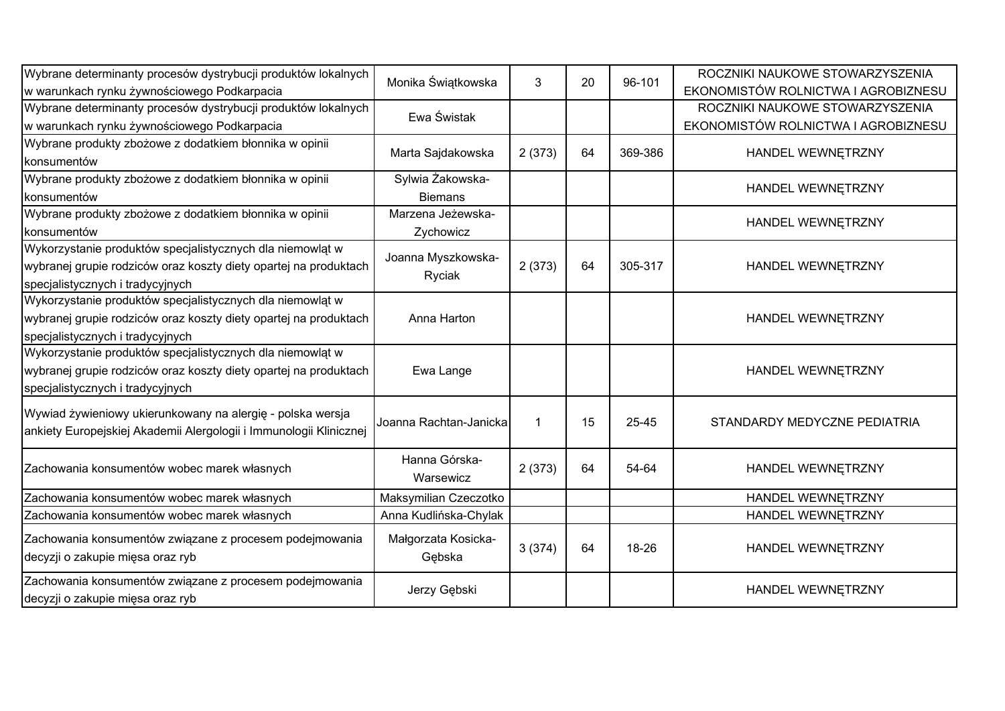| Wybrane determinanty procesów dystrybucji produktów lokalnych      |                        |        | 20 |         | ROCZNIKI NAUKOWE STOWARZYSZENIA     |
|--------------------------------------------------------------------|------------------------|--------|----|---------|-------------------------------------|
| w warunkach rynku żywnościowego Podkarpacia                        | Monika Świątkowska     | 3      |    | 96-101  | EKONOMISTÓW ROLNICTWA I AGROBIZNESU |
| Wybrane determinanty procesów dystrybucji produktów lokalnych      | Ewa Świstak            |        |    |         | ROCZNIKI NAUKOWE STOWARZYSZENIA     |
| w warunkach rynku żywnościowego Podkarpacia                        |                        |        |    |         | EKONOMISTÓW ROLNICTWA I AGROBIZNESU |
| Wybrane produkty zbożowe z dodatkiem błonnika w opinii             |                        |        | 64 | 369-386 |                                     |
| konsumentów                                                        | Marta Sajdakowska      | 2(373) |    |         | HANDEL WEWNĘTRZNY                   |
| Wybrane produkty zbożowe z dodatkiem błonnika w opinii             | Sylwia Żakowska-       |        |    |         | HANDEL WEWNETRZNY                   |
| konsumentów                                                        | <b>Biemans</b>         |        |    |         |                                     |
| Wybrane produkty zbożowe z dodatkiem błonnika w opinii             | Marzena Jeżewska-      |        |    |         | HANDEL WEWNETRZNY                   |
| konsumentów                                                        | Zychowicz              |        |    |         |                                     |
| Wykorzystanie produktów specjalistycznych dla niemowląt w          | Joanna Myszkowska-     |        |    |         |                                     |
| wybranej grupie rodziców oraz koszty diety opartej na produktach   | Ryciak                 | 2(373) | 64 | 305-317 | HANDEL WEWNETRZNY                   |
| specjalistycznych i tradycyjnych                                   |                        |        |    |         |                                     |
| Wykorzystanie produktów specjalistycznych dla niemowląt w          |                        |        |    |         |                                     |
| wybranej grupie rodziców oraz koszty diety opartej na produktach   | Anna Harton            |        |    |         | HANDEL WEWNETRZNY                   |
| specjalistycznych i tradycyjnych                                   |                        |        |    |         |                                     |
| Wykorzystanie produktów specjalistycznych dla niemowląt w          |                        |        |    |         |                                     |
| wybranej grupie rodziców oraz koszty diety opartej na produktach   | Ewa Lange              |        |    |         | HANDEL WEWNETRZNY                   |
| specjalistycznych i tradycyjnych                                   |                        |        |    |         |                                     |
| Wywiad żywieniowy ukierunkowany na alergię - polska wersja         |                        |        |    |         |                                     |
| ankiety Europejskiej Akademii Alergologii i Immunologii Klinicznej | Joanna Rachtan-Janicka | 1      | 15 | 25-45   | STANDARDY MEDYCZNE PEDIATRIA        |
|                                                                    |                        |        |    |         |                                     |
| Zachowania konsumentów wobec marek własnych                        | Hanna Górska-          | 2(373) | 64 | 54-64   | HANDEL WEWNĘTRZNY                   |
|                                                                    | Warsewicz              |        |    |         |                                     |
| Zachowania konsumentów wobec marek własnych                        | Maksymilian Czeczotko  |        |    |         | HANDEL WEWNETRZNY                   |
| Zachowania konsumentów wobec marek własnych                        | Anna Kudlińska-Chylak  |        |    |         | HANDEL WEWNĘTRZNY                   |
| Zachowania konsumentów związane z procesem podejmowania            | Małgorzata Kosicka-    |        |    |         |                                     |
| decyzji o zakupie mięsa oraz ryb                                   | Gębska                 | 3(374) | 64 | 18-26   | HANDEL WEWNETRZNY                   |
| Zachowania konsumentów związane z procesem podejmowania            |                        |        |    |         |                                     |
| decyzji o zakupie mięsa oraz ryb                                   | Jerzy Gębski           |        |    |         | HANDEL WEWNETRZNY                   |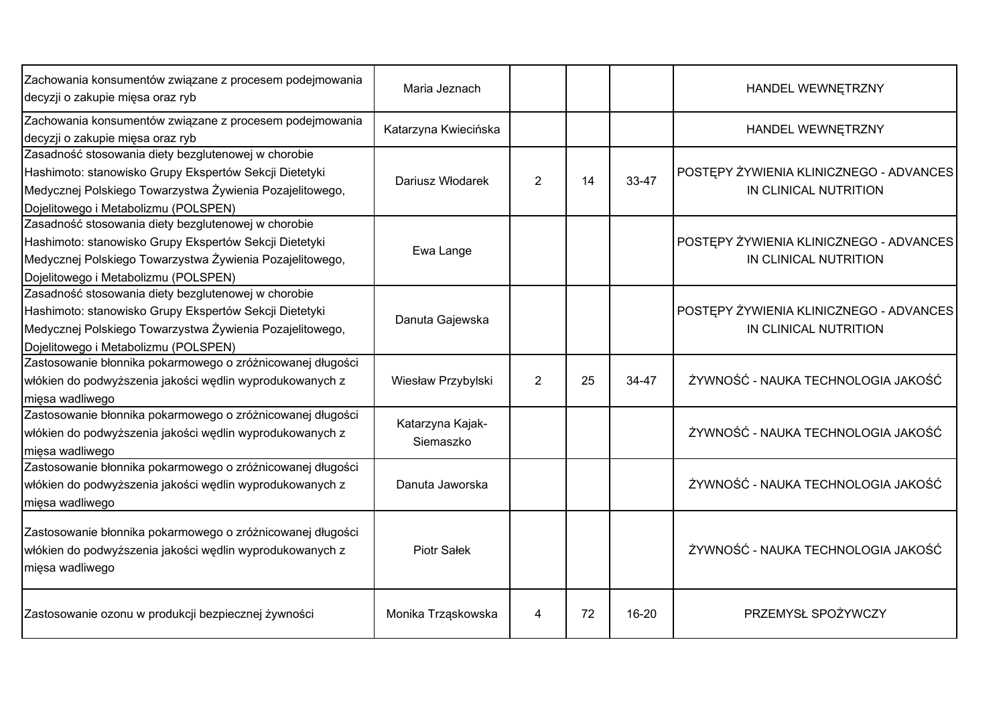| Zachowania konsumentów związane z procesem podejmowania<br>decyzji o zakupie mięsa oraz ryb                                                                                                                       | Maria Jeznach                 |                |    |       | HANDEL WEWNĘTRZNY                                                |
|-------------------------------------------------------------------------------------------------------------------------------------------------------------------------------------------------------------------|-------------------------------|----------------|----|-------|------------------------------------------------------------------|
| Zachowania konsumentów związane z procesem podejmowania<br>decyzji o zakupie mięsa oraz ryb                                                                                                                       | Katarzyna Kwiecińska          |                |    |       | HANDEL WEWNĘTRZNY                                                |
| Zasadność stosowania diety bezglutenowej w chorobie<br>Hashimoto: stanowisko Grupy Ekspertów Sekcji Dietetyki<br>Medycznej Polskiego Towarzystwa Żywienia Pozajelitowego,<br>Dojelitowego i Metabolizmu (POLSPEN) | Dariusz Włodarek              | $\overline{2}$ | 14 | 33-47 | POSTĘPY ŻYWIENIA KLINICZNEGO - ADVANCES<br>IN CLINICAL NUTRITION |
| Zasadność stosowania diety bezglutenowej w chorobie<br>Hashimoto: stanowisko Grupy Ekspertów Sekcji Dietetyki<br>Medycznej Polskiego Towarzystwa Żywienia Pozajelitowego,<br>Dojelitowego i Metabolizmu (POLSPEN) | Ewa Lange                     |                |    |       | POSTĘPY ŻYWIENIA KLINICZNEGO - ADVANCES<br>IN CLINICAL NUTRITION |
| Zasadność stosowania diety bezglutenowej w chorobie<br>Hashimoto: stanowisko Grupy Ekspertów Sekcji Dietetyki<br>Medycznej Polskiego Towarzystwa Żywienia Pozajelitowego,<br>Dojelitowego i Metabolizmu (POLSPEN) | Danuta Gajewska               |                |    |       | POSTĘPY ŻYWIENIA KLINICZNEGO - ADVANCES<br>IN CLINICAL NUTRITION |
| Zastosowanie błonnika pokarmowego o zróżnicowanej długości<br>włókien do podwyższenia jakości wędlin wyprodukowanych z<br>mięsa wadliwego                                                                         | Wiesław Przybylski            | $\overline{2}$ | 25 | 34-47 | ŻYWNOŚĆ - NAUKA TECHNOLOGIA JAKOŚĆ                               |
| Zastosowanie błonnika pokarmowego o zróżnicowanej długości<br>włókien do podwyższenia jakości wędlin wyprodukowanych z<br>mięsa wadliwego                                                                         | Katarzyna Kajak-<br>Siemaszko |                |    |       | ŻYWNOŚĆ - NAUKA TECHNOLOGIA JAKOŚĆ                               |
| Zastosowanie błonnika pokarmowego o zróżnicowanej długości<br>włókien do podwyższenia jakości wędlin wyprodukowanych z<br>mięsa wadliwego                                                                         | Danuta Jaworska               |                |    |       | ŻYWNOŚĆ - NAUKA TECHNOLOGIA JAKOŚĆ                               |
| Zastosowanie błonnika pokarmowego o zróżnicowanej długości<br>włókien do podwyższenia jakości wędlin wyprodukowanych z<br>mięsa wadliwego                                                                         | <b>Piotr Sałek</b>            |                |    |       | ŻYWNOŚĆ - NAUKA TECHNOLOGIA JAKOŚĆ                               |
| Zastosowanie ozonu w produkcji bezpiecznej żywności                                                                                                                                                               | Monika Trząskowska            | 4              | 72 | 16-20 | PRZEMYSŁ SPOŻYWCZY                                               |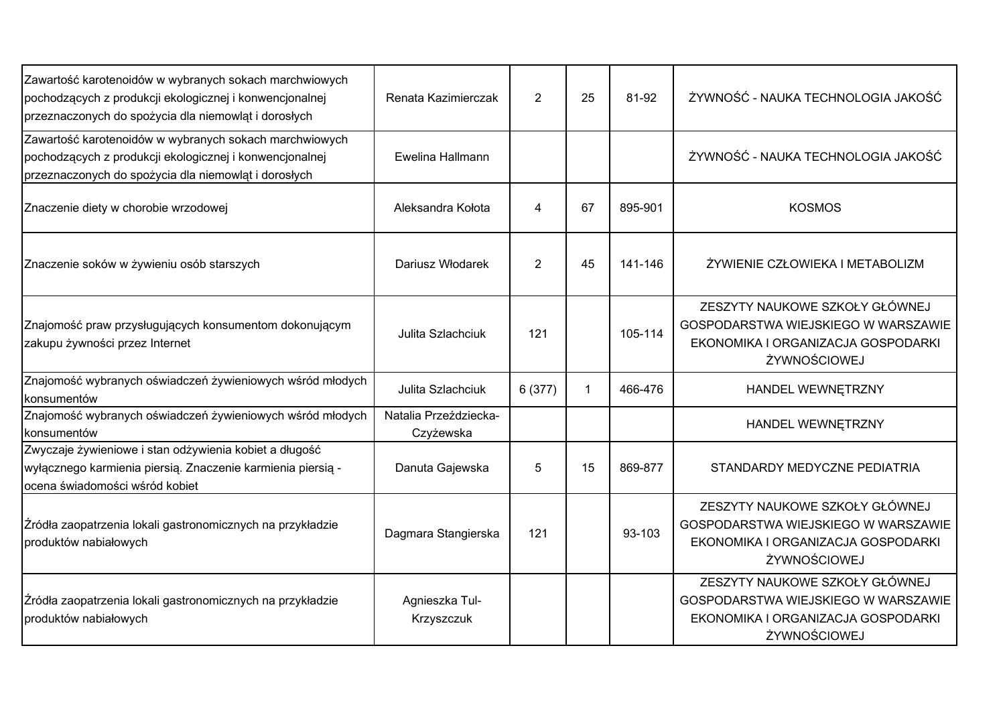| Zawartość karotenoidów w wybranych sokach marchwiowych<br>pochodzących z produkcji ekologicznej i konwencjonalnej<br>przeznaczonych do spożycia dla niemowląt i dorosłych | Renata Kazimierczak                | 2              | 25           | 81-92   | ŻYWNOŚĆ - NAUKA TECHNOLOGIA JAKOŚĆ                                                                                          |
|---------------------------------------------------------------------------------------------------------------------------------------------------------------------------|------------------------------------|----------------|--------------|---------|-----------------------------------------------------------------------------------------------------------------------------|
| Zawartość karotenoidów w wybranych sokach marchwiowych<br>pochodzących z produkcji ekologicznej i konwencjonalnej<br>przeznaczonych do spożycia dla niemowląt i dorosłych | Ewelina Hallmann                   |                |              |         | ŻYWNOŚĆ - NAUKA TECHNOLOGIA JAKOŚĆ                                                                                          |
| Znaczenie diety w chorobie wrzodowej                                                                                                                                      | Aleksandra Kołota                  | 4              | 67           | 895-901 | <b>KOSMOS</b>                                                                                                               |
| Znaczenie soków w żywieniu osób starszych                                                                                                                                 | Dariusz Włodarek                   | $\overline{2}$ | 45           | 141-146 | ŻYWIENIE CZŁOWIEKA I METABOLIZM                                                                                             |
| Znajomość praw przysługujących konsumentom dokonującym<br>zakupu żywności przez Internet                                                                                  | Julita Szlachciuk                  | 121            |              | 105-114 | ZESZYTY NAUKOWE SZKOŁY GŁÓWNEJ<br>GOSPODARSTWA WIEJSKIEGO W WARSZAWIE<br>EKONOMIKA I ORGANIZACJA GOSPODARKI<br>ŻYWNOŚCIOWEJ |
| Znajomość wybranych oświadczeń żywieniowych wśród młodych<br>konsumentów                                                                                                  | Julita Szlachciuk                  | 6(377)         | $\mathbf{1}$ | 466-476 | HANDEL WEWNETRZNY                                                                                                           |
| Znajomość wybranych oświadczeń żywieniowych wśród młodych<br>konsumentów                                                                                                  | Natalia Przeździecka-<br>Czyżewska |                |              |         | HANDEL WEWNETRZNY                                                                                                           |
| Zwyczaje żywieniowe i stan odżywienia kobiet a długość<br>wyłącznego karmienia piersią. Znaczenie karmienia piersią -<br>ocena świadomości wśród kobiet                   | Danuta Gajewska                    | 5              | 15           | 869-877 | STANDARDY MEDYCZNE PEDIATRIA                                                                                                |
| Źródła zaopatrzenia lokali gastronomicznych na przykładzie<br>produktów nabiałowych                                                                                       | Dagmara Stangierska                | 121            |              | 93-103  | ZESZYTY NAUKOWE SZKOŁY GŁÓWNEJ<br>GOSPODARSTWA WIEJSKIEGO W WARSZAWIE<br>EKONOMIKA I ORGANIZACJA GOSPODARKI<br>ŻYWNOŚCIOWEJ |
| Źródła zaopatrzenia lokali gastronomicznych na przykładzie<br>produktów nabiałowych                                                                                       | Agnieszka Tul-<br>Krzyszczuk       |                |              |         | ZESZYTY NAUKOWE SZKOŁY GŁÓWNEJ<br>GOSPODARSTWA WIEJSKIEGO W WARSZAWIE<br>EKONOMIKA I ORGANIZACJA GOSPODARKI<br>ŻYWNOŚCIOWEJ |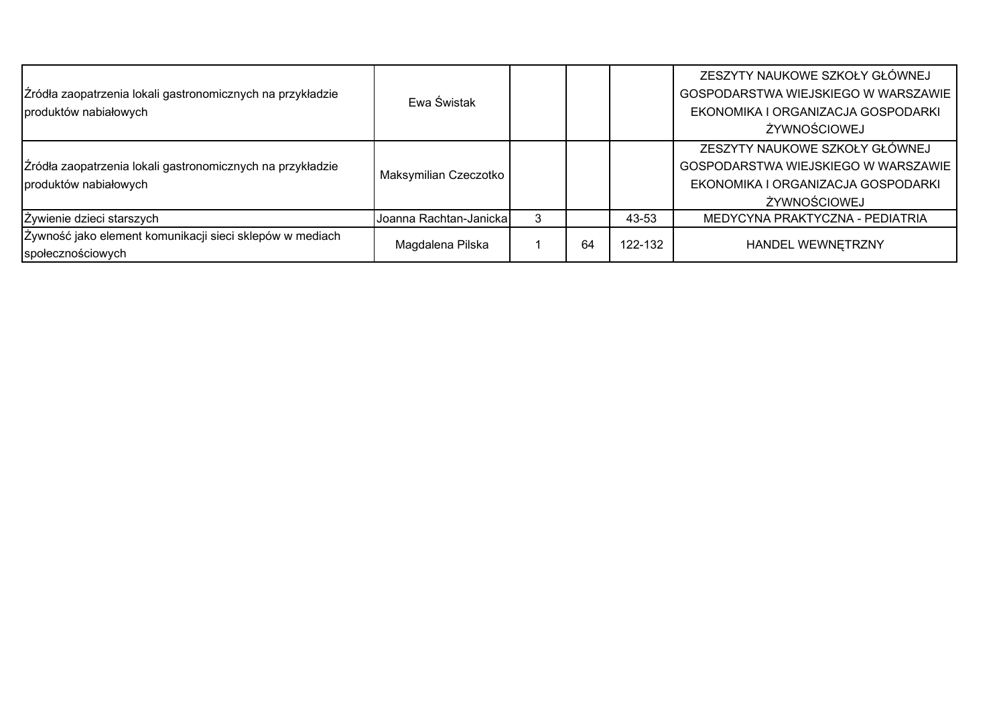| Źródła zaopatrzenia lokali gastronomicznych na przykładzie<br>produktów nabiałowych | Ewa Świstak            |    |         | ZESZYTY NAUKOWE SZKOŁY GŁÓWNEJ<br>GOSPODARSTWA WIEJSKIEGO W WARSZAWIE<br>EKONOMIKA I ORGANIZACJA GOSPODARKI<br>ŻYWNOŚCIOWEJ |
|-------------------------------------------------------------------------------------|------------------------|----|---------|-----------------------------------------------------------------------------------------------------------------------------|
| Źródła zaopatrzenia lokali gastronomicznych na przykładzie<br>produktów nabiałowych | Maksymilian Czeczotko  |    |         | ZESZYTY NAUKOWE SZKOŁY GŁÓWNEJ<br>GOSPODARSTWA WIEJSKIEGO W WARSZAWIE<br>EKONOMIKA I ORGANIZACJA GOSPODARKI<br>ŻYWNOŚCIOWEJ |
| Żywienie dzieci starszych                                                           | Joanna Rachtan-Janicka |    | 43-53   | MEDYCYNA PRAKTYCZNA - PEDIATRIA                                                                                             |
| Żywność jako element komunikacji sieci sklepów w mediach<br>społecznościowych       | Magdalena Pilska       | 64 | 122-132 | HANDEL WEWNETRZNY                                                                                                           |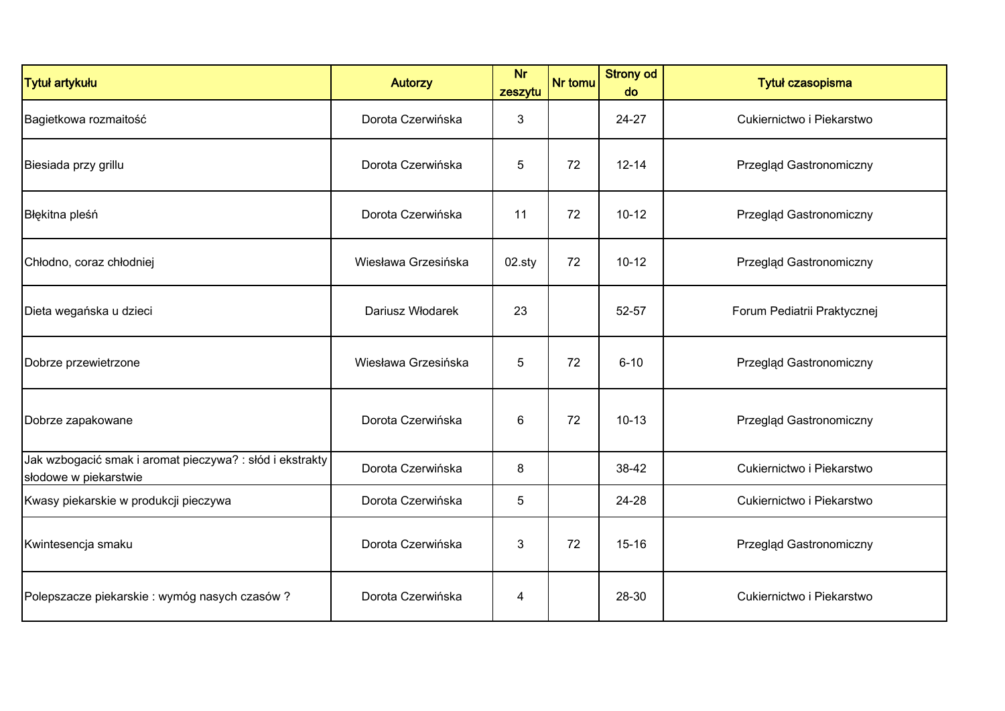| <b>Tytuł artykułu</b>                                                             | <b>Autorzy</b>      | <b>Nr</b><br>zeszytu | Nr tomu | <b>Strony od</b><br>do | Tytuł czasopisma            |
|-----------------------------------------------------------------------------------|---------------------|----------------------|---------|------------------------|-----------------------------|
| Bagietkowa rozmaitość                                                             | Dorota Czerwińska   | 3                    |         | 24-27                  | Cukiernictwo i Piekarstwo   |
| Biesiada przy grillu                                                              | Dorota Czerwińska   | 5                    | 72      | $12 - 14$              | Przegląd Gastronomiczny     |
| Błękitna pleśń                                                                    | Dorota Czerwińska   | 11                   | 72      | $10 - 12$              | Przegląd Gastronomiczny     |
| Chłodno, coraz chłodniej                                                          | Wiesława Grzesińska | 02.sty               | 72      | $10 - 12$              | Przegląd Gastronomiczny     |
| Dieta wegańska u dzieci                                                           | Dariusz Włodarek    | 23                   |         | 52-57                  | Forum Pediatrii Praktycznej |
| Dobrze przewietrzone                                                              | Wiesława Grzesińska | 5                    | 72      | $6 - 10$               | Przegląd Gastronomiczny     |
| Dobrze zapakowane                                                                 | Dorota Czerwińska   | 6                    | 72      | $10 - 13$              | Przegląd Gastronomiczny     |
| Jak wzbogacić smak i aromat pieczywa? : słód i ekstrakty<br>słodowe w piekarstwie | Dorota Czerwińska   | 8                    |         | 38-42                  | Cukiernictwo i Piekarstwo   |
| Kwasy piekarskie w produkcji pieczywa                                             | Dorota Czerwińska   | 5                    |         | 24-28                  | Cukiernictwo i Piekarstwo   |
| Kwintesencja smaku                                                                | Dorota Czerwińska   | 3                    | 72      | $15 - 16$              | Przegląd Gastronomiczny     |
| Polepszacze piekarskie : wymóg nasych czasów ?                                    | Dorota Czerwińska   | 4                    |         | 28-30                  | Cukiernictwo i Piekarstwo   |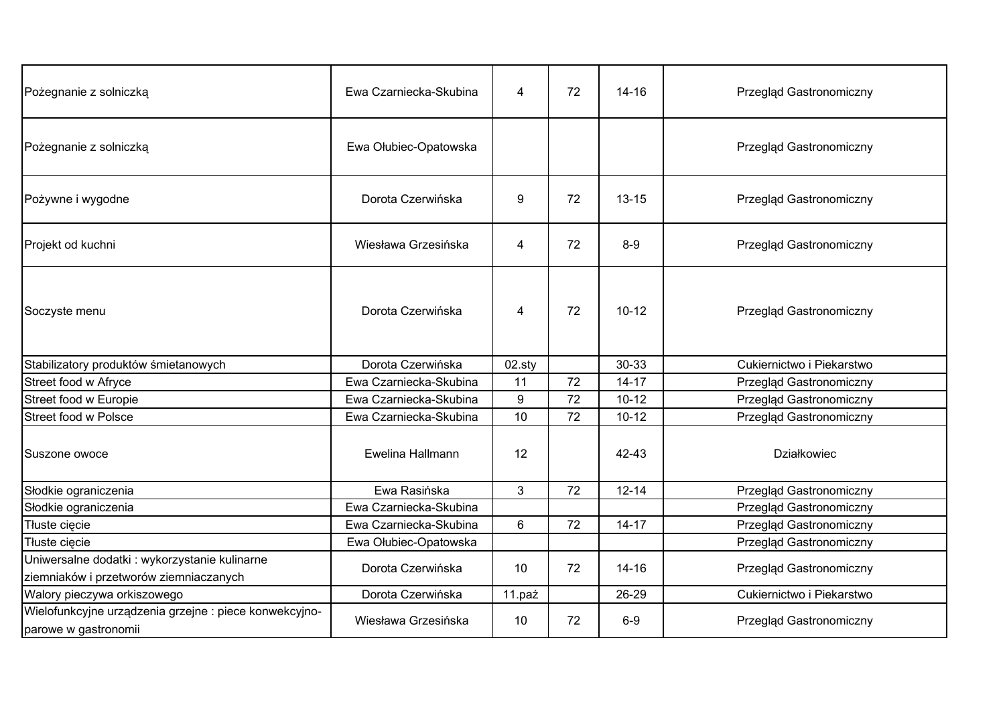| Pożegnanie z solniczką                                                                  | Ewa Czarniecka-Skubina | 4                       | 72 | $14 - 16$ | Przegląd Gastronomiczny   |
|-----------------------------------------------------------------------------------------|------------------------|-------------------------|----|-----------|---------------------------|
| Pożegnanie z solniczką                                                                  | Ewa Ołubiec-Opatowska  |                         |    |           | Przegląd Gastronomiczny   |
| Pożywne i wygodne                                                                       | Dorota Czerwińska      | 9                       | 72 | $13 - 15$ | Przegląd Gastronomiczny   |
| Projekt od kuchni                                                                       | Wiesława Grzesińska    | $\overline{\mathbf{4}}$ | 72 | $8-9$     | Przegląd Gastronomiczny   |
| Soczyste menu                                                                           | Dorota Czerwińska      | 4                       | 72 | $10 - 12$ | Przegląd Gastronomiczny   |
| Stabilizatory produktów śmietanowych                                                    | Dorota Czerwińska      | $02$ .sty               |    | 30-33     | Cukiernictwo i Piekarstwo |
| Street food w Afryce                                                                    | Ewa Czarniecka-Skubina | 11                      | 72 | $14 - 17$ | Przegląd Gastronomiczny   |
| Street food w Europie                                                                   | Ewa Czarniecka-Skubina | 9                       | 72 | $10 - 12$ | Przegląd Gastronomiczny   |
| <b>Street food w Polsce</b>                                                             | Ewa Czarniecka-Skubina | 10                      | 72 | $10 - 12$ | Przegląd Gastronomiczny   |
| Suszone owoce                                                                           | Ewelina Hallmann       | 12                      |    | $42 - 43$ | <b>Działkowiec</b>        |
| Słodkie ograniczenia                                                                    | Ewa Rasińska           | $\mathbf{3}$            | 72 | $12 - 14$ | Przegląd Gastronomiczny   |
| Słodkie ograniczenia                                                                    | Ewa Czarniecka-Skubina |                         |    |           | Przegląd Gastronomiczny   |
| Tłuste cięcie                                                                           | Ewa Czarniecka-Skubina | 6                       | 72 | $14 - 17$ | Przegląd Gastronomiczny   |
| Tłuste cięcie                                                                           | Ewa Ołubiec-Opatowska  |                         |    |           | Przegląd Gastronomiczny   |
| Uniwersalne dodatki : wykorzystanie kulinarne<br>ziemniaków i przetworów ziemniaczanych | Dorota Czerwińska      | 10                      | 72 | $14 - 16$ | Przegląd Gastronomiczny   |
| Walory pieczywa orkiszowego                                                             | Dorota Czerwińska      | 11.paź                  |    | 26-29     | Cukiernictwo i Piekarstwo |
| Wielofunkcyjne urządzenia grzejne : piece konwekcyjno-<br>parowe w gastronomii          | Wiesława Grzesińska    | 10                      | 72 | $6-9$     | Przegląd Gastronomiczny   |